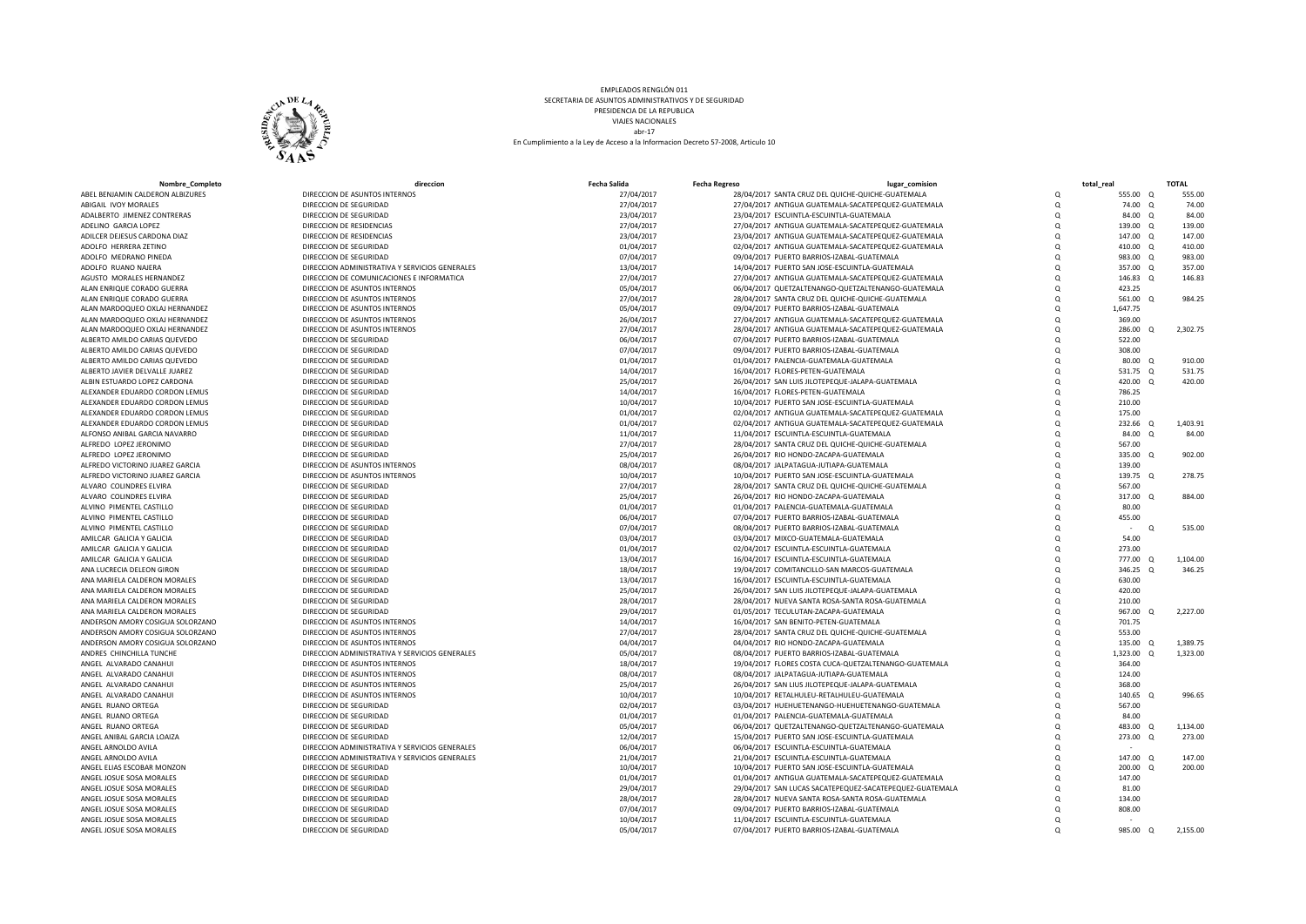

EMPLEADOS RENGLÓN 011 SECRETARIA DE ASUNTOS ADMINISTRATIVOS Y DE SEGURIDAD PRESIDENCIA DE LA REPUBLICA VIAJES NACIONALES abr-17 En Cumplimiento a la Ley de Acceso a la Informacion Decreto 57-2008, Articulo 10

| Nombre Completo                          | direccior                                        | <b>Fecha Salida</b>      | <b>Fecha Regreso</b> | lugar comision                                                                              |               | total real           | <b>TOTAL</b> |
|------------------------------------------|--------------------------------------------------|--------------------------|----------------------|---------------------------------------------------------------------------------------------|---------------|----------------------|--------------|
| ABEL BENJAMIN CALDERON ALBIZURES         | DIRECCION DE ASUNTOS INTERNOS                    | 27/04/2017               |                      | 28/04/2017 SANTA CRUZ DEL QUICHE-QUICHE-GUATEMALA                                           | $\Omega$      | 555.00 Q             | 555.00       |
| ABIGAIL IVOY MORALES                     | DIRECCION DE SEGURIDAD                           | 27/04/2017               |                      | 27/04/2017 ANTIGUA GUATEMALA-SACATEPEQUEZ-GUATEMALA                                         | $\Omega$      | 74.00 Q              | 74.00        |
| ADALBERTO JIMENEZ CONTRERAS              | DIRECCION DE SEGURIDAD                           | 23/04/2017               |                      | 23/04/2017 ESCUINTLA-ESCUINTLA-GUATEMALA                                                    | $\Omega$      | 84.00 Q              | 84.00        |
| ADELINO GARCIA LOPEZ                     | DIRECCION DE RESIDENCIAS                         | 27/04/2017               |                      | 27/04/2017 ANTIGUA GUATEMALA-SACATEPEQUEZ-GUATEMALA                                         | $\Omega$      | 139.00 Q             | 139.00       |
| ADILCER DEJESUS CARDONA DIAZ             | DIRECCION DE RESIDENCIAS                         | 23/04/2017               |                      | 23/04/2017 ANTIGUA GUATEMALA-SACATEPEQUEZ-GUATEMALA                                         | $\Omega$      | 147.00 Q             | 147.00       |
| ADOLFO HERRERA ZETINO                    | DIRECCION DE SEGURIDAD                           | 01/04/2017               |                      | 02/04/2017 ANTIGUA GUATEMALA-SACATEPEQUEZ-GUATEMALA                                         | $\Omega$      | 410.00 Q             | 410.00       |
| ADOLFO MEDRANO PINEDA                    | DIRECCION DE SEGURIDAD                           | 07/04/2017               |                      | 09/04/2017 PUERTO BARRIOS-IZABAL-GUATEMALA                                                  | $\Omega$      | 983.00 Q             | 983.00       |
| ADOLFO RUANO NAJERA                      | DIRECCION ADMINISTRATIVA Y SERVICIOS GENERALES   | 13/04/2017               |                      | 14/04/2017 PUERTO SAN JOSE-ESCUINTLA-GUATEMALA                                              | $\Omega$      | 357.00 Q             | 357.00       |
| AGUSTO MORALES HERNANDEZ                 | DIRECCION DE COMUNICACIONES E INFORMATICA        | 27/04/2017               |                      | 27/04/2017 ANTIGUA GUATEMALA-SACATEPEQUEZ-GUATEMALA                                         | $\Omega$      | 146.83 Q             | 146.83       |
| ALAN ENRIQUE CORADO GUERRA               | DIRECCION DE ASUNTOS INTERNOS                    | 05/04/2017               |                      | 06/04/2017 QUETZALTENANGO-QUETZALTENANGO-GUATEMALA                                          | $\Omega$      | 423.25               |              |
| ALAN ENRIQUE CORADO GUERRA               | DIRECCION DE ASUNTOS INTERNOS                    | 27/04/2017               |                      | 28/04/2017 SANTA CRUZ DEL QUICHE-QUICHE-GUATEMALA                                           | $\Omega$      | 561.00<br>$\Omega$   | 984.25       |
| ALAN MARDOQUEO OXLAJ HERNANDEZ           | DIRECCION DE ASUNTOS INTERNOS                    | 05/04/2017               |                      | 09/04/2017 PUERTO BARRIOS-IZABAL-GUATEMALA                                                  | $\Omega$      | 1,647.75             |              |
| ALAN MARDOQUEO OXLAJ HERNANDEZ           | DIRECCION DE ASUNTOS INTERNOS                    | 26/04/2017               |                      | 27/04/2017 ANTIGUA GUATEMALA-SACATEPEQUEZ-GUATEMALA                                         | $\Omega$      | 369.00               |              |
| ALAN MARDOQUEO OXLAJ HERNANDEZ           | DIRECCION DE ASUNTOS INTERNOS                    | 27/04/2017               |                      | 28/04/2017 ANTIGUA GUATEMALA-SACATEPEQUEZ-GUATEMALA                                         | $\Omega$      | 286.00 Q             | 2,302.75     |
| ALBERTO AMILDO CARIAS QUEVEDO            | DIRECCION DE SEGURIDAD                           | 06/04/2017               |                      | 07/04/2017 PUERTO BARRIOS-IZABAL-GUATEMALA                                                  | $\Omega$      | 522.00               |              |
| ALBERTO AMILDO CARIAS QUEVEDO            | DIRECCION DE SEGURIDAD                           | 07/04/2017               |                      | 09/04/2017 PUERTO BARRIOS-IZABAL-GUATEMALA                                                  | $\Omega$      | 308.00               |              |
| ALBERTO AMILDO CARIAS QUEVEDO            | DIRECCION DE SEGURIDAD                           | 01/04/2017               |                      | 01/04/2017 PALENCIA-GUATEMALA-GUATEMALA                                                     | Q             | 80.00 Q              | 910.00       |
| ALBERTO JAVIER DELVALLE JUAREZ           | DIRECCION DE SEGURIDAD                           | 14/04/2017               |                      | 16/04/2017 FLORES-PETEN-GUATEMALA                                                           | $\Omega$      | 531.75 Q             | 531.75       |
| ALBIN ESTUARDO LOPEZ CARDONA             | DIRECCION DE SEGURIDAD                           | 25/04/2017               |                      | 26/04/2017 SAN LUIS JILOTEPEQUE-JALAPA-GUATEMALA                                            | $\Omega$      | 420.00 Q             | 420.00       |
| ALEXANDER EDUARDO CORDON LEMUS           | DIRECCION DE SEGURIDAD                           | 14/04/2017               |                      | 16/04/2017 FLORES-PETEN-GUATEMALA                                                           | $\Omega$      | 786.25               |              |
| ALEXANDER EDUARDO CORDON LEMUS           | DIRECCION DE SEGURIDAD                           | 10/04/2017               |                      | 10/04/2017 PUERTO SAN JOSE-ESCUINTLA-GUATEMALA                                              | $\Omega$      | 210.00               |              |
| ALEXANDER EDUARDO CORDON LEMUS           | DIRECCION DE SEGURIDAD                           | 01/04/2017               |                      | 02/04/2017 ANTIGUA GUATEMALA-SACATEPEQUEZ-GUATEMALA                                         | $\Omega$      | 175.00               |              |
| ALEXANDER EDUARDO CORDON LEMUS           | DIRECCION DE SEGURIDAD                           | 01/04/2017               |                      | 02/04/2017 ANTIGUA GUATEMALA-SACATEPEQUEZ-GUATEMALA                                         | $\Omega$      | 232.66<br>- 0        | 1,403.91     |
| ALFONSO ANIBAL GARCIA NAVARRO            | DIRECCION DE SEGURIDAD                           | 11/04/2017               |                      | 11/04/2017 ESCUINTLA-ESCUINTLA-GUATEMALA                                                    | $\Omega$      | 84.00 Q              | 84.00        |
| ALFREDO LOPEZ JERONIMO                   | DIRECCION DE SEGURIDAD                           | 27/04/2017               |                      | 28/04/2017 SANTA CRUZ DEL QUICHE-QUICHE-GUATEMALA                                           | $\Omega$      | 567.00               |              |
| ALFREDO LOPEZ JERONIMO                   | DIRECCION DE SEGURIDAD                           | 25/04/2017               |                      | 26/04/2017 RIO HONDO-ZACAPA-GUATEMALA                                                       | $\Omega$      | 335.00 Q             | 902.00       |
| ALFREDO VICTORINO JUAREZ GARCIA          | DIRECCION DE ASUNTOS INTERNOS                    | 08/04/2017               |                      | 08/04/2017 JALPATAGUA-JUTIAPA-GUATEMALA                                                     | $\Omega$      | 139.00               |              |
| ALFREDO VICTORINO JUAREZ GARCIA          | DIRECCION DE ASUNTOS INTERNOS                    | 10/04/2017               |                      | 10/04/2017 PUERTO SAN JOSE-ESCUINTLA-GUATEMALA                                              | $\Omega$      | 139.75 Q             | 278.75       |
| ALVARO COLINDRES ELVIRA                  | DIRECCION DE SEGURIDAD                           | 27/04/2017               |                      | 28/04/2017 SANTA CRUZ DEL QUICHE-QUICHE-GUATEMALA                                           | $\Omega$      | 567.00               |              |
| ALVARO COLINDRES ELVIRA                  | DIRECCION DE SEGURIDAD                           | 25/04/2017               |                      | 26/04/2017 RIO HONDO-ZACAPA-GUATEMALA                                                       | $\Omega$      | 317.00 Q             | 884.00       |
| ALVINO PIMENTEL CASTILLO                 | DIRECCION DE SEGURIDAD                           | 01/04/2017               |                      | 01/04/2017 PALENCIA-GUATEMALA-GUATEMALA                                                     | $\Omega$      | 80.00                |              |
| ALVINO PIMENTEL CASTILLO                 | DIRECCION DE SEGURIDAD                           | 06/04/2017               |                      | 07/04/2017 PUERTO BARRIOS-IZABAL-GUATEMALA                                                  | $\Omega$      | 455.00               |              |
| ALVINO PIMENTEL CASTILLO                 | DIRECCION DE SEGURIDAD                           | 07/04/2017               |                      | 08/04/2017 PUERTO BARRIOS-IZABAL-GUATEMALA                                                  | Q             | $\Omega$             | 535.00       |
| AMILCAR GALICIA Y GALICIA                | DIRECCION DE SEGURIDAD                           | 03/04/2017               |                      | 03/04/2017 MIXCO-GUATEMALA-GUATEMALA                                                        | $\Omega$      | 54.00                |              |
| AMILCAR GALICIA Y GALICIA                | DIRECCION DE SEGURIDAD                           | 01/04/2017               |                      | 02/04/2017 ESCUINTLA-ESCUINTLA-GUATEMALA                                                    | $\Omega$      | 273.00               |              |
| AMILCAR GALICIA Y GALICIA                | DIRECCION DE SEGURIDAD                           | 13/04/2017               |                      | 16/04/2017 ESCUINTLA-ESCUINTLA-GUATEMALA                                                    | $\Omega$      | 777.00 Q             | 1,104.00     |
| ANA LUCRECIA DELEON GIRON                | DIRECCION DE SEGURIDAD                           | 18/04/2017               |                      | 19/04/2017 COMITANCILLO-SAN MARCOS-GUATEMALA                                                | $\Omega$      | 346.25<br>$\Omega$   | 346.25       |
| ANA MARIELA CALDERON MORALES             | DIRECCION DE SEGURIDAD                           | 13/04/2017               |                      | 16/04/2017 ESCUINTLA-ESCUINTLA-GUATEMALA                                                    | $\Omega$      | 630.00               |              |
| ANA MARIELA CALDERON MORALES             | DIRECCION DE SEGURIDAD                           | 25/04/2017               |                      | 26/04/2017 SAN LUIS JILOTEPEQUE-JALAPA-GUATEMALA                                            | $\Omega$      | 420.00               |              |
| ANA MARIELA CALDERON MORALES             | DIRECCION DE SEGURIDAD                           | 28/04/2017               |                      | 28/04/2017 NUEVA SANTA ROSA-SANTA ROSA-GUATEMALA                                            | $\Omega$      | 210.00               |              |
| ANA MARIELA CALDERON MORALES             | DIRECCION DE SEGURIDAD                           | 29/04/2017               |                      | 01/05/2017 TECULUTAN-ZACAPA-GUATEMALA                                                       | $\Omega$      | 967.00<br>- റ        | 2,227.00     |
| ANDERSON AMORY COSIGUA SOLORZANO         | DIRECCION DE ASUNTOS INTERNOS                    | 14/04/2017               |                      | 16/04/2017 SAN BENITO-PETEN-GUATEMALA                                                       | $\Omega$      | 701.75               |              |
| ANDERSON AMORY COSIGUA SOLORZANO         | DIRECCION DE ASUNTOS INTERNOS                    | 27/04/2017               |                      | 28/04/2017 SANTA CRUZ DEL QUICHE-QUICHE-GUATEMALA                                           | $\Omega$      | 553.00               |              |
| ANDERSON AMORY COSIGUA SOLORZANO         | DIRECCION DE ASUNTOS INTERNOS                    | 04/04/2017               |                      | 04/04/2017 RIO HONDO-ZACAPA-GUATEMALA                                                       | $\Omega$      | 135.00<br>Q          | 1,389.75     |
| ANDRES CHINCHILLA TUNCHE                 | DIRECCION ADMINISTRATIVA Y SERVICIOS GENERALES   | 05/04/2017               |                      | 08/04/2017 PUERTO BARRIOS-IZABAL-GUATEMALA                                                  | $\Omega$      | 1,323.00<br>$\Omega$ | 1,323.00     |
| ANGEL ALVARADO CANAHUI                   | DIRECCION DE ASUNTOS INTERNOS                    | 18/04/2017               |                      | 19/04/2017 FLORES COSTA CUCA-QUETZALTENANGO-GUATEMALA                                       | $\Omega$      | 364.00               |              |
| ANGEL ALVARADO CANAHUI                   | DIRECCION DE ASUNTOS INTERNOS                    | 08/04/2017               |                      | 08/04/2017 JALPATAGUA-JUTIAPA-GUATEMALA                                                     | $\Omega$      | 124.00               |              |
| ANGEL ALVARADO CANAHU                    | DIRECCION DE ASUNTOS INTERNOS                    | 25/04/2017               |                      | 26/04/2017 SAN LIUS JILOTEPEQUE-JALAPA-GUATEMALA                                            | $\Omega$      | 368.00               |              |
| ANGEL ALVARADO CANAHU                    | DIRECCION DE ASUNTOS INTERNOS                    | 10/04/2017               |                      | 10/04/2017 RETALHULEU-RETALHULEU-GUATEMALA                                                  | Q<br>$\Omega$ | 140.65<br>$\Omega$   | 996.65       |
| ANGEL RUANO ORTEGA<br>ANGEL RUANO ORTEGA | DIRECCION DE SEGURIDAD<br>DIRECCION DE SEGURIDAD | 02/04/2017<br>01/04/2017 |                      | 03/04/2017 HUEHUETENANGO-HUEHUETENANGO-GUATEMALA<br>01/04/2017 PALENCIA-GUATEMALA-GUATEMALA | $\Omega$      | 567.00<br>84.00      |              |
| ANGEL RUANO ORTEGA                       | DIRECCION DE SEGURIDAD                           | 05/04/2017               |                      | 06/04/2017 QUETZALTENANGO-QUETZALTENANGO-GUATEMALA                                          | $\Omega$      | 483.00 Q             | 1,134.00     |
| ANGEL ANIBAL GARCIA LOAIZA               | DIRECCION DE SEGURIDAD                           | 12/04/2017               |                      | 15/04/2017 PUERTO SAN JOSE-ESCUINTLA-GUATEMALA                                              | $\Omega$      | 273.00 Q             | 273.00       |
| ANGEL ARNOLDO AVILA                      | DIRECCION ADMINISTRATIVA Y SERVICIOS GENERALES   | 06/04/2017               |                      | 06/04/2017 ESCUINTLA-ESCUINTLA-GUATEMALA                                                    | $\Omega$      |                      |              |
| ANGEL ARNOLDO AVILA                      | DIRECCION ADMINISTRATIVA Y SERVICIOS GENERALES   | 21/04/2017               |                      | 21/04/2017 ESCUINTLA-ESCUINTLA-GUATEMALA                                                    | $\Omega$      | 147.00 Q             | 147.00       |
| ANGEL ELIAS ESCOBAR MONZON               | DIRECCION DE SEGURIDAD                           | 10/04/2017               |                      | 10/04/2017 PUERTO SAN JOSE-ESCUINTLA-GUATEMALA                                              | $\Omega$      | 200.00 Q             | 200.00       |
| ANGEL JOSUE SOSA MORALES                 | DIRECCION DE SEGURIDAD                           | 01/04/2017               |                      | 01/04/2017 ANTIGUA GUATEMALA-SACATEPEQUEZ-GUATEMALA                                         | $\Omega$      | 147.00               |              |
| ANGEL JOSUE SOSA MORALES                 | DIRECCION DE SEGURIDAD                           | 29/04/2017               |                      | 29/04/2017 SAN LUCAS SACATEPEQUEZ-SACATEPEQUEZ-GUATEMALA                                    | $\Omega$      | 81.00                |              |
| ANGEL JOSUE SOSA MORALES                 | DIRECCION DE SEGURIDAD                           | 28/04/2017               |                      | 28/04/2017 NUEVA SANTA ROSA-SANTA ROSA-GUATEMALA                                            | $\Omega$      | 134.00               |              |
| ANGEL JOSUE SOSA MORALES                 | DIRECCION DE SEGURIDAD                           | 07/04/2017               |                      | 09/04/2017 PUERTO BARRIOS-IZABAL-GUATEMALA                                                  | $\Omega$      | 808.00               |              |
| ANGEL JOSUE SOSA MORALES                 | DIRECCION DE SEGURIDAD                           | 10/04/2017               |                      | 11/04/2017 ESCUINTLA-ESCUINTLA-GUATEMALA                                                    | $\Omega$      |                      |              |
| ANGEL JOSUE SOSA MORALES                 | DIRECCION DE SEGURIDAD                           | 05/04/2017               |                      | 07/04/2017 PUERTO BARRIOS-IZABAL-GUATEMALA                                                  | $\Omega$      | 985.00 Q             | 2,155.00     |
|                                          |                                                  |                          |                      |                                                                                             |               |                      |              |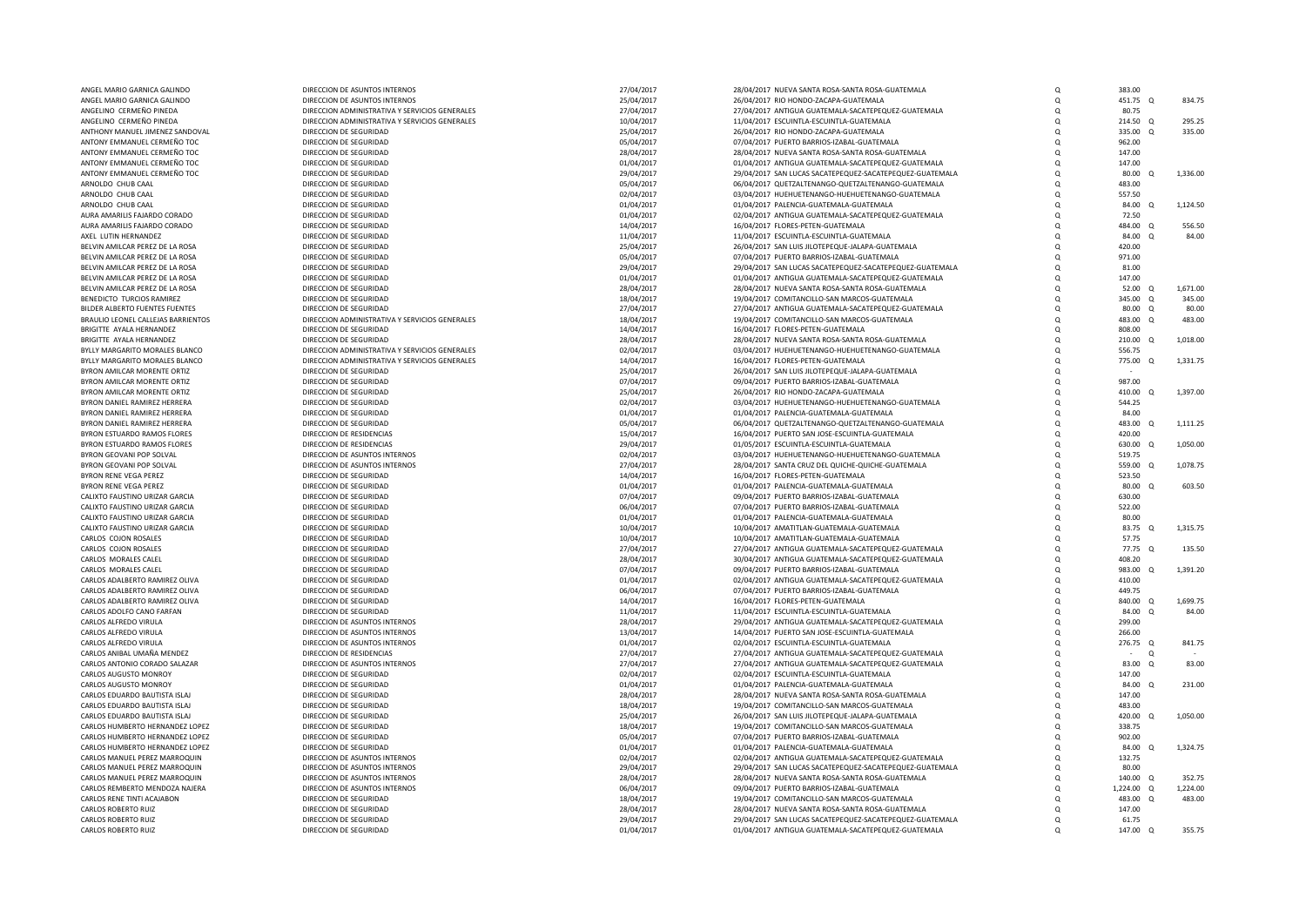| ANGEL MARIO GARNICA GALINDO                                      | DIRECCION DE ASUNTOS INTERNOS                    | 27/04/2017               | 28/04/2017 NUEVA SANTA ROSA-SANTA ROSA-GUATEMALA                                                               | $\Omega$             | 383.00                       |          |
|------------------------------------------------------------------|--------------------------------------------------|--------------------------|----------------------------------------------------------------------------------------------------------------|----------------------|------------------------------|----------|
| ANGEL MARIO GARNICA GALINDO                                      | DIRECCION DE ASUNTOS INTERNOS                    | 25/04/2017               | 26/04/2017 RIO HONDO-ZACAPA-GUATEMALA                                                                          | Q                    | 451.75 Q                     | 834.75   |
| ANGELINO CERMEÑO PINEDA                                          | DIRECCION ADMINISTRATIVA Y SERVICIOS GENERALES   | 27/04/2017               | 27/04/2017 ANTIGUA GUATEMALA-SACATEPEQUEZ-GUATEMALA                                                            | Q                    | 80.75                        |          |
| ANGELINO CERMEÑO PINEDA                                          | DIRECCION ADMINISTRATIVA Y SERVICIOS GENERALES   | 10/04/2017               | 11/04/2017 ESCUINTLA-ESCUINTLA-GUATEMALA                                                                       | $\Omega$             | 214.50<br>$\Omega$           | 295.25   |
| ANTHONY MANUEL JIMENEZ SANDOVAL                                  | DIRECCION DE SEGURIDAD                           | 25/04/2017               | 26/04/2017 RIO HONDO-ZACAPA-GUATEMALA                                                                          | $\Omega$             | 335.00<br>$\Omega$           | 335.00   |
| ANTONY EMMANUEL CERMEÑO TOC                                      | DIRECCION DE SEGURIDAD                           | 05/04/2017               | 07/04/2017 PUERTO BARRIOS-IZABAL-GUATEMALA                                                                     | $\Omega$             | 962.00                       |          |
| ANTONY EMMANUEL CERMEÑO TOC                                      | DIRECCION DE SEGURIDAD                           | 28/04/2017               | 28/04/2017 NUEVA SANTA ROSA-SANTA ROSA-GUATEMALA                                                               | Q                    | 147.00                       |          |
| ANTONY EMMANUEL CERMEÑO TOC                                      | DIRECCION DE SEGURIDAD                           | 01/04/2017               | 01/04/2017 ANTIGUA GUATEMALA-SACATEPEQUEZ-GUATEMALA                                                            | $\Omega$<br>$\Omega$ | 147.00<br>$\Omega$           |          |
| ANTONY EMMANUEL CERMEÑO TOC<br>ARNOLDO CHUB CAAL                 | DIRECCION DE SEGURIDAD<br>DIRECCION DE SEGURIDAD | 29/04/2017<br>05/04/2017 | 29/04/2017 SAN LUCAS SACATEPEQUEZ-SACATEPEQUEZ-GUATEMALA<br>06/04/2017 QUETZALTENANGO-QUETZALTENANGO-GUATEMALA | $\Omega$             | 80.00<br>483.00              | 1,336.00 |
| ARNOLDO CHUB CAAL                                                | DIRECCION DE SEGURIDAD                           | 02/04/2017               | 03/04/2017 HUEHUETENANGO-HUEHUETENANGO-GUATEMALA                                                               | $\Omega$             | 557.50                       |          |
| ARNOLDO CHUB CAAL                                                | DIRECCION DE SEGURIDAD                           | 01/04/2017               | 01/04/2017 PALENCIA-GUATEMALA-GUATEMALA                                                                        | O                    | 84.00 0                      | 1,124.50 |
| AURA AMARILIS FAJARDO CORADO                                     | DIRECCION DE SEGURIDAD                           | 01/04/2017               | 02/04/2017 ANTIGUA GUATEMALA-SACATEPEQUEZ-GUATEMALA                                                            | Q                    | 72.50                        |          |
| AURA AMARILIS FAJARDO CORADO                                     | DIRECCION DE SEGURIDAD                           | 14/04/2017               | 16/04/2017 FLORES-PETEN-GUATEMALA                                                                              | $\Omega$             | 484.00 Q                     | 556.50   |
| AXEL LUTIN HERNANDEZ                                             | DIRECCION DE SEGURIDAD                           | 11/04/2017               | 11/04/2017 ESCUINTLA-ESCUINTLA-GUATEMALA                                                                       | $\Omega$             | 84.00 Q                      | 84.00    |
| BELVIN AMILCAR PEREZ DE LA ROSA                                  | DIRECCION DE SEGURIDAD                           | 25/04/2017               | 26/04/2017 SAN LUIS JILOTEPEQUE-JALAPA-GUATEMALA                                                               | $\Omega$             | 420.00                       |          |
| BELVIN AMILCAR PEREZ DE LA ROSA                                  | DIRECCION DE SEGURIDAD                           | 05/04/2017               | 07/04/2017 PUERTO BARRIOS-IZABAL-GUATEMALA                                                                     | $\Omega$             | 971.00                       |          |
| BELVIN AMILCAR PEREZ DE LA ROSA                                  | DIRECCION DE SEGURIDAD                           | 29/04/2017               | 29/04/2017 SAN LUCAS SACATEPEQUEZ-SACATEPEQUEZ-GUATEMALA                                                       | $\Omega$             | 81.00                        |          |
| BELVIN AMILCAR PEREZ DE LA ROSA                                  | DIRECCION DE SEGURIDAD                           | 01/04/2017               | 01/04/2017 ANTIGUA GUATEMALA-SACATEPEQUEZ-GUATEMALA                                                            | $\Omega$             | 147.00                       |          |
| BELVIN AMILCAR PEREZ DE LA ROSA                                  | DIRECCION DE SEGURIDAD                           | 28/04/2017               | 28/04/2017 NUEVA SANTA ROSA-SANTA ROSA-GUATEMALA                                                               | $\Omega$             | 52.00<br>- 0                 | 1,671.00 |
| BENEDICTO TURCIOS RAMIREZ                                        | DIRECCION DE SEGURIDAD                           | 18/04/2017               | 19/04/2017 COMITANCILLO-SAN MARCOS-GUATEMALA                                                                   | $\Omega$             | 345.00<br>$\circ$            | 345.00   |
| BILDER ALBERTO FUENTES FUENTES                                   | DIRECCION DE SEGURIDAD                           | 27/04/2017               | 27/04/2017 ANTIGUA GUATEMALA-SACATEPEQUEZ-GUATEMALA                                                            | $\Omega$             | 80.00<br>$\circ$             | 80.00    |
| BRAULIO LEONEL CALLEJAS BARRIENTOS                               | DIRECCION ADMINISTRATIVA Y SERVICIOS GENERALES   | 18/04/2017               | 19/04/2017 COMITANCILLO-SAN MARCOS-GUATEMALA                                                                   | $\Omega$             | 483.00 Q                     | 483.00   |
| BRIGITTE AYALA HERNANDEZ                                         | DIRECCION DE SEGURIDAD                           | 14/04/2017               | 16/04/2017 FLORES-PETEN-GUATEMALA                                                                              | $\Omega$             | 808.00                       |          |
| BRIGITTE AYALA HERNANDEZ                                         | DIRECCION DE SEGURIDAD                           | 28/04/2017               | 28/04/2017 NUEVA SANTA ROSA-SANTA ROSA-GUATEMALA                                                               | $\Omega$             | 210.00<br>$\Omega$           | 1.018.00 |
| BYLLY MARGARITO MORALES BLANCO                                   | DIRECCION ADMINISTRATIVA Y SERVICIOS GENERALES   | 02/04/2017               | 03/04/2017 HUEHUETENANGO-HUEHUETENANGO-GUATEMALA                                                               | Q                    | 556.75                       |          |
| BYLLY MARGARITO MORALES BLANCO                                   | DIRECCION ADMINISTRATIVA Y SERVICIOS GENERALES   | 14/04/2017               | 16/04/2017 FLORES-PETEN-GUATEMALA                                                                              | $\Omega$             | 775.00<br>$\circ$            | 1,331.75 |
| BYRON AMILCAR MORENTE ORTIZ                                      | DIRECCION DE SEGURIDAD                           | 25/04/2017               | 26/04/2017 SAN LUIS JILOTEPEQUE-JALAPA-GUATEMALA                                                               | O                    |                              |          |
| BYRON AMILCAR MORENTE ORTIZ                                      | DIRECCION DE SEGURIDAD                           | 07/04/2017               | 09/04/2017 PUERTO BARRIOS-IZABAL-GUATEMALA                                                                     | $\Omega$<br>$\Omega$ | 987.00                       |          |
| BYRON AMILCAR MORENTE ORTIZ<br>BYRON DANIEL RAMIREZ HERRERA      | DIRECCION DE SEGURIDAD<br>DIRECCION DE SEGURIDAD | 25/04/2017<br>02/04/2017 | 26/04/2017 RIO HONDO-ZACAPA-GUATEMALA<br>03/04/2017 HUEHUETENANGO-HUEHUETENANGO-GUATEMALA                      | $\Omega$             | 410.00<br>- 0<br>544.25      | 1,397.00 |
| BYRON DANIEL RAMIREZ HERRERA                                     | DIRECCION DE SEGURIDAD                           | 01/04/2017               | 01/04/2017 PALENCIA-GUATEMALA-GUATEMALA                                                                        | $\Omega$             | 84.00                        |          |
| BYRON DANIEL RAMIREZ HERRERA                                     | DIRECCION DE SEGURIDAD                           | 05/04/2017               | 06/04/2017 QUETZALTENANGO-QUETZALTENANGO-GUATEMALA                                                             | $\Omega$             | 483.00<br>$\Omega$           | 1,111.25 |
| BYRON ESTUARDO RAMOS FLORES                                      | DIRECCION DE RESIDENCIAS                         | 15/04/2017               | 16/04/2017 PUERTO SAN JOSE-ESCUINTLA-GUATEMALA                                                                 | O                    | 420.00                       |          |
| BYRON ESTUARDO RAMOS FLORES                                      | DIRECCION DE RESIDENCIAS                         | 29/04/2017               | 01/05/2017 ESCUINTLA-ESCUINTLA-GUATEMALA                                                                       | $\Omega$             | 630.00<br>$\Omega$           | 1,050.00 |
| BYRON GEOVANI POP SOLVAL                                         | DIRECCION DE ASUNTOS INTERNOS                    | 02/04/2017               | 03/04/2017 HUEHUETENANGO-HUEHUETENANGO-GUATEMALA                                                               | Q                    | 519.75                       |          |
| BYRON GEOVANI POP SOLVAL                                         | DIRECCION DE ASUNTOS INTERNOS                    | 27/04/2017               | 28/04/2017 SANTA CRUZ DEL QUICHE-QUICHE-GUATEMALA                                                              | $\Omega$             | 559.00<br>$\circ$            | 1,078.75 |
| BYRON RENE VEGA PEREZ                                            | DIRECCION DE SEGURIDAD                           | 14/04/2017               | 16/04/2017 FLORES-PETEN-GUATEMALA                                                                              | $\Omega$             | 523.50                       |          |
| BYRON RENE VEGA PEREZ                                            | DIRECCION DE SEGURIDAD                           | 01/04/2017               | 01/04/2017 PALENCIA-GUATEMALA-GUATEMALA                                                                        | $\Omega$             | 80.00 Q                      | 603.50   |
| CALIXTO FAUSTINO URIZAR GARCIA                                   | DIRECCION DE SEGURIDAD                           | 07/04/2017               | 09/04/2017 PUERTO BARRIOS-IZABAL-GUATEMALA                                                                     | $\Omega$             | 630.00                       |          |
| CALIXTO FAUSTINO URIZAR GARCIA                                   | DIRECCION DE SEGURIDAD                           | 06/04/2017               | 07/04/2017 PUERTO BARRIOS-IZABAL-GUATEMALA                                                                     | $\Omega$             | 522.00                       |          |
| CALIXTO FAUSTINO URIZAR GARCIA                                   | DIRECCION DE SEGURIDAD                           | 01/04/2017               | 01/04/2017 PALENCIA-GUATEMALA-GUATEMALA                                                                        | $\Omega$             | 80.00                        |          |
| CALIXTO FAUSTINO URIZAR GARCIA                                   | DIRECCION DE SEGURIDAD                           | 10/04/2017               | 10/04/2017 AMATITLAN-GUATEMALA-GUATEMALA                                                                       | $\Omega$             | 83.75<br>$\circ$             | 1,315.75 |
| CARLOS COJON ROSALES                                             | DIRECCION DE SEGURIDAD                           | 10/04/2017               | 10/04/2017 AMATITLAN-GUATEMALA-GUATEMALA                                                                       | $\Omega$             | 57.75                        |          |
| CARLOS COJON ROSALES<br>CARLOS MORALES CALEL                     | DIRECCION DE SEGURIDAD<br>DIRECCION DE SEGURIDAD | 27/04/2017<br>28/04/2017 | 27/04/2017 ANTIGUA GUATEMALA-SACATEPEQUEZ-GUATEMALA<br>30/04/2017 ANTIGUA GUATEMALA-SACATEPEQUEZ-GUATEMALA     | $\Omega$<br>$\Omega$ | 77.75 Q<br>408.20            | 135.50   |
| CARLOS MORALES CALEL                                             | DIRECCION DE SEGURIDAD                           | 07/04/2017               | 09/04/2017 PUERTO BARRIOS-IZABAL-GUATEMALA                                                                     | $\Omega$             | 983.00 Q                     | 1,391.20 |
| CARLOS ADALBERTO RAMIREZ OLIVA                                   | DIRECCION DE SEGURIDAD                           | 01/04/2017               | 02/04/2017 ANTIGUA GUATEMALA-SACATEPEQUEZ-GUATEMALA                                                            | $\Omega$             | 410.00                       |          |
| CARLOS ADALBERTO RAMIREZ OLIVA                                   | DIRECCION DE SEGURIDAD                           | 06/04/2017               | 07/04/2017 PUERTO BARRIOS-IZABAL-GUATEMALA                                                                     | $\Omega$             | 449.75                       |          |
| CARLOS ADALBERTO RAMIREZ OLIVA                                   | DIRECCION DE SEGURIDAD                           | 14/04/2017               | 16/04/2017 FLORES-PETEN-GUATEMALA                                                                              | $\Omega$             | 840.00<br>$\Omega$           | 1.699.75 |
| CARLOS ADOLFO CANO FARFAN                                        | DIRECCION DE SEGURIDAD                           | 11/04/2017               | 11/04/2017 ESCUINTLA-ESCUINTLA-GUATEMALA                                                                       | $\Omega$             | 84.00<br>$\circ$             | 84.00    |
| CARLOS ALFREDO VIRULA                                            | DIRECCION DE ASUNTOS INTERNOS                    | 28/04/2017               | 29/04/2017 ANTIGUA GUATEMALA-SACATEPEQUEZ-GUATEMALA                                                            | $\Omega$             | 299.00                       |          |
| CARLOS ALFREDO VIRULA                                            | DIRECCION DE ASUNTOS INTERNOS                    | 13/04/2017               | 14/04/2017 PUERTO SAN JOSE-ESCUINTLA-GUATEMALA                                                                 | $\Omega$             | 266.00                       |          |
| CARLOS ALFREDO VIRULA                                            | DIRECCION DE ASUNTOS INTERNOS                    | 01/04/2017               | 02/04/2017 ESCUINTLA-ESCUINTLA-GUATEMALA                                                                       | $\Omega$             | 276.75 Q                     | 841.75   |
| CARLOS ANIBAL UMAÑA MENDEZ                                       | DIRECCION DE RESIDENCIAS                         | 27/04/2017               | 27/04/2017 ANTIGUA GUATEMALA-SACATEPEQUEZ-GUATEMALA                                                            | $\Omega$             | $\Omega$                     |          |
| CARLOS ANTONIO CORADO SALAZAR                                    | DIRECCION DE ASUNTOS INTERNOS                    | 27/04/2017               | 27/04/2017 ANTIGUA GUATEMALA-SACATEPEQUEZ-GUATEMALA                                                            | $\Omega$             | 83.00<br>$\circ$             | 83.00    |
| CARLOS AUGUSTO MONROY                                            | DIRECCION DE SEGURIDAD                           | 02/04/2017               | 02/04/2017 ESCUINTLA-ESCUINTLA-GUATEMALA                                                                       | Q                    | 147.00                       |          |
| CARLOS AUGUSTO MONROY                                            | DIRECCION DE SEGURIDAD                           | 01/04/2017               | 01/04/2017 PALENCIA-GUATEMALA-GUATEMALA                                                                        | $\Omega$             | 84.00<br>$\circ$             | 231.00   |
| CARLOS EDUARDO BAUTISTA ISLAJ                                    | DIRECCION DE SEGURIDAD                           | 28/04/2017               | 28/04/2017 NUEVA SANTA ROSA-SANTA ROSA-GUATEMALA                                                               | $\Omega$             | 147.00                       |          |
| CARLOS EDUARDO BAUTISTA ISLAJ                                    | DIRECCION DE SEGURIDAD                           | 18/04/2017               | 19/04/2017 COMITANCILLO-SAN MARCOS-GUATEMALA                                                                   | $\Omega$             | 483.00                       |          |
| CARLOS EDUARDO BAUTISTA ISLAJ<br>CARLOS HUMBERTO HERNANDEZ LOPEZ | DIRECCION DE SEGURIDAD                           | 25/04/2017               | 26/04/2017 SAN LUIS JILOTEPEQUE-JALAPA-GUATEMALA                                                               | $\Omega$             | 420.00<br>$\Omega$<br>338.75 | 1,050.00 |
| CARLOS HUMBERTO HERNANDEZ LOPEZ                                  | DIRECCION DE SEGURIDAD<br>DIRECCION DE SEGURIDAD | 18/04/2017               | 19/04/2017 COMITANCILLO-SAN MARCOS-GUATEMALA                                                                   | $\Omega$             | 902.00                       |          |
| CARLOS HUMBERTO HERNANDEZ LOPEZ                                  | DIRECCION DE SEGURIDAD                           | 05/04/2017<br>01/04/2017 | 07/04/2017 PUERTO BARRIOS-IZABAL-GUATEMALA<br>01/04/2017 PALENCIA-GUATEMALA-GUATEMALA                          | O<br>$\Omega$        | 84.00<br>$\circ$             | 1,324.75 |
| CARLOS MANUEL PEREZ MARROQUIN                                    | DIRECCION DE ASUNTOS INTERNOS                    | 02/04/2017               | 02/04/2017 ANTIGUA GUATEMALA-SACATEPEQUEZ-GUATEMALA                                                            | Q                    | 132.75                       |          |
| CARLOS MANUEL PEREZ MARROQUIN                                    | DIRECCION DE ASUNTOS INTERNOS                    | 29/04/2017               | 29/04/2017 SAN LUCAS SACATEPEQUEZ-SACATEPEQUEZ-GUATEMALA                                                       | $\Omega$             | 80.00                        |          |
| CARLOS MANUEL PEREZ MARROQUIN                                    | DIRECCION DE ASUNTOS INTERNOS                    | 28/04/2017               | 28/04/2017 NUEVA SANTA ROSA-SANTA ROSA-GUATEMALA                                                               | $\Omega$             | 140.00 Q                     | 352.75   |
| CARLOS REMBERTO MENDOZA NAJERA                                   | DIRECCION DE ASUNTOS INTERNOS                    | 06/04/2017               | 09/04/2017 PUERTO BARRIOS-IZABAL-GUATEMALA                                                                     | O                    | 1,224.00 Q                   | 1,224.00 |
| CARLOS RENE TINTI ACAJABON                                       | DIRECCION DE SEGURIDAD                           | 18/04/2017               | 19/04/2017 COMITANCILLO-SAN MARCOS-GUATEMALA                                                                   | O                    | 483.00<br>$\Omega$           | 483.00   |
| CARLOS ROBERTO RUIZ                                              | DIRECCION DE SEGURIDAD                           | 28/04/2017               | 28/04/2017 NUEVA SANTA ROSA-SANTA ROSA-GUATEMALA                                                               | $\Omega$             | 147.00                       |          |
| CARLOS ROBERTO RUIZ                                              | DIRECCION DE SEGURIDAD                           | 29/04/2017               | 29/04/2017 SAN LUCAS SACATEPEQUEZ-SACATEPEQUEZ-GUATEMALA                                                       | $\Omega$             | 61.75                        |          |
| CARLOS ROBERTO RUIZ                                              | DIRECCION DE SEGURIDAD                           | 01/04/2017               | 01/04/2017 ANTIGUA GUATEMALA-SACATEPEQUEZ-GUATEMALA                                                            |                      | 147.00<br>$\Omega$           | 355.75   |
|                                                                  |                                                  |                          |                                                                                                                |                      |                              |          |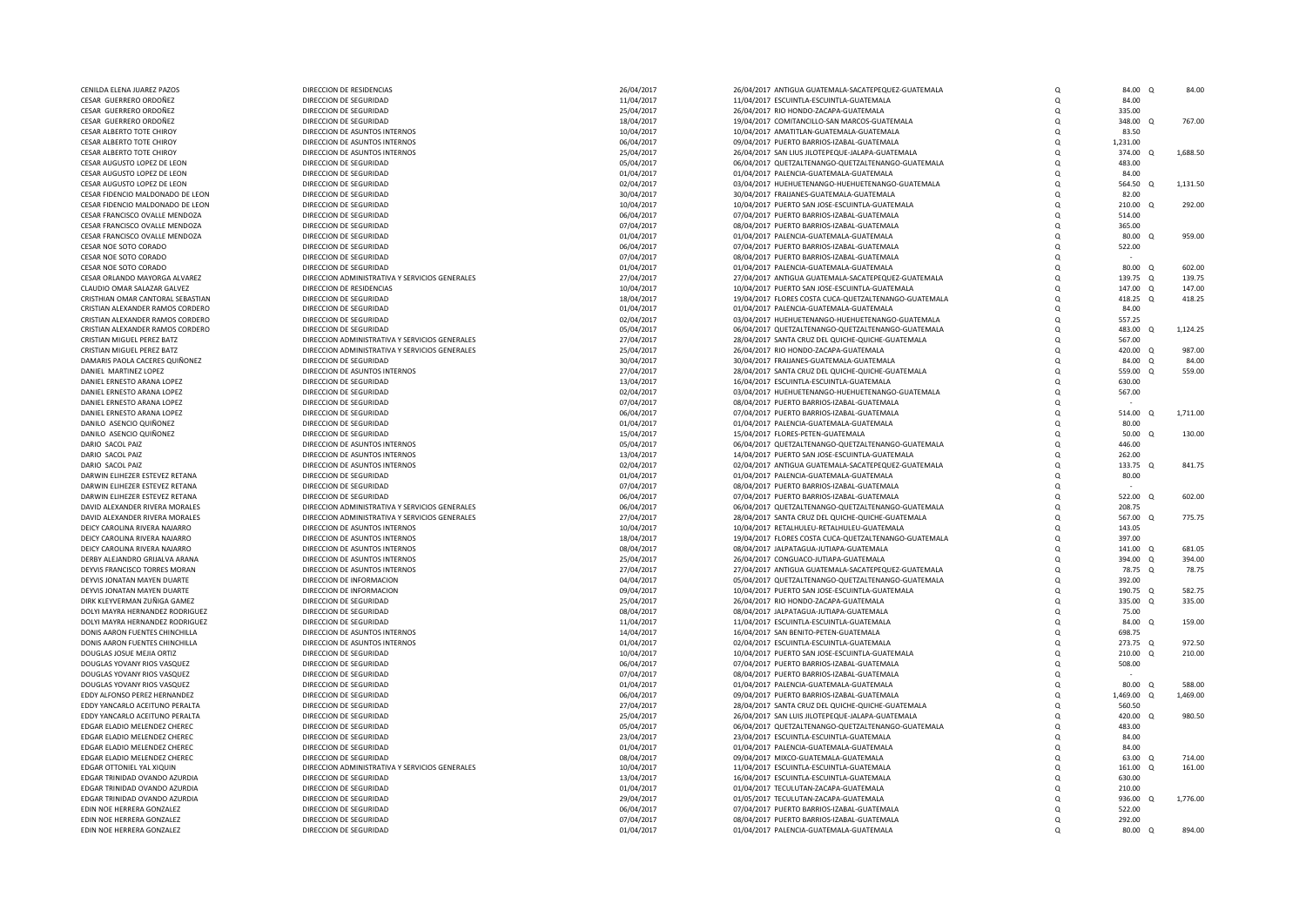| CENILDA ELENA JUAREZ PAZOS        | DIRECCION DE RESIDENCIAS                       | 26/04/2017 | 26/04/2017 ANTIGUA GUATEMALA-SACATEPEQUEZ-GUATEMALA   | $\Omega$   | 84.00 Q         |          | 84.00    |
|-----------------------------------|------------------------------------------------|------------|-------------------------------------------------------|------------|-----------------|----------|----------|
| CESAR GUERRERO ORDOÑEZ            | DIRECCION DE SEGURIDAD                         | 11/04/2017 | 11/04/2017 ESCUINTLA-ESCUINTLA-GUATEMALA              | $\Omega$   | 84.00           |          |          |
| CESAR GUERRERO ORDOÑEZ            | DIRECCION DE SEGURIDAD                         | 25/04/2017 | 26/04/2017 RIO HONDO-ZACAPA-GUATEMALA                 | $\Omega$   | 335.00          |          |          |
| CESAR GUERRERO ORDOÑEZ            | DIRECCION DE SEGURIDAD                         | 18/04/2017 | 19/04/2017 COMITANCILLO-SAN MARCOS-GUATEMALA          | $\Omega$   | 348.00          | $\Omega$ | 767.00   |
| CESAR ALBERTO TOTE CHIROY         | DIRECCION DE ASUNTOS INTERNOS                  | 10/04/2017 | 10/04/2017 AMATITLAN-GUATEMALA-GUATEMALA              | $\Omega$   | 83.50           |          |          |
| CESAR ALBERTO TOTE CHIROY         | DIRECCION DE ASUNTOS INTERNOS                  | 06/04/2017 | 09/04/2017 PUERTO BARRIOS-IZABAL-GUATEMALA            | $\Omega$   | 1,231.00        |          |          |
| CESAR ALBERTO TOTE CHIROY         | DIRECCION DE ASUNTOS INTERNOS                  | 25/04/2017 | 26/04/2017 SAN LIUS JILOTEPEQUE-JALAPA-GUATEMALA      | $\Omega$   | 374.00          | $\Omega$ | 1.688.50 |
| CESAR AUGUSTO LOPEZ DE LEON       | DIRECCION DE SEGURIDAD                         | 05/04/2017 | 06/04/2017 QUETZALTENANGO-QUETZALTENANGO-GUATEMALA    | $\Omega$   | 483.00          |          |          |
| CESAR AUGUSTO LOPEZ DE LEON       | DIRECCION DE SEGURIDAD                         | 01/04/2017 | 01/04/2017 PALENCIA-GUATEMALA-GUATEMALA               | $\Omega$   | 84.00           |          |          |
| CESAR AUGUSTO LOPEZ DE LEON       | DIRECCION DE SEGURIDAD                         | 02/04/2017 | 03/04/2017 HUEHUETENANGO-HUEHUETENANGO-GUATEMALA      | $\Omega$   | 564.50 Q        |          | 1,131.50 |
| CESAR FIDENCIO MALDONADO DE LEON  |                                                |            | 30/04/2017 FRAIJANES-GUATEMALA-GUATEMALA              |            | 82.00           |          |          |
|                                   | DIRECCION DE SEGURIDAD                         | 30/04/2017 |                                                       | $\Omega$   |                 |          |          |
| CESAR FIDENCIO MALDONADO DE LEON  | DIRECCION DE SEGURIDAD                         | 10/04/2017 | 10/04/2017 PUERTO SAN JOSE-ESCUINTLA-GUATEMALA        | $\Omega$   | 210.00 Q        |          | 292.00   |
| CESAR FRANCISCO OVALLE MENDOZA    | DIRECCION DE SEGURIDAD                         | 06/04/2017 | 07/04/2017 PUERTO BARRIOS-IZABAL-GUATEMALA            | $\Omega$   | 514.00          |          |          |
| CESAR FRANCISCO OVALLE MENDOZA    | DIRECCION DE SEGURIDAD                         | 07/04/2017 | 08/04/2017 PUERTO BARRIOS-IZABAL-GUATEMALA            | Q          | 365.00          |          |          |
| CESAR FRANCISCO OVALLE MENDOZA    | DIRECCION DE SEGURIDAD                         | 01/04/2017 | 01/04/2017 PALENCIA-GUATEMALA-GUATEMALA               | $\Omega$   | 80.00 Q         |          | 959.00   |
| CESAR NOE SOTO CORADO             | DIRECCION DE SEGURIDAD                         | 06/04/2017 | 07/04/2017 PUERTO BARRIOS-IZABAL-GUATEMALA            | $\Omega$   | 522.00          |          |          |
| CESAR NOE SOTO CORADO             | DIRECCION DE SEGURIDAD                         | 07/04/2017 | 08/04/2017 PUERTO BARRIOS-IZABAL-GUATEMALA            |            |                 |          |          |
| CESAR NOE SOTO CORADO             | DIRECCION DE SEGURIDAD                         | 01/04/2017 | 01/04/2017 PALENCIA-GUATEMALA-GUATEMALA               | $\Omega$   | 80.00 Q         |          | 602.00   |
| CESAR ORLANDO MAYORGA ALVAREZ     | DIRECCION ADMINISTRATIVA Y SERVICIOS GENERALES | 27/04/2017 | 27/04/2017 ANTIGUA GUATEMALA-SACATEPEQUEZ-GUATEMALA   | $\Omega$   | 139.75 Q        |          | 139.75   |
| CLAUDIO OMAR SALAZAR GALVEZ       | DIRECCION DE RESIDENCIAS                       | 10/04/2017 | 10/04/2017 PUERTO SAN JOSE-ESCUINTLA-GUATEMALA        | $\Omega$   | 147.00 Q        |          | 147.00   |
| CRISTHIAN OMAR CANTORAL SEBASTIAN | DIRECCION DE SEGURIDAD                         | 18/04/2017 | 19/04/2017 FLORES COSTA CUCA-QUETZALTENANGO-GUATEMALA | $\Omega$   | 418.25 Q        |          | 418.25   |
| CRISTIAN ALEXANDER RAMOS CORDERO  | DIRECCION DE SEGURIDAD                         | 01/04/2017 | 01/04/2017 PALENCIA-GUATEMALA-GUATEMALA               | $\Omega$   | 84.00           |          |          |
| CRISTIAN ALEXANDER RAMOS CORDERO  | DIRECCION DE SEGURIDAD                         | 02/04/2017 | 03/04/2017 HUEHUETENANGO-HUEHUETENANGO-GUATEMALA      | $\Omega$   | 557.25          |          |          |
| CRISTIAN ALEXANDER RAMOS CORDERO  | DIRECCION DE SEGURIDAD                         | 05/04/2017 | 06/04/2017 QUETZALTENANGO-QUETZALTENANGO-GUATEMALA    | $\Omega$   | 483.00          | $\Omega$ | 1,124.25 |
| CRISTIAN MIGUEL PEREZ BATZ        | DIRECCION ADMINISTRATIVA Y SERVICIOS GENERALES | 27/04/2017 | 28/04/2017 SANTA CRUZ DEL QUICHE-QUICHE-GUATEMALA     | $\Omega$   | 567.00          |          |          |
| CRISTIAN MIGUEL PEREZ BATZ        | DIRECCION ADMINISTRATIVA Y SERVICIOS GENERALES | 25/04/2017 | 26/04/2017 RIO HONDO-ZACAPA-GUATEMALA                 | $\Omega$   | 420.00 Q        |          | 987.00   |
| DAMARIS PAOLA CACERES QUIÑONEZ    | DIRECCION DE SEGURIDAD                         |            |                                                       | $\Omega$   | 84.00           | $\Omega$ | 84.00    |
|                                   |                                                | 30/04/2017 | 30/04/2017 FRAIJANES-GUATEMALA-GUATEMALA              |            |                 |          |          |
| DANIEL MARTINEZ LOPEZ             | DIRECCION DE ASUNTOS INTERNOS                  | 27/04/2017 | 28/04/2017 SANTA CRUZ DEL QUICHE-QUICHE-GUATEMALA     | $\Omega$   | 559.00          | $\Omega$ | 559.00   |
| DANIEL ERNESTO ARANA LOPEZ        | DIRECCION DE SEGURIDAD                         | 13/04/2017 | 16/04/2017 ESCUINTLA-ESCUINTLA-GUATEMALA              | Q          | 630.00          |          |          |
| DANIEL ERNESTO ARANA LOPEZ        | DIRECCION DE SEGURIDAD                         | 02/04/2017 | 03/04/2017 HUEHUETENANGO-HUEHUETENANGO-GUATEMALA      | $\Omega$   | 567.00          |          |          |
| DANIEL ERNESTO ARANA LOPEZ        | DIRECCION DE SEGURIDAD                         | 07/04/2017 | 08/04/2017 PUERTO BARRIOS-IZABAL-GUATEMALA            | $\Omega$   |                 |          |          |
| DANIEL ERNESTO ARANA LOPEZ        | DIRECCION DE SEGURIDAD                         | 06/04/2017 | 07/04/2017 PUERTO BARRIOS-IZABAL-GUATEMALA            | $\Omega$   | 514.00          | $\Omega$ | 1,711.00 |
| DANILO ASENCIO QUIÑONEZ           | DIRECCION DE SEGURIDAD                         | 01/04/2017 | 01/04/2017 PALENCIA-GUATEMALA-GUATEMALA               | $\Omega$   | 80.00           |          |          |
| DANILO ASENCIO QUIÑONEZ           | DIRECCION DE SEGURIDAD                         | 15/04/2017 | 15/04/2017 FLORES-PETEN-GUATEMALA                     | $\Omega$   | $50.00$ Q       |          | 130.00   |
| DARIO SACOL PAIZ                  | DIRECCION DE ASUNTOS INTERNOS                  | 05/04/2017 | 06/04/2017 QUETZALTENANGO-QUETZALTENANGO-GUATEMALA    | $\Omega$   | 446.00          |          |          |
| DARIO SACOL PAIZ                  | DIRECCION DE ASUNTOS INTERNOS                  | 13/04/2017 | 14/04/2017 PUERTO SAN JOSE-ESCUINTLA-GUATEMALA        | $\Omega$   | 262.00          |          |          |
| DARIO SACOL PAIZ                  | DIRECCION DE ASUNTOS INTERNOS                  | 02/04/2017 | 02/04/2017 ANTIGUA GUATEMALA-SACATEPEQUEZ-GUATEMALA   | $\Omega$   | 133.75 Q        |          | 841.75   |
| DARWIN ELIHEZER ESTEVEZ RETANA    | DIRECCION DE SEGURIDAD                         | 01/04/2017 | 01/04/2017 PALENCIA-GUATEMALA-GUATEMALA               | $\Omega$   | 80.00           |          |          |
| DARWIN ELIHEZER ESTEVEZ RETANA    | DIRECCION DE SEGURIDAD                         | 07/04/2017 | 08/04/2017 PUERTO BARRIOS-IZABAL-GUATEMALA            | $\Omega$   |                 |          |          |
| DARWIN ELIHEZER ESTEVEZ RETANA    | DIRECCION DE SEGURIDAD                         | 06/04/2017 | 07/04/2017 PUERTO BARRIOS-IZABAL-GUATEMALA            | $\Omega$   | 522.00 Q        |          | 602.00   |
| DAVID ALEXANDER RIVERA MORALES    | DIRECCION ADMINISTRATIVA Y SERVICIOS GENERALES | 06/04/2017 | 06/04/2017 QUETZALTENANGO-QUETZALTENANGO-GUATEMALA    | $\Omega$   | 208.75          |          |          |
| DAVID ALEXANDER RIVERA MORALES    | DIRECCION ADMINISTRATIVA Y SERVICIOS GENERALES | 27/04/2017 | 28/04/2017 SANTA CRUZ DEL QUICHE-QUICHE-GUATEMALA     | $\Omega$   | 567.00 Q        |          | 775.75   |
| DEICY CAROLINA RIVERA NAJARRO     | DIRECCION DE ASUNTOS INTERNOS                  | 10/04/2017 | 10/04/2017 RETALHULEU-RETALHULEU-GUATEMALA            | $\Omega$   | 143.05          |          |          |
| DEICY CAROLINA RIVERA NAJARRO     | DIRECCION DE ASUNTOS INTERNOS                  | 18/04/2017 | 19/04/2017 FLORES COSTA CUCA-QUETZALTENANGO-GUATEMALA | $\Omega$   | 397.00          |          |          |
| DEICY CAROLINA RIVERA NAJARRO     | DIRECCION DE ASUNTOS INTERNOS                  | 08/04/2017 | 08/04/2017 JALPATAGUA-JUTIAPA-GUATEMALA               |            | 141.00 Q        |          | 681.05   |
|                                   |                                                |            |                                                       |            |                 |          |          |
| DERBY ALEJANDRO GRIJALVA ARANA    | DIRECCION DE ASUNTOS INTERNOS                  | 25/04/2017 | 26/04/2017 CONGUACO-JUTIAPA-GUATEMALA                 | $\Omega$   | 394.00          | $\Omega$ | 394.00   |
| DEYVIS FRANCISCO TORRES MORAN     | DIRECCION DE ASUNTOS INTERNOS                  | 27/04/2017 | 27/04/2017 ANTIGUA GUATEMALA-SACATEPEQUEZ-GUATEMALA   | $\Omega$   | 78.75 Q         |          | 78.75    |
| DEYVIS JONATAN MAYEN DUARTE       | DIRECCION DE INFORMACION                       | 04/04/2017 | 05/04/2017 QUETZALTENANGO-QUETZALTENANGO-GUATEMALA    | $\Omega$   | 392.00          |          |          |
| DEYVIS JONATAN MAYEN DUARTE       | DIRECCION DE INFORMACION                       | 09/04/2017 | 10/04/2017 PUERTO SAN JOSE-ESCUINTLA-GUATEMALA        | $\Omega$   | 190.75 Q        |          | 582.75   |
| DIRK KLEYVERMAN ZUÑIGA GAMEZ      | DIRECCION DE SEGURIDAD                         | 25/04/2017 | 26/04/2017 RIO HONDO-ZACAPA-GUATEMALA                 | $\Omega$   | 335.00 Q        |          | 335.00   |
| DOLYI MAYRA HERNANDEZ RODRIGUEZ   | DIRECCION DE SEGURIDAD                         | 08/04/2017 | 08/04/2017 JALPATAGUA-JUTIAPA-GUATEMALA               | $\Omega$   | 75.00           |          |          |
| DOLYI MAYRA HERNANDEZ RODRIGUEZ   | DIRECCION DE SEGURIDAD                         | 11/04/2017 | 11/04/2017 ESCUINTLA-ESCUINTLA-GUATEMALA              | $\Omega$   | 84.00           | $\Omega$ | 159.00   |
| DONIS AARON FUENTES CHINCHILLA    | DIRECCION DE ASUNTOS INTERNOS                  | 14/04/2017 | 16/04/2017 SAN BENITO-PETEN-GUATEMALA                 | $\Omega$   | 698.75          |          |          |
| DONIS AARON FUENTES CHINCHILLA    | DIRECCION DE ASUNTOS INTERNOS                  | 01/04/2017 | 02/04/2017 ESCUINTLA-ESCUINTLA-GUATEMALA              | $\Omega$   | 273.75 Q        |          | 972.50   |
| DOUGLAS JOSUE MEJIA ORTIZ         | DIRECCION DE SEGURIDAD                         | 10/04/2017 | 10/04/2017 PUERTO SAN JOSE-ESCUINTLA-GUATEMALA        | $\Omega$   | 210.00          | $\Omega$ | 210.00   |
| DOUGLAS YOVANY RIOS VASQUEZ       | DIRECCION DE SEGURIDAD                         | 06/04/2017 | 07/04/2017 PUERTO BARRIOS-IZABAL-GUATEMALA            | $\Omega$   | 508.00          |          |          |
| DOUGLAS YOVANY RIOS VASQUEZ       | DIRECCION DE SEGURIDAD                         | 07/04/2017 | 08/04/2017 PUERTO BARRIOS-IZABAL-GUATEMALA            | $\Omega$   |                 |          |          |
| DOUGLAS YOVANY RIOS VASQUEZ       | DIRECCION DE SEGURIDAD                         | 01/04/2017 | 01/04/2017 PALENCIA-GUATEMALA-GUATEMALA               | $\Omega$   | 80.00 Q         |          | 588.00   |
| EDDY ALFONSO PEREZ HERNANDEZ      | DIRECCION DE SEGURIDAD                         | 06/04/2017 | 09/04/2017 PUERTO BARRIOS-IZABAL-GUATEMALA            | Q          | 1,469.00        | $\Omega$ | 1,469.00 |
| EDDY YANCARLO ACEITUNO PERALTA    | DIRECCION DE SEGURIDAD                         | 27/04/2017 | 28/04/2017 SANTA CRUZ DEL QUICHE-QUICHE-GUATEMALA     | $\Omega$   | 560.50          |          |          |
| EDDY YANCARLO ACEITUNO PERALTA    | DIRECCION DE SEGURIDAD                         | 25/04/2017 | 26/04/2017 SAN LUIS JILOTEPEQUE-JALAPA-GUATEMALA      | Q          | 420.00          | $\Omega$ | 980.50   |
| EDGAR ELADIO MELENDEZ CHEREC      | DIRECCION DE SEGURIDAD                         | 05/04/2017 | 06/04/2017 QUETZALTENANGO-QUETZALTENANGO-GUATEMALA    | $\Omega$   | 483.00          |          |          |
| EDGAR ELADIO MELENDEZ CHEREC      | DIRECCION DE SEGURIDAD                         | 23/04/2017 | 23/04/2017 ESCUINTLA-ESCUINTLA-GUATEMALA              | $\Omega$   | 84.00           |          |          |
| EDGAR ELADIO MELENDEZ CHEREC      | DIRECCION DE SEGURIDAD                         | 01/04/2017 | 01/04/2017 PALENCIA-GUATEMALA-GUATEMALA               | $\Omega$   | 84.00           |          |          |
|                                   | DIRECCION DE SEGURIDAD                         |            |                                                       |            | 63.00 Q         |          |          |
| EDGAR ELADIO MELENDEZ CHEREC      |                                                | 08/04/2017 | 09/04/2017 MIXCO-GUATEMALA-GUATEMALA                  | $\Omega$   |                 |          | 714.00   |
| EDGAR OTTONIEL YAL XIQUIN         | DIRECCION ADMINISTRATIVA Y SERVICIOS GENERALES | 10/04/2017 | 11/04/2017 ESCUINTLA-ESCUINTLA-GUATEMALA              | $\Omega$   | 161.00 Q        |          | 161.00   |
| EDGAR TRINIDAD OVANDO AZURDIA     | DIRECCION DE SEGURIDAD                         | 13/04/2017 | 16/04/2017 ESCUINTLA-ESCUINTLA-GUATEMALA              | $\Omega$   | 630.00          |          |          |
| EDGAR TRINIDAD OVANDO AZURDIA     | DIRECCION DE SEGURIDAD                         | 01/04/2017 | 01/04/2017 TECULUTAN-ZACAPA-GUATEMALA                 |            | 210.00          |          |          |
| EDGAR TRINIDAD OVANDO AZURDIA     | DIRECCION DE SEGURIDAD                         | 29/04/2017 | 01/05/2017 TECULUTAN-ZACAPA-GUATEMALA                 | $\Omega$   | 936.00 Q        |          | 1,776.00 |
| EDIN NOE HERRERA GONZALEZ         | DIRECCION DE SEGURIDAD                         | 06/04/2017 | 07/04/2017 PUERTO BARRIOS-IZABAL-GUATEMALA            | $^{\circ}$ | 522.00          |          |          |
| EDIN NOE HERRERA GONZALEZ         | DIRECCION DE SEGURIDAD                         | 07/04/2017 | 08/04/2017 PUERTO BARRIOS-IZABAL-GUATEMALA            | $\Omega$   | 292.00          |          |          |
| EDIN NOE HERRERA GONZALEZ         | DIRECCION DE SEGURIDAD                         | 01/04/2017 | 01/04/2017 PALENCIA-GUATEMALA-GUATEMALA               | $\Omega$   | $80.00 \quad O$ |          | 894.00   |
|                                   |                                                |            |                                                       |            |                 |          |          |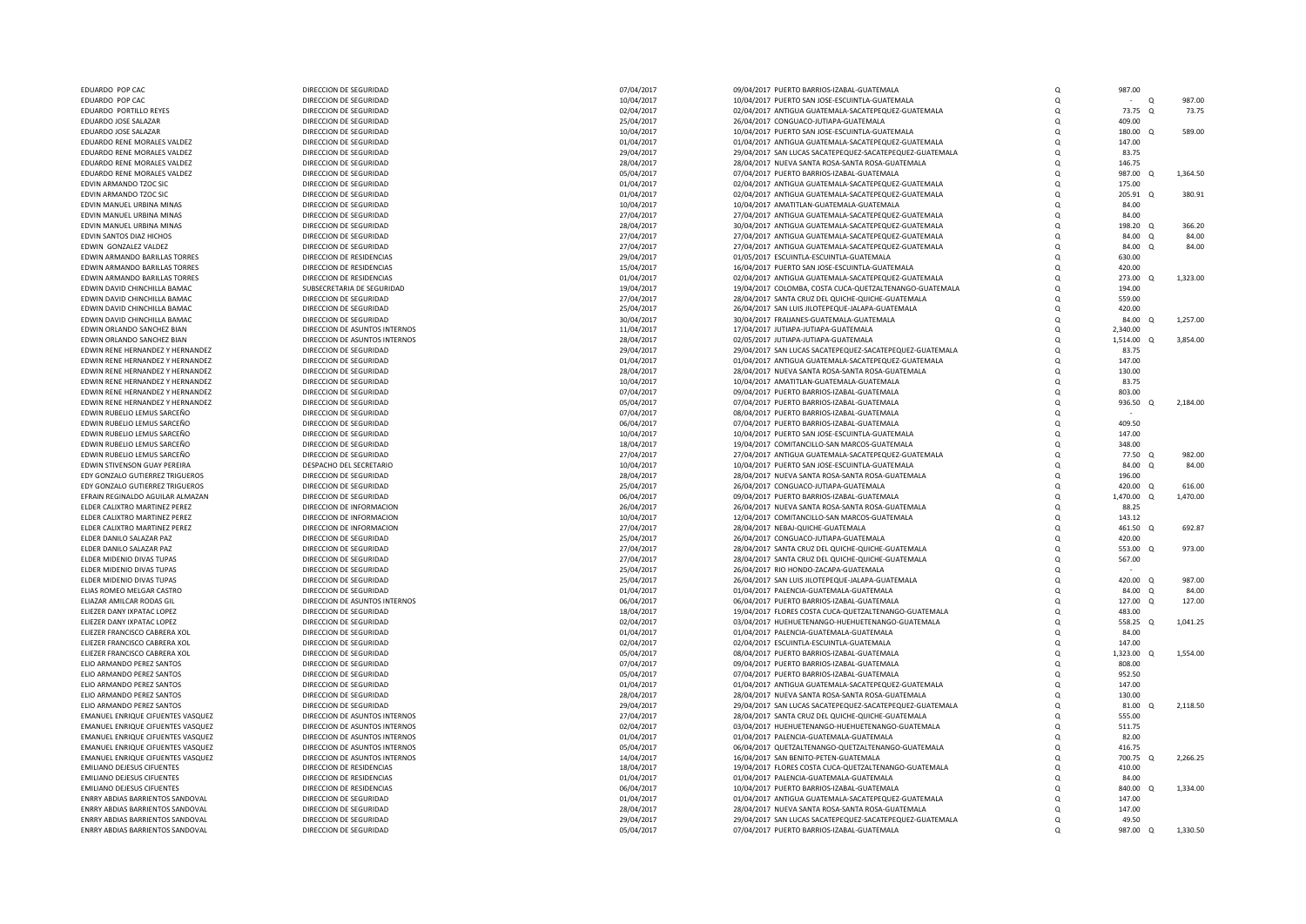| EDUARDO POP CAC                          | DIRECCION DE SEGURIDAD        | 07/04/2017 | 09/04/2017 PUERTO BARRIOS-IZABAL-GUATEMALA               | O        | 987.00               |          |
|------------------------------------------|-------------------------------|------------|----------------------------------------------------------|----------|----------------------|----------|
| EDUARDO POP CAC                          | DIRECCION DE SEGURIDAD        |            |                                                          | $\Omega$ | $\Omega$<br>$\sim$   | 987.00   |
|                                          |                               | 10/04/2017 | 10/04/2017 PUERTO SAN JOSE-ESCUINTLA-GUATEMALA           |          |                      |          |
| EDUARDO PORTILLO REYES                   | DIRECCION DE SEGURIDAD        | 02/04/2017 | 02/04/2017 ANTIGUA GUATEMALA-SACATEPEQUEZ-GUATEMALA      | $\Omega$ | 73.75 Q              | 73.75    |
| EDUARDO JOSE SALAZAR                     | DIRECCION DE SEGURIDAD        | 25/04/2017 | 26/04/2017 CONGUACO-JUTIAPA-GUATEMALA                    | O        | 409.00               |          |
| EDUARDO JOSE SALAZAR                     | DIRECCION DE SEGURIDAD        | 10/04/2017 | 10/04/2017 PUERTO SAN JOSE-ESCUINTLA-GUATEMALA           | $\Omega$ | 180.00 Q             | 589.00   |
|                                          |                               |            |                                                          |          |                      |          |
| EDUARDO RENE MORALES VALDEZ              | DIRECCION DE SEGURIDAD        | 01/04/2017 | 01/04/2017 ANTIGUA GUATEMALA-SACATEPEQUEZ-GUATEMALA      | O        | 147.00               |          |
| EDUARDO RENE MORALES VALDEZ              | DIRECCION DE SEGURIDAD        | 29/04/2017 | 29/04/2017 SAN LUCAS SACATEPEQUEZ-SACATEPEQUEZ-GUATEMALA | O        | 83.75                |          |
| EDUARDO RENE MORALES VALDEZ              | DIRECCION DE SEGURIDAD        | 28/04/2017 | 28/04/2017 NUEVA SANTA ROSA-SANTA ROSA-GUATEMALA         | O        | 146.75               |          |
| EDUARDO RENE MORALES VALDEZ              | DIRECCION DE SEGURIDAD        | 05/04/2017 | 07/04/2017 PUERTO BARRIOS-IZABAL-GUATEMALA               | O        | 987.00<br>$\Omega$   | 1,364.50 |
|                                          |                               |            |                                                          |          |                      |          |
| EDVIN ARMANDO TZOC SIC                   | DIRECCION DE SEGURIDAD        | 01/04/2017 | 02/04/2017 ANTIGUA GUATEMALA-SACATEPEQUEZ-GUATEMALA      | Q        | 175.00               |          |
| EDVIN ARMANDO TZOC SIC                   | DIRECCION DE SEGURIDAD        | 01/04/2017 | 02/04/2017 ANTIGUA GUATEMALA-SACATEPEQUEZ-GUATEMALA      | $\Omega$ | 205.91<br>$\Omega$   | 380.91   |
| EDVIN MANUEL URBINA MINAS                | DIRECCION DE SEGURIDAD        | 10/04/2017 | 10/04/2017 AMATITLAN-GUATEMALA-GUATEMALA                 | $\Omega$ | 84.00                |          |
| EDVIN MANUEL URBINA MINAS                | DIRECCION DE SEGURIDAD        | 27/04/2017 | 27/04/2017 ANTIGUA GUATEMALA-SACATEPEQUEZ-GUATEMALA      | O        | 84.00                |          |
|                                          |                               |            |                                                          | $\Omega$ |                      |          |
| EDVIN MANUEL URBINA MINAS                | DIRECCION DE SEGURIDAD        | 28/04/2017 | 30/04/2017 ANTIGUA GUATEMALA-SACATEPEQUEZ-GUATEMALA      |          | 198.20 Q             | 366.20   |
| EDVIN SANTOS DIAZ HICHOS                 | DIRECCION DE SEGURIDAD        | 27/04/2017 | 27/04/2017 ANTIGUA GUATEMALA-SACATEPEQUEZ-GUATEMALA      | $\Omega$ | $84.00 \quad 0$      | 84.00    |
| EDWIN GONZALEZ VALDEZ                    | DIRECCION DE SEGURIDAD        | 27/04/2017 | 27/04/2017 ANTIGUA GUATEMALA-SACATEPEQUEZ-GUATEMALA      | O        | 84.00 Q              | 84.00    |
| EDWIN ARMANDO BARILLAS TORRES            | DIRECCION DE RESIDENCIAS      | 29/04/2017 | 01/05/2017 ESCUINTLA-ESCUINTLA-GUATEMALA                 | $\Omega$ | 630.00               |          |
| EDWIN ARMANDO BARILLAS TORRES            | DIRECCION DE RESIDENCIAS      | 15/04/2017 | 16/04/2017 PUERTO SAN JOSE-ESCUINTLA-GUATEMALA           | O        | 420.00               |          |
|                                          |                               |            |                                                          |          |                      |          |
| EDWIN ARMANDO BARILLAS TORRES            | DIRECCION DE RESIDENCIAS      | 01/04/2017 | 02/04/2017 ANTIGUA GUATEMALA-SACATEPEQUEZ-GUATEMALA      | O        | 273.00 Q             | 1,323.00 |
| EDWIN DAVID CHINCHILLA BAMAC             | SUBSECRETARIA DE SEGURIDAD    | 19/04/2017 | 19/04/2017 COLOMBA, COSTA CUCA-QUETZALTENANGO-GUATEMALA  | $\Omega$ | 194.00               |          |
| FDWIN DAVID CHINCHILLA BAMAC             | DIRECCION DE SEGURIDAD        | 27/04/2017 | 28/04/2017 SANTA CRUZ DEL QUICHE-QUICHE-GUATEMALA        | $\Omega$ | 559.00               |          |
| EDWIN DAVID CHINCHILLA BAMAC             | DIRECCION DE SEGURIDAD        | 25/04/2017 | 26/04/2017 SAN LUIS JILOTEPEQUE-JALAPA-GUATEMALA         | O        | 420.00               |          |
|                                          |                               |            |                                                          |          |                      |          |
| EDWIN DAVID CHINCHILLA BAMAC             | DIRECCION DE SEGURIDAD        | 30/04/2017 | 30/04/2017 FRAIJANES-GUATEMALA-GUATEMALA                 | O        | 84.00 Q              | 1,257.00 |
| EDWIN ORLANDO SANCHEZ BIAN               | DIRECCION DE ASUNTOS INTERNOS | 11/04/2017 | 17/04/2017 JUTIAPA-JUTIAPA-GUATEMALA                     | Q        | 2,340.00             |          |
| EDWIN ORLANDO SANCHEZ BIAN               | DIRECCION DE ASUNTOS INTERNOS | 28/04/2017 | 02/05/2017 JUTIAPA-JUTIAPA-GUATEMALA                     | O        | 1,514.00 Q           | 3,854.00 |
| EDWIN RENE HERNANDEZ Y HERNANDEZ         | DIRECCION DE SEGURIDAD        | 29/04/2017 | 29/04/2017 SAN LUCAS SACATEPEQUEZ-SACATEPEQUEZ-GUATEMALA | $\Omega$ | 83.75                |          |
|                                          |                               |            |                                                          |          |                      |          |
| <b>FDWIN RENE HERNANDEZ Y HERNANDEZ</b>  | DIRECCION DE SEGURIDAD        | 01/04/2017 | 01/04/2017 ANTIGUA GUATEMALA-SACATEPEQUEZ-GUATEMALA      | $\Omega$ | 147.00               |          |
| EDWIN RENE HERNANDEZ Y HERNANDEZ         | DIRECCION DE SEGURIDAD        | 28/04/2017 | 28/04/2017 NUEVA SANTA ROSA-SANTA ROSA-GUATEMALA         | $\Omega$ | 130.00               |          |
| EDWIN RENE HERNANDEZ Y HERNANDEZ         | DIRECCION DE SEGURIDAD        | 10/04/2017 | 10/04/2017 AMATITLAN-GUATEMALA-GUATEMALA                 | $\Omega$ | 83.75                |          |
|                                          |                               |            |                                                          |          |                      |          |
| EDWIN RENE HERNANDEZ Y HERNANDEZ         | DIRECCION DE SEGURIDAD        | 07/04/2017 | 09/04/2017 PUERTO BARRIOS-IZABAL-GUATEMALA               | Q        | 803.00               |          |
| EDWIN RENE HERNANDEZ Y HERNANDEZ         | DIRECCION DE SEGURIDAD        | 05/04/2017 | 07/04/2017 PUERTO BARRIOS-IZABAL-GUATEMALA               | O        | 936.50               | 2,184.00 |
| EDWIN RUBELIO LEMUS SARCEÑO              | DIRECCION DE SEGURIDAD        | 07/04/2017 | 08/04/2017 PUERTO BARRIOS-IZABAL-GUATEMALA               | $\Omega$ |                      |          |
| EDWIN RUBELIO LEMUS SARCEÑO              | DIRECCION DE SEGURIDAD        | 06/04/2017 | 07/04/2017 PUERTO BARRIOS-IZABAL-GUATEMALA               | $\Omega$ | 409.50               |          |
| EDWIN RUBELIO LEMUS SARCEÑO              | DIRECCION DE SEGURIDAD        | 10/04/2017 | 10/04/2017 PUERTO SAN JOSE-ESCUINTLA-GUATEMALA           | O        | 147.00               |          |
|                                          |                               |            |                                                          |          |                      |          |
| EDWIN RUBELIO LEMUS SARCEÑO              | DIRECCION DE SEGURIDAD        | 18/04/2017 | 19/04/2017 COMITANCILLO-SAN MARCOS-GUATEMALA             | o        | 348.00               |          |
| EDWIN RUBELIO LEMUS SARCEÑO              | DIRECCION DE SEGURIDAD        | 27/04/2017 | 27/04/2017 ANTIGUA GUATEMALA-SACATEPEQUEZ-GUATEMALA      | Q        | 77.50 Q              | 982.00   |
| EDWIN STIVENSON GUAY PEREIRA             | DESPACHO DEL SECRETARIO       | 10/04/2017 | 10/04/2017 PUERTO SAN JOSE-ESCUINTLA-GUATEMALA           | O        | 84.00<br>$\Omega$    | 84.00    |
| EDY GONZALO GUTIERREZ TRIGUEROS          | DIRECCION DE SEGURIDAD        | 28/04/2017 | 28/04/2017 NUEVA SANTA ROSA-SANTA ROSA-GUATEMALA         | O        | 196.00               |          |
|                                          |                               |            |                                                          |          |                      |          |
| EDY GONZALO GUTIERREZ TRIGUEROS          | DIRECCION DE SEGURIDAD        | 25/04/2017 | 26/04/2017 CONGUACO-JUTIAPA-GUATEMALA                    | O        | 420.00 Q             | 616.00   |
| EFRAIN REGINALDO AGUILAR ALMAZAN         | DIRECCION DE SEGURIDAD        | 06/04/2017 | 09/04/2017 PUERTO BARRIOS-IZABAL-GUATEMALA               | O        | 1,470.00 Q           | 1,470.00 |
| ELDER CALIXTRO MARTINEZ PEREZ            | DIRECCION DE INFORMACION      | 26/04/2017 | 26/04/2017 NUEVA SANTA ROSA-SANTA ROSA-GUATEMALA         | O        | 88.25                |          |
| ELDER CALIXTRO MARTINEZ PEREZ            | DIRECCION DE INFORMACION      | 10/04/2017 | 12/04/2017 COMITANCILLO-SAN MARCOS-GUATEMALA             | $\Omega$ | 143.12               |          |
|                                          |                               |            |                                                          | $\Omega$ |                      |          |
| ELDER CALIXTRO MARTINEZ PEREZ            | DIRECCION DE INFORMACION      | 27/04/2017 | 28/04/2017 NEBAJ-QUICHE-GUATEMALA                        |          | 461.50 Q             | 692.87   |
| ELDER DANILO SALAZAR PAZ                 | DIRECCION DE SEGURIDAD        | 25/04/2017 | 26/04/2017 CONGUACO-JUTIAPA-GUATEMALA                    | O        | 420.00               |          |
| ELDER DANILO SALAZAR PAZ                 | DIRECCION DE SEGURIDAD        | 27/04/2017 | 28/04/2017 SANTA CRUZ DEL QUICHE-QUICHE-GUATEMALA        | O        | 553.00 Q             | 973.00   |
| ELDER MIDENIO DIVAS TUPAS                | DIRECCION DE SEGURIDAD        | 27/04/2017 | 28/04/2017 SANTA CRUZ DEL QUICHE-QUICHE-GUATEMALA        | O        | 567.00               |          |
| ELDER MIDENIO DIVAS TUPAS                | DIRECCION DE SEGURIDAD        | 25/04/2017 | 26/04/2017 RIO HONDO-ZACAPA-GUATEMALA                    | $\Omega$ |                      |          |
|                                          |                               |            |                                                          |          |                      |          |
| ELDER MIDENIO DIVAS TUPAS                | DIRECCION DE SEGURIDAD        | 25/04/2017 | 26/04/2017 SAN LUIS JILOTEPEQUE-JALAPA-GUATEMALA         | O        | 420.00 Q             | 987.00   |
| ELIAS ROMEO MELGAR CASTRO                | DIRECCION DE SEGURIDAD        | 01/04/2017 | 01/04/2017 PALENCIA-GUATEMALA-GUATEMALA                  | O        | 84.00 Q              | 84.00    |
| FLIAZAR AMILCAR RODAS GIL                | DIRECCION DE ASUNTOS INTERNOS | 06/04/2017 | 06/04/2017 PUERTO BARRIOS-IZABAL-GUATEMALA               | O        | 127.00 Q             | 127.00   |
| ELIEZER DANY IXPATAC LOPEZ               | DIRECCION DE SEGURIDAD        | 18/04/2017 | 19/04/2017 FLORES COSTA CUCA-QUETZALTENANGO-GUATEMALA    | O        | 483.00               |          |
|                                          |                               |            |                                                          |          |                      |          |
| ELIEZER DANY IXPATAC LOPEZ               | DIRECCION DE SEGURIDAD        | 02/04/2017 | 03/04/2017 HUEHUETENANGO-HUEHUETENANGO-GUATEMALA         | $\Omega$ | 558.25 Q             | 1,041.25 |
| ELIEZER FRANCISCO CABRERA XOL            | DIRECCION DE SEGURIDAD        | 01/04/2017 | 01/04/2017 PALENCIA-GUATEMALA-GUATEMALA                  | $\Omega$ | 84.00                |          |
| ELIEZER FRANCISCO CABRERA XOL            | DIRECCION DE SEGURIDAD        | 02/04/2017 | 02/04/2017 ESCUINTLA-ESCUINTLA-GUATEMALA                 | O        | 147.00               |          |
| ELIEZER FRANCISCO CABRERA XOL            | DIRECCION DE SEGURIDAD        | 05/04/2017 | 08/04/2017 PUERTO BARRIOS-IZABAL-GUATEMALA               | $\Omega$ | 1,323.00 Q           | 1,554.00 |
|                                          |                               |            |                                                          |          |                      |          |
| ELIO ARMANDO PEREZ SANTOS                | DIRECCION DE SEGURIDAD        | 07/04/2017 | 09/04/2017 PUERTO BARRIOS-IZABAL-GUATEMALA               | $\Omega$ | 808.00               |          |
| ELIO ARMANDO PEREZ SANTOS                | DIRECCION DE SEGURIDAD        | 05/04/2017 | 07/04/2017 PUERTO BARRIOS-IZABAL-GUATEMALA               | O        | 952.50               |          |
| ELIO ARMANDO PEREZ SANTOS                | DIRECCION DE SEGURIDAD        | 01/04/2017 | 01/04/2017 ANTIGUA GUATEMALA-SACATEPEQUEZ-GUATEMALA      | $\Omega$ | 147.00               |          |
| ELIO ARMANDO PEREZ SANTOS                | DIRECCION DE SEGURIDAD        | 28/04/2017 | 28/04/2017 NUEVA SANTA ROSA-SANTA ROSA-GUATEMALA         | $\Omega$ | 130.00               |          |
|                                          |                               |            |                                                          |          |                      |          |
| ELIO ARMANDO PEREZ SANTOS                | DIRECCION DE SEGURIDAD        | 29/04/2017 | 29/04/2017 SAN LUCAS SACATEPEQUEZ-SACATEPEQUEZ-GUATEMALA | O        | 81.00 Q              | 2,118.50 |
| EMANUEL ENRIQUE CIFUENTES VASQUEZ        | DIRECCION DE ASUNTOS INTERNOS | 27/04/2017 | 28/04/2017 SANTA CRUZ DEL QUICHE-QUICHE-GUATEMALA        | O        | 555.00               |          |
| <b>EMANUEL ENRIQUE CIFUENTES VASQUEZ</b> | DIRECCION DE ASUNTOS INTERNOS | 02/04/2017 | 03/04/2017 HUEHUETENANGO-HUEHUETENANGO-GUATEMALA         | $\Omega$ | 511.75               |          |
| EMANUEL ENRIQUE CIFUENTES VASQUEZ        | DIRECCION DE ASUNTOS INTERNOS | 01/04/2017 | 01/04/2017 PALENCIA-GUATEMALA-GUATEMALA                  | O        | 82.00                |          |
| EMANUEL ENRIQUE CIFUENTES VASQUEZ        | DIRECCION DE ASUNTOS INTERNOS | 05/04/2017 | 06/04/2017 QUETZALTENANGO-QUETZALTENANGO-GUATEMALA       | $\Omega$ | 416.75               |          |
|                                          |                               |            |                                                          |          |                      |          |
| EMANUEL ENRIQUE CIFUENTES VASQUEZ        | DIRECCION DE ASUNTOS INTERNOS | 14/04/2017 | 16/04/2017 SAN BENITO-PETEN-GUATEMALA                    | O        | 700.75<br>$^{\circ}$ | 2,266.25 |
| EMILIANO DEJESUS CIFUENTES               | DIRECCION DE RESIDENCIAS      | 18/04/2017 | 19/04/2017 FLORES COSTA CUCA-QUETZALTENANGO-GUATEMALA    | $\Omega$ | 410.00               |          |
| EMILIANO DEJESUS CIFUENTES               | DIRECCION DE RESIDENCIAS      | 01/04/2017 | 01/04/2017 PALENCIA-GUATEMALA-GUATEMALA                  | $\Omega$ | 84.00                |          |
| EMILIANO DEJESUS CIFUENTES               | DIRECCION DE RESIDENCIAS      | 06/04/2017 | 10/04/2017 PUERTO BARRIOS-IZABAL-GUATEMALA               | $\Omega$ | 840.00<br>$\cap$     | 1,334.00 |
|                                          |                               |            |                                                          |          |                      |          |
| ENRRY ABDIAS BARRIENTOS SANDOVAL         | DIRECCION DE SEGURIDAD        | 01/04/2017 | 01/04/2017 ANTIGUA GUATEMALA-SACATEPEQUEZ-GUATEMALA      | $\Omega$ | 147.00               |          |
| ENRRY ABDIAS BARRIENTOS SANDOVAL         | DIRECCION DE SEGURIDAD        | 28/04/2017 | 28/04/2017 NUEVA SANTA ROSA-SANTA ROSA-GUATEMALA         | $\Omega$ | 147.00               |          |
| ENRRY ABDIAS BARRIENTOS SANDOVAL         | DIRECCION DE SEGURIDAD        | 29/04/2017 | 29/04/2017 SAN LUCAS SACATEPEQUEZ-SACATEPEQUEZ-GUATEMALA | $\Omega$ | 49.50                |          |
| ENRRY ABDIAS BARRIENTOS SANDOVAL         | DIRECCION DE SEGURIDAD        | 05/04/2017 | 07/04/2017 PUERTO BARRIOS-IZABAL-GUATEMALA               | $\Omega$ | 987.00 Q             | 1,330.50 |
|                                          |                               |            |                                                          |          |                      |          |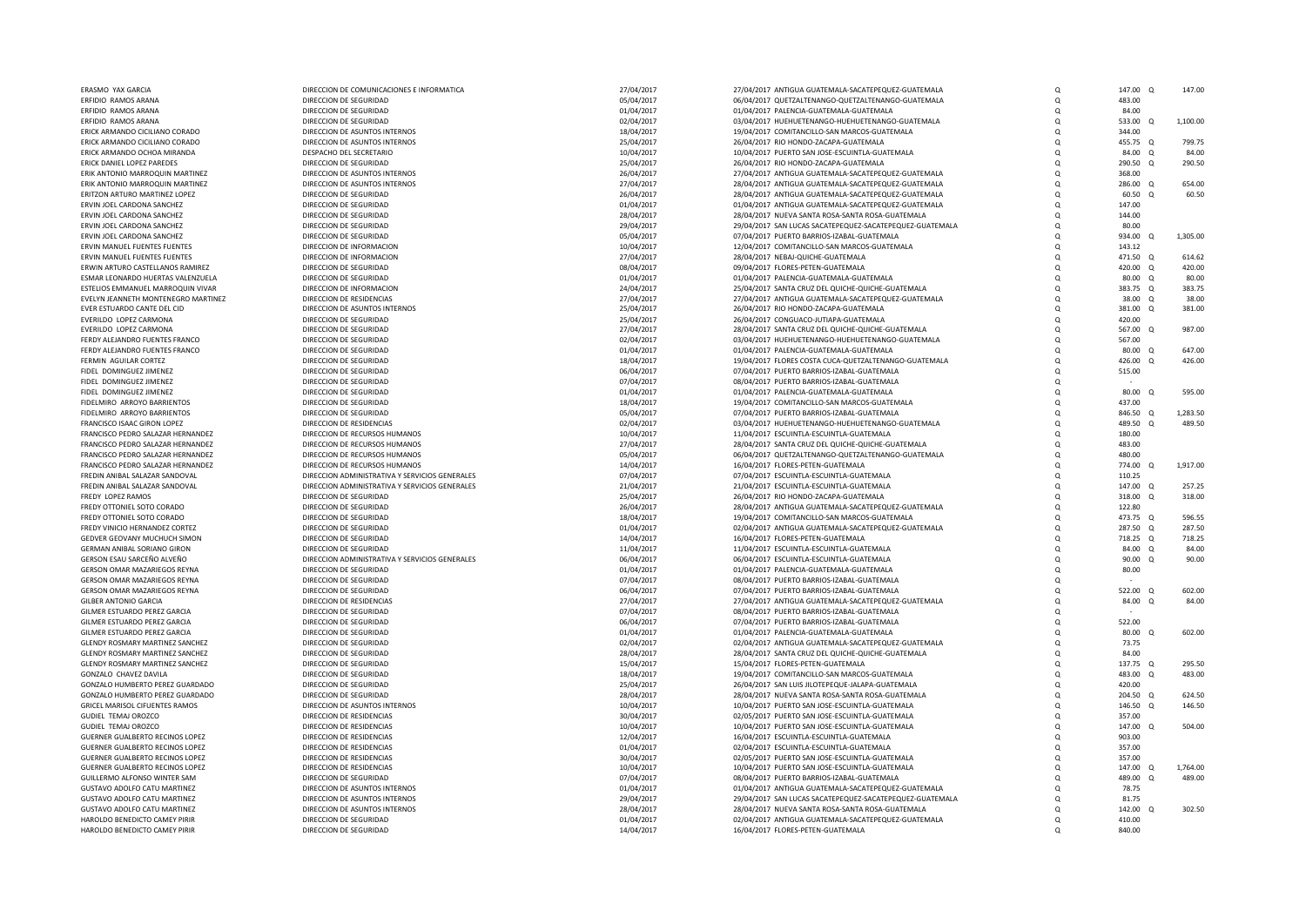| ERASMO YAX GARCIA                                             | DIRECCION DE COMUNICACIONES E INFORMATICA               | 27/04/2017               | 27/04/2017 ANTIGUA GUATEMALA-SACATEPEQUEZ-GUATEMALA                                               | $\mathsf Q$         | 147.00 Q            | 147.00          |
|---------------------------------------------------------------|---------------------------------------------------------|--------------------------|---------------------------------------------------------------------------------------------------|---------------------|---------------------|-----------------|
| ERFIDIO RAMOS ARANA                                           | DIRECCION DE SEGURIDAD                                  | 05/04/2017               | 06/04/2017 QUETZALTENANGO-QUETZALTENANGO-GUATEMALA                                                | $\mathsf Q$         | 483.00              |                 |
| <b>FREIDIO RAMOS ARANA</b>                                    | DIRECCION DE SEGURIDAD                                  | 01/04/2017               | 01/04/2017 PALENCIA-GUATEMALA-GUATEMALA                                                           | $\mathsf Q$         | 84.00               |                 |
| ERFIDIO RAMOS ARANA                                           | DIRECCION DE SEGURIDAD                                  | 02/04/2017               | 03/04/2017 HUEHUETENANGO-HUEHUETENANGO-GUATEMALA                                                  | Q                   | 533.00<br>$\Omega$  | 1,100.00        |
| ERICK ARMANDO CICILIANO CORADO                                | DIRECCION DE ASUNTOS INTERNOS                           | 18/04/2017               | 19/04/2017 COMITANCILLO-SAN MARCOS-GUATEMALA                                                      | $\Omega$            | 344.00              |                 |
| ERICK ARMANDO CICILIANO CORADO                                | DIRECCION DE ASUNTOS INTERNOS                           | 25/04/2017               | 26/04/2017 RIO HONDO-ZACAPA-GUATEMALA                                                             | Q                   | 455.75 Q            | 799.75          |
| ERICK ARMANDO OCHOA MIRANDA                                   | DESPACHO DEL SECRETARIO                                 | 10/04/2017               | 10/04/2017 PUERTO SAN JOSE-ESCUINTLA-GUATEMALA                                                    | $\Omega$            | 84.00 Q             | 84.00           |
| ERICK DANIEL LOPEZ PAREDES<br>ERIK ANTONIO MARROQUIN MARTINEZ | DIRECCION DE SEGURIDAD<br>DIRECCION DE ASUNTOS INTERNOS | 25/04/2017<br>26/04/2017 | 26/04/2017 RIO HONDO-ZACAPA-GUATEMALA<br>27/04/2017 ANTIGUA GUATEMALA-SACATEPEQUEZ-GUATEMALA      | $\circ$<br>$\Omega$ | 290.50 Q<br>368.00  | 290.50          |
| ERIK ANTONIO MARROQUIN MARTINEZ                               | DIRECCION DE ASUNTOS INTERNOS                           | 27/04/2017               | 28/04/2017 ANTIGUA GUATEMALA-SACATEPEQUEZ-GUATEMALA                                               | $\Omega$            | 286,00 0            | 654.00          |
| ERITZON ARTURO MARTINEZ LOPEZ                                 | DIRECCION DE SEGURIDAD                                  | 26/04/2017               | 28/04/2017 ANTIGUA GUATEMALA-SACATEPEQUEZ-GUATEMALA                                               | Q                   | 60.50<br>$\Omega$   | 60.50           |
| ERVIN JOEL CARDONA SANCHEZ                                    | DIRECCION DE SEGURIDAD                                  | 01/04/2017               | 01/04/2017 ANTIGUA GUATEMALA-SACATEPEQUEZ-GUATEMALA                                               | Q                   | 147.00              |                 |
| ERVIN JOEL CARDONA SANCHEZ                                    | DIRECCION DE SEGURIDAD                                  | 28/04/2017               | 28/04/2017 NUEVA SANTA ROSA-SANTA ROSA-GUATEMALA                                                  | Q                   | 144.00              |                 |
| ERVIN JOEL CARDONA SANCHEZ                                    | DIRECCION DE SEGURIDAD                                  | 29/04/2017               | 29/04/2017 SAN LUCAS SACATEPEQUEZ-SACATEPEQUEZ-GUATEMALA                                          | $\Omega$            | 80.00               |                 |
| ERVIN JOEL CARDONA SANCHEZ                                    | DIRECCION DE SEGURIDAD                                  | 05/04/2017               | 07/04/2017 PUERTO BARRIOS-IZABAL-GUATEMALA                                                        | $\Omega$            | 934.00 Q            | 1,305.00        |
| ERVIN MANUEL FUENTES FUENTES                                  | DIRECCION DE INFORMACION                                | 10/04/2017               | 12/04/2017 COMITANCILLO-SAN MARCOS-GUATEMALA                                                      | $\Omega$            | 143.12              |                 |
| ERVIN MANUEL FUENTES FUENTES                                  | DIRECCION DE INFORMACION                                | 27/04/2017               | 28/04/2017 NEBAJ-QUICHE-GUATEMALA                                                                 | $\Omega$            | 471.50 Q            | 614.62          |
| ERWIN ARTURO CASTELLANOS RAMIREZ                              | DIRECCION DE SEGURIDAD                                  | 08/04/2017               | 09/04/2017 FLORES-PETEN-GUATEMALA                                                                 | $\circ$             | 420.00 Q            | 420.00          |
| <b>FSMAR LEONARDO HUERTAS VALENZUELA</b>                      | DIRECCION DE SEGURIDAD                                  | 01/04/2017               | 01/04/2017 PALENCIA-GUATEMALA-GUATEMALA                                                           | $\Omega$            | 80.00 0             | 80.00           |
| ESTELIOS EMMANUEL MARROQUIN VIVAR                             | DIRECCION DE INFORMACION                                | 24/04/2017               | 25/04/2017 SANTA CRUZ DEL QUICHE-QUICHE-GUATEMALA                                                 | $\circ$             | 383.75 Q            | 383.75          |
| EVELYN JEANNETH MONTENEGRO MARTINEZ                           | DIRECCION DE RESIDENCIAS                                | 27/04/2017               | 27/04/2017 ANTIGUA GUATEMALA-SACATEPEQUEZ-GUATEMALA                                               | $\Omega$            | 38.00 Q             | 38.00           |
| EVER ESTUARDO CANTE DEL CID                                   | DIRECCION DE ASUNTOS INTERNOS                           | 25/04/2017               | 26/04/2017 RIO HONDO-ZACAPA-GUATEMALA                                                             | Q                   | 381.00<br>$\Omega$  | 381.00          |
| EVERILDO LOPEZ CARMONA                                        | DIRECCION DE SEGURIDAD                                  | 25/04/2017               | 26/04/2017 CONGUACO-JUTIAPA-GUATEMALA                                                             | $\Omega$            | 420.00              |                 |
| EVERILDO LOPEZ CARMONA                                        | DIRECCION DE SEGURIDAD                                  | 27/04/2017               | 28/04/2017 SANTA CRUZ DEL QUICHE-QUICHE-GUATEMALA                                                 | Q                   | 567.00 Q            | 987.00          |
| FERDY ALEJANDRO FUENTES FRANCO                                | DIRECCION DE SEGURIDAD                                  | 02/04/2017               | 03/04/2017 HUEHUETENANGO-HUEHUETENANGO-GUATEMALA                                                  | $\Omega$            | 567.00              |                 |
| FERDY ALEJANDRO FUENTES FRANCO                                | DIRECCION DE SEGURIDAD                                  | 01/04/2017               | 01/04/2017 PALENCIA-GUATEMALA-GUATEMALA                                                           | $\Omega$            | 80.00 Q             | 647.00          |
| FERMIN AGUILAR CORTEZ                                         | DIRECCION DE SEGURIDAD                                  | 18/04/2017               | 19/04/2017 FLORES COSTA CUCA-QUETZALTENANGO-GUATEMALA                                             | Q                   | 426.00<br>$\Omega$  | 426.00          |
| FIDEL DOMINGUEZ JIMENEZ                                       | DIRECCION DE SEGURIDAD                                  | 06/04/2017               | 07/04/2017 PUERTO BARRIOS-IZABAL-GUATEMALA                                                        | Q                   | 515.00              |                 |
| FIDEL DOMINGUEZ JIMENEZ<br>FIDEL DOMINGUEZ JIMENEZ            | DIRECCION DE SEGURIDAD<br>DIRECCION DE SEGURIDAD        | 07/04/2017<br>01/04/2017 | 08/04/2017 PUERTO BARRIOS-IZABAL-GUATEMALA<br>01/04/2017 PALENCIA-GUATEMALA-GUATEMALA             | Q<br>$\Omega$       | 80.00<br>$\Omega$   | 595.00          |
| FIDELMIRO ARROYO BARRIENTOS                                   | DIRECCION DE SEGURIDAD                                  | 18/04/2017               | 19/04/2017 COMITANCILLO-SAN MARCOS-GUATEMALA                                                      | Q                   | 437.00              |                 |
| FIDELMIRO ARROYO BARRIENTOS                                   | DIRECCION DE SEGURIDAD                                  | 05/04/2017               | 07/04/2017 PUERTO BARRIOS-IZABAL-GUATEMALA                                                        | $\Omega$            | 846.50<br>$\Omega$  | 1,283.50        |
| FRANCISCO ISAAC GIRON LOPEZ                                   | DIRECCION DE RESIDENCIAS                                | 02/04/2017               | 03/04/2017 HUEHUETENANGO-HUEHUETENANGO-GUATEMALA                                                  | Q                   | 489.50              | 489.50          |
| FRANCISCO PEDRO SALAZAR HERNANDEZ                             | DIRECCION DE RECURSOS HUMANOS                           | 10/04/2017               | 11/04/2017 ESCUINTLA-ESCUINTLA-GUATEMALA                                                          | $\Omega$            | 180.00              |                 |
| FRANCISCO PEDRO SALAZAR HERNANDEZ                             | DIRECCION DE RECURSOS HUMANOS                           | 27/04/2017               | 28/04/2017 SANTA CRUZ DEL QUICHE-QUICHE-GUATEMALA                                                 | Q                   | 483.00              |                 |
| FRANCISCO PEDRO SALAZAR HERNANDEZ                             | DIRECCION DE RECURSOS HUMANOS                           | 05/04/2017               | 06/04/2017 QUETZALTENANGO-QUETZALTENANGO-GUATEMALA                                                | Q                   | 480.00              |                 |
| FRANCISCO PEDRO SALAZAR HERNANDEZ                             | DIRECCION DE RECURSOS HUMANOS                           | 14/04/2017               | 16/04/2017 FLORES-PETEN-GUATEMALA                                                                 | $\circ$             | 774.00<br>$\Omega$  | 1,917.00        |
| FREDIN ANIBAL SALAZAR SANDOVAL                                | DIRECCION ADMINISTRATIVA Y SERVICIOS GENERALES          | 07/04/2017               | 07/04/2017 ESCUINTLA-ESCUINTLA-GUATEMALA                                                          | Q                   | 110.25              |                 |
| FREDIN ANIBAL SALAZAR SANDOVAL                                | DIRECCION ADMINISTRATIVA Y SERVICIOS GENERALES          | 21/04/2017               | 21/04/2017 ESCUINTLA-ESCUINTLA-GUATEMALA                                                          | $\Omega$            | 147.00 Q            | 257.25          |
| FREDY LOPEZ RAMOS                                             | DIRECCION DE SEGURIDAD                                  | 25/04/2017               | 26/04/2017 RIO HONDO-ZACAPA-GUATEMALA                                                             | Q                   | 318.00 Q            | 318.00          |
| FREDY OTTONIEL SOTO CORADO                                    | DIRECCION DE SEGURIDAD                                  | 26/04/2017               | 28/04/2017 ANTIGUA GUATEMALA-SACATEPEQUEZ-GUATEMALA                                               | $\Omega$            | 122.80              |                 |
| FREDY OTTONIEL SOTO CORADO                                    | DIRECCION DE SEGURIDAD                                  | 18/04/2017               | 19/04/2017 COMITANCILLO-SAN MARCOS-GUATEMALA                                                      | Q                   | 473.75 Q            | 596.55          |
| FREDY VINICIO HERNANDEZ CORTEZ                                | DIRECCION DE SEGURIDAD                                  | 01/04/2017               | 02/04/2017 ANTIGUA GUATEMALA-SACATEPEQUEZ-GUATEMALA                                               | Q                   | 287.50 Q            | 287.50          |
| GEDVER GEOVANY MUCHUCH SIMON                                  | DIRECCION DE SEGURIDAD                                  | 14/04/2017               | 16/04/2017 FLORES-PETEN-GUATEMALA                                                                 | $\circ$             | 718.25 Q            | 718.25          |
| GERMAN ANIBAL SORIANO GIRON                                   | DIRECCION DE SEGURIDAD                                  | 11/04/2017               | 11/04/2017 ESCUINTLA-ESCUINTLA-GUATEMALA                                                          | Q                   | 84.00 Q             | 84.00           |
| GERSON ESAU SARCEÑO ALVEÑO                                    | DIRECCION ADMINISTRATIVA Y SERVICIOS GENERALES          | 06/04/2017               | 06/04/2017 ESCUINTLA-ESCUINTLA-GUATEMALA                                                          | Q                   | 90.00<br>$\Omega$   | 90.00           |
| GERSON OMAR MAZARIEGOS REYNA                                  | DIRECCION DE SEGURIDAD                                  | 01/04/2017               | 01/04/2017 PALENCIA-GUATEMALA-GUATEMALA                                                           | Q                   | 80.00               |                 |
| GERSON OMAR MAZARIEGOS REYNA                                  | DIRECCION DE SEGURIDAD                                  | 07/04/2017               | 08/04/2017 PUERTO BARRIOS-IZABAL-GUATEMALA                                                        | $\Omega$            |                     |                 |
| GERSON OMAR MAZARIEGOS REYNA<br>GILBER ANTONIO GARCIA         | DIRECCION DE SEGURIDAD<br>DIRECCION DE RESIDENCIAS      | 06/04/2017<br>27/04/2017 | 07/04/2017 PUERTO BARRIOS-IZABAL-GUATEMALA<br>27/04/2017 ANTIGUA GUATEMALA-SACATEPEQUEZ-GUATEMALA | Q<br>$\Omega$       | 522.00 Q<br>84.00 Q | 602.00<br>84.00 |
| GILMER ESTUARDO PEREZ GARCIA                                  | DIRECCION DE SEGURIDAD                                  | 07/04/2017               | 08/04/2017 PUERTO BARRIOS-IZABAL-GUATEMALA                                                        | $\Omega$            |                     |                 |
| GILMER ESTUARDO PEREZ GARCIA                                  | DIRECCION DE SEGURIDAD                                  | 06/04/2017               | 07/04/2017 PUERTO BARRIOS-IZABAL-GUATEMALA                                                        | $\Omega$            | 522.00              |                 |
| GILMER ESTUARDO PEREZ GARCIA                                  | DIRECCION DE SEGURIDAD                                  | 01/04/2017               | 01/04/2017 PALENCIA-GUATEMALA-GUATEMALA                                                           | $\circ$             | 80.00<br>റ          | 602.00          |
| GLENDY ROSMARY MARTINEZ SANCHEZ                               | DIRECCION DE SEGURIDAD                                  | 02/04/2017               | 02/04/2017 ANTIGUA GUATEMALA-SACATEPEQUEZ-GUATEMALA                                               | $\Omega$            | 73.75               |                 |
| GLENDY ROSMARY MARTINEZ SANCHEZ                               | DIRECCION DE SEGURIDAD                                  | 28/04/2017               | 28/04/2017 SANTA CRUZ DEL QUICHE-QUICHE-GUATEMALA                                                 | $\Omega$            | 84.00               |                 |
| GLENDY ROSMARY MARTINEZ SANCHEZ                               | DIRECCION DE SEGURIDAD                                  | 15/04/2017               | 15/04/2017 FLORES-PETEN-GUATEMALA                                                                 | Q                   | 137.75 Q            | 295.50          |
| GONZALO CHAVEZ DAVILA                                         | DIRECCION DE SEGURIDAD                                  | 18/04/2017               | 19/04/2017 COMITANCILLO-SAN MARCOS-GUATEMALA                                                      | $\Omega$            | 483.00<br>$\Omega$  | 483.00          |
| GONZALO HUMBERTO PEREZ GUARDADO                               | DIRECCION DE SEGURIDAD                                  | 25/04/2017               | 26/04/2017 SAN LUIS JILOTEPEQUE-JALAPA-GUATEMALA                                                  | Q                   | 420.00              |                 |
| GONZALO HUMBERTO PEREZ GUARDADO                               | DIRECCION DE SEGURIDAD                                  | 28/04/2017               | 28/04/2017 NUEVA SANTA ROSA-SANTA ROSA-GUATEMALA                                                  | Q                   | 204.50 Q            | 624.50          |
| GRICEL MARISOL CIFUENTES RAMOS                                | DIRECCION DE ASUNTOS INTERNOS                           | 10/04/2017               | 10/04/2017 PUERTO SAN JOSE-ESCUINTLA-GUATEMALA                                                    | Q                   | 146.50<br>$\Omega$  | 146.50          |
| GUDIEL TEMAJ OROZCO                                           | DIRECCION DE RESIDENCIAS                                | 30/04/2017               | 02/05/2017 PUERTO SAN JOSE-ESCUINTLA-GUATEMALA                                                    | Q                   | 357.00              |                 |
| GUDIEL TEMAJ OROZCO                                           | DIRECCION DE RESIDENCIAS                                | 10/04/2017               | 10/04/2017 PUERTO SAN JOSE-ESCUINTLA-GUATEMALA                                                    | Q                   | 147.00<br>$\Omega$  | 504.00          |
| GUERNER GUALBERTO RECINOS LOPEZ                               | DIRECCION DE RESIDENCIAS                                | 12/04/2017               | 16/04/2017 ESCUINTLA-ESCUINTLA-GUATEMALA                                                          | Q                   | 903.00              |                 |
| GUERNER GUALBERTO RECINOS LOPEZ                               | DIRECCION DE RESIDENCIAS                                | 01/04/2017               | 02/04/2017 ESCUINTLA-ESCUINTLA-GUATEMALA                                                          | $\Omega$            | 357.00              |                 |
| GUERNER GUALBERTO RECINOS LOPEZ                               | DIRECCION DE RESIDENCIAS                                | 30/04/2017               | 02/05/2017 PUERTO SAN JOSE-ESCUINTLA-GUATEMALA                                                    | Q                   | 357.00              |                 |
| GUERNER GUALBERTO RECINOS LOPEZ                               | DIRECCION DE RESIDENCIAS                                | 10/04/2017               | 10/04/2017 PUERTO SAN JOSE-ESCUINTLA-GUATEMALA                                                    | $\Omega$            | 147.00<br>$\Omega$  | 1,764.00        |
| GUILLERMO ALFONSO WINTER SAM                                  | DIRECCION DE SEGURIDAD                                  | 07/04/2017               | 08/04/2017 PUERTO BARRIOS-IZABAL-GUATEMALA                                                        | $\Omega$            | 489.00<br>$\Omega$  | 489.00          |
| GUSTAVO ADOLFO CATU MARTINEZ                                  | DIRECCION DE ASUNTOS INTERNOS                           | 01/04/2017               | 01/04/2017 ANTIGUA GUATEMALA-SACATEPEQUEZ-GUATEMALA                                               | $\Omega$            | 78.75               |                 |
| GUSTAVO ADOLFO CATU MARTINEZ                                  | DIRECCION DE ASUNTOS INTERNOS                           | 29/04/2017               | 29/04/2017 SAN LUCAS SACATEPEQUEZ-SACATEPEQUEZ-GUATEMALA                                          | Q                   | 81.75               |                 |
| GUSTAVO ADOLFO CATU MARTINEZ                                  | DIRECCION DE ASUNTOS INTERNOS                           | 28/04/2017               | 28/04/2017 NUEVA SANTA ROSA-SANTA ROSA-GUATEMALA                                                  | $\Omega$            | 142.00 Q            | 302.50          |
| HAROLDO BENEDICTO CAMEY PIRIR                                 | DIRECCION DE SEGURIDAD                                  | 01/04/2017               | 02/04/2017 ANTIGUA GUATEMALA-SACATEPEQUEZ-GUATEMALA                                               | $\circ$             | 410.00              |                 |
| HAROLDO BENEDICTO CAMEY PIRIR                                 | DIRECCION DE SEGURIDAD                                  | 14/04/2017               | 16/04/2017 FLORES-PETEN-GUATEMALA                                                                 | $\Omega$            | 840.00              |                 |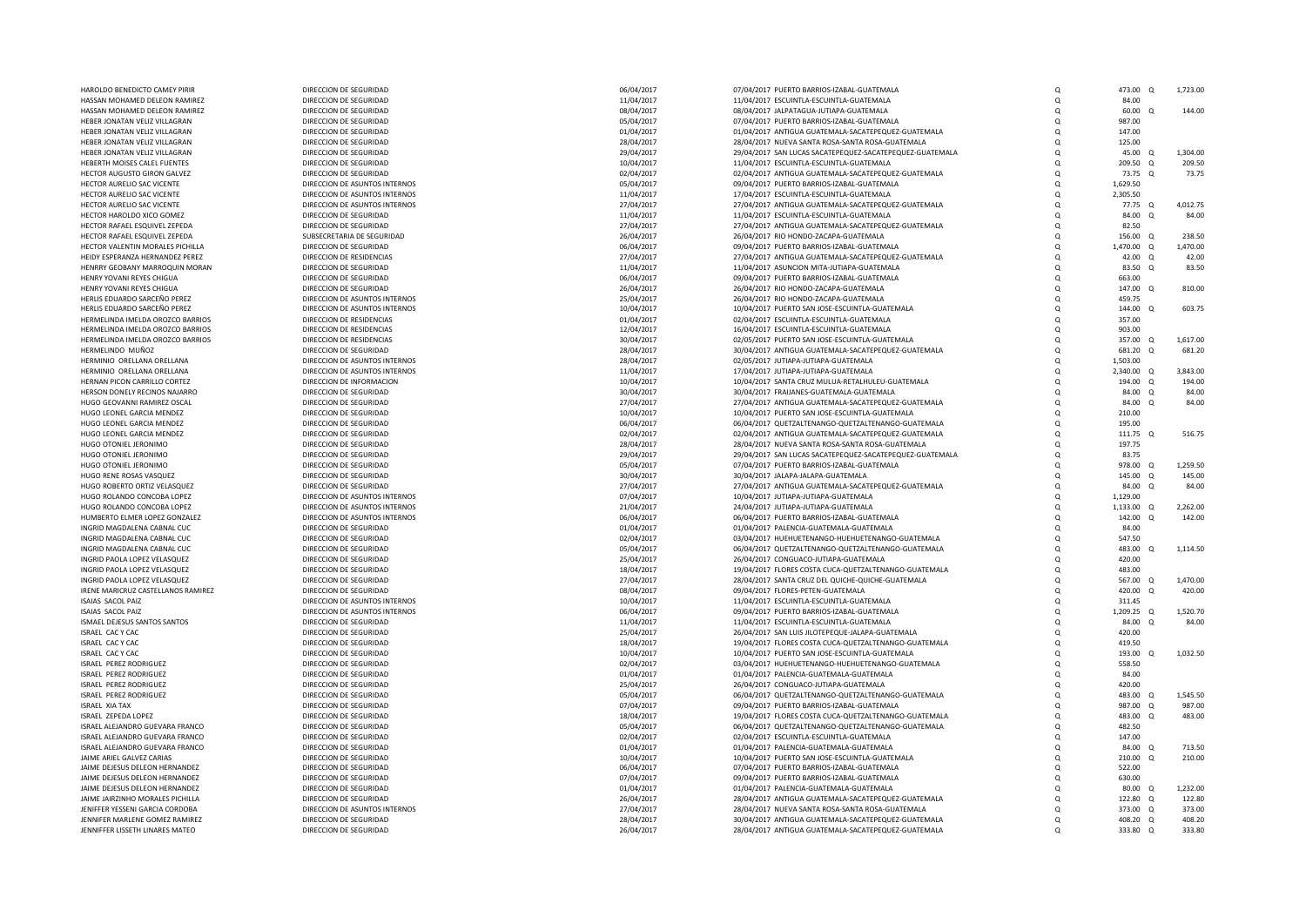| HAROLDO BENEDICTO CAMEY PIRIR         | DIRECCION DE SEGURIDAD        | 06/04/2017 | 07/04/2017 PUERTO BARRIOS-IZABAL-GUATEMALA               | Q        | 473.00 Q         |            | 1,723.00 |
|---------------------------------------|-------------------------------|------------|----------------------------------------------------------|----------|------------------|------------|----------|
|                                       |                               |            |                                                          |          |                  |            |          |
| HASSAN MOHAMED DELEON RAMIREZ         | DIRECCION DE SEGURIDAD        | 11/04/2017 | 11/04/2017 ESCUINTLA-ESCUINTLA-GUATEMALA                 | $\Omega$ | 84.00            |            |          |
| HASSAN MOHAMED DELEON RAMIREZ         | DIRECCION DE SEGURIDAD        | 08/04/2017 | 08/04/2017 JALPATAGUA-JUTIAPA-GUATEMALA                  | $\Omega$ | $60.00 \quad Q$  |            | 144.00   |
| HEBER JONATAN VELIZ VILLAGRAN         | DIRECCION DE SEGURIDAD        | 05/04/2017 | 07/04/2017 PUERTO BARRIOS-IZABAL-GUATEMALA               | Q        | 987.00           |            |          |
| HEBER JONATAN VELIZ VILLAGRAN         | DIRECCION DE SEGURIDAD        | 01/04/2017 | 01/04/2017 ANTIGUA GUATEMALA-SACATEPEQUEZ-GUATEMALA      | $\Omega$ | 147.00           |            |          |
|                                       |                               |            |                                                          |          |                  |            |          |
| HEBER JONATAN VELIZ VILLAGRAN         | DIRECCION DE SEGURIDAD        | 28/04/2017 | 28/04/2017 NUEVA SANTA ROSA-SANTA ROSA-GUATEMALA         | $\Omega$ | 125.00           |            |          |
| HEBER JONATAN VELIZ VILLAGRAN         | DIRECCION DE SEGURIDAD        | 29/04/2017 | 29/04/2017 SAN LUCAS SACATEPEQUEZ-SACATEPEQUEZ-GUATEMALA | $\Omega$ | 45.00            | $\circ$    | 1,304.00 |
| HEBERTH MOISES CALEL FUENTES          | DIRECCION DE SEGURIDAD        | 10/04/2017 | 11/04/2017 ESCUINTLA-ESCUINTLA-GUATEMALA                 | $\Omega$ | 209.50           | $\Omega$   | 209.50   |
| HECTOR AUGUSTO GIRON GALVEZ           | DIRECCION DE SEGURIDAD        | 02/04/2017 | 02/04/2017 ANTIGUA GUATEMALA-SACATEPEQUEZ-GUATEMALA      | O        | 73.75            | - 0        | 73.75    |
|                                       |                               |            |                                                          |          |                  |            |          |
| HECTOR AURELIO SAC VICENTE            | DIRECCION DE ASUNTOS INTERNOS | 05/04/2017 | 09/04/2017 PUERTO BARRIOS-IZABAL-GUATEMALA               | Q        | 1,629.50         |            |          |
| HECTOR AURELIO SAC VICENTE            | DIRECCION DE ASUNTOS INTERNOS | 11/04/2017 | 17/04/2017 ESCUINTLA-ESCUINTLA-GUATEMALA                 | $\Omega$ | 2,305.50         |            |          |
| HECTOR AURELIO SAC VICENTE            | DIRECCION DE ASUNTOS INTERNOS | 27/04/2017 | 27/04/2017 ANTIGUA GUATEMALA-SACATEPEQUEZ-GUATEMALA      | $\Omega$ | 77.75 Q          |            | 4,012.75 |
| HECTOR HAROLDO XICO GOMEZ             | DIRECCION DE SEGURIDAD        | 11/04/2017 | 11/04/2017 ESCUINTLA-ESCUINTLA-GUATEMALA                 | $\Omega$ | 84.00            | $\Omega$   | 84.00    |
| HECTOR RAFAEL ESQUIVEL ZEPEDA         | DIRECCION DE SEGURIDAD        |            | 27/04/2017 ANTIGUA GUATEMALA-SACATEPEQUEZ-GUATEMALA      | $\Omega$ | 82.50            |            |          |
|                                       |                               | 27/04/2017 |                                                          |          |                  |            |          |
| HECTOR RAFAEL ESQUIVEL ZEPEDA         | SUBSECRETARIA DE SEGURIDAD    | 26/04/2017 | 26/04/2017 RIO HONDO-ZACAPA-GUATEMALA                    | O        | 156.00 Q         |            | 238.50   |
| HECTOR VALENTIN MORALES PICHILLA      | DIRECCION DE SEGURIDAD        | 06/04/2017 | 09/04/2017 PUERTO BARRIOS-IZABAL-GUATEMALA               | $\Omega$ | 1,470.00 Q       |            | 1.470.00 |
| HEIDY ESPERANZA HERNANDEZ PEREZ       | DIRECCION DE RESIDENCIAS      | 27/04/2017 | 27/04/2017 ANTIGUA GUATEMALA-SACATEPEQUEZ-GUATEMALA      | $\Omega$ | 42.00 Q          |            | 42.00    |
| HENRRY GEOBANY MARROQUIN MORAN        | DIRECCION DE SEGURIDAD        | 11/04/2017 | 11/04/2017 ASUNCION MITA-JUTIAPA-GUATEMALA               | $\Omega$ | 83.50            | $\Omega$   | 83.50    |
|                                       |                               |            |                                                          |          |                  |            |          |
| HENRY YOVANI REYES CHIGUA             | DIRECCION DE SEGURIDAD        | 06/04/2017 | 09/04/2017 PUERTO BARRIOS-IZABAL-GUATEMALA               | $\Omega$ | 663.00           |            |          |
| HENRY YOVANI REYES CHIGUA             | DIRECCION DE SEGURIDAD        | 26/04/2017 | 26/04/2017 RIO HONDO-ZACAPA-GUATEMALA                    | $\Omega$ | 147.00 Q         |            | 810.00   |
| HERLIS EDUARDO SARCEÑO PEREZ          | DIRECCION DE ASUNTOS INTERNOS | 25/04/2017 | 26/04/2017 RIO HONDO-ZACAPA-GUATEMALA                    | $\Omega$ | 459.75           |            |          |
| HERLIS EDUARDO SARCEÑO PEREZ          | DIRECCION DE ASUNTOS INTERNOS | 10/04/2017 | 10/04/2017 PUERTO SAN JOSE-ESCUINTLA-GUATEMALA           | Q        | $144.00 \quad 0$ |            | 603.75   |
|                                       |                               |            |                                                          |          |                  |            |          |
| HERMELINDA IMELDA OROZCO BARRIOS      | DIRECCION DE RESIDENCIAS      | 01/04/2017 | 02/04/2017 ESCUINTLA-ESCUINTLA-GUATEMALA                 | $\Omega$ | 357.00           |            |          |
| HERMELINDA IMELDA OROZCO BARRIOS      | DIRECCION DE RESIDENCIAS      | 12/04/2017 | 16/04/2017 ESCUINTLA-ESCUINTLA-GUATEMALA                 | $\Omega$ | 903.00           |            |          |
| HERMELINDA IMELDA OROZCO BARRIOS      | DIRECCION DE RESIDENCIAS      | 30/04/2017 | 02/05/2017 PUERTO SAN JOSE-ESCUINTLA-GUATEMALA           | $\Omega$ | 357.00 Q         |            | 1,617.00 |
| HERMELINDO MUÑOZ                      | DIRECCION DE SEGURIDAD        | 28/04/2017 | 30/04/2017 ANTIGUA GUATEMALA-SACATEPEQUEZ-GUATEMALA      | $\Omega$ | 681.20           | $\circ$    | 681.20   |
|                                       |                               |            |                                                          |          |                  |            |          |
| HERMINIO ORELLANA ORELLANA            | DIRECCION DE ASUNTOS INTERNOS | 28/04/2017 | 02/05/2017 JUTIAPA-JUTIAPA-GUATEMALA                     | $\Omega$ | 1,503.00         |            |          |
| HERMINIO ORELLANA ORELLANA            | DIRECCION DE ASUNTOS INTERNOS | 11/04/2017 | 17/04/2017 JUTIAPA-JUTIAPA-GUATEMALA                     | $\Omega$ | 2,340.00 Q       |            | 3.843.00 |
| HERNAN PICON CARRILLO CORTEZ          | DIRECCION DE INFORMACION      | 10/04/2017 | 10/04/2017 SANTA CRUZ MULUA-RETALHULEU-GUATEMALA         | $\Omega$ | 194.00 Q         |            | 194.00   |
| HERSON DONELY RECINOS NAJARRO         | DIRECCION DE SEGURIDAD        | 30/04/2017 | 30/04/2017 FRAIJANES-GUATEMALA-GUATEMALA                 | $\Omega$ | 84.00 Q          |            | 84.00    |
|                                       |                               |            |                                                          |          |                  |            |          |
| HUGO GEOVANNI RAMIREZ OSCAL           | DIRECCION DE SEGURIDAD        | 27/04/2017 | 27/04/2017 ANTIGUA GUATEMALA-SACATEPEQUEZ-GUATEMALA      | O        | 84.00 Q          |            | 84.00    |
| HUGO LEONEL GARCIA MENDEZ             | DIRECCION DE SEGURIDAD        | 10/04/2017 | 10/04/2017 PUERTO SAN JOSE-ESCUINTLA-GUATEMALA           | $\Omega$ | 210.00           |            |          |
| HUGO LEONEL GARCIA MENDEZ             | DIRECCION DE SEGURIDAD        | 06/04/2017 | 06/04/2017 QUETZALTENANGO-QUETZALTENANGO-GUATEMALA       | $\Omega$ | 195.00           |            |          |
| HUGO LEONEL GARCIA MENDEZ             | DIRECCION DE SEGURIDAD        | 02/04/2017 | 02/04/2017 ANTIGUA GUATEMALA-SACATEPEQUEZ-GUATEMALA      | $\Omega$ | 111.75 Q         |            | 516.75   |
|                                       |                               |            |                                                          |          |                  |            |          |
| HUGO OTONIEL JERONIMO                 | DIRECCION DE SEGURIDAD        | 28/04/2017 | 28/04/2017 NUEVA SANTA ROSA-SANTA ROSA-GUATEMALA         | O        | 197.75           |            |          |
| HUGO OTONIEL JERONIMO                 | DIRECCION DE SEGURIDAD        | 29/04/2017 | 29/04/2017 SAN LUCAS SACATEPEQUEZ-SACATEPEQUEZ-GUATEMALA | $\Omega$ | 83.75            |            |          |
| HUGO OTONIEL JERONIMO                 | DIRECCION DE SEGURIDAD        | 05/04/2017 | 07/04/2017 PUERTO BARRIOS-IZABAL-GUATEMALA               | O        | 978.00           | $^{\circ}$ | 1.259.50 |
| HUGO RENE ROSAS VASQUEZ               | DIRECCION DE SEGURIDAD        | 30/04/2017 | 30/04/2017 JALAPA-JALAPA-GUATEMALA                       | $\Omega$ | 145.00           | $\circ$    | 145.00   |
| HUGO ROBERTO ORTIZ VELASQUEZ          | DIRECCION DE SEGURIDAD        | 27/04/2017 | 27/04/2017 ANTIGUA GUATEMALA-SACATEPEQUEZ-GUATEMALA      | $\Omega$ | 84.00            | $\Omega$   | 84.00    |
|                                       |                               |            |                                                          |          |                  |            |          |
| HUGO ROLANDO CONCOBA LOPEZ            | DIRECCION DE ASUNTOS INTERNOS | 07/04/2017 | 10/04/2017 JUTIAPA-JUTIAPA-GUATEMALA                     | $\Omega$ | 1.129.00         |            |          |
| HUGO ROLANDO CONCOBA LOPEZ            | DIRECCION DE ASUNTOS INTERNOS | 21/04/2017 | 24/04/2017 JUTIAPA-JUTIAPA-GUATEMALA                     | $\Omega$ | 1,133.00         | $\Omega$   | 2.262.00 |
| HUMBERTO ELMER LOPEZ GONZALEZ         | DIRECCION DE ASUNTOS INTERNOS | 06/04/2017 | 06/04/2017 PUERTO BARRIOS-IZABAL-GUATEMALA               | $\Omega$ | 142.00           | $\circ$    | 142.00   |
| INGRID MAGDALENA CABNAL CUC           | DIRECCION DE SEGURIDAD        | 01/04/2017 | 01/04/2017 PALENCIA-GUATEMALA-GUATEMALA                  | O        | 84.00            |            |          |
|                                       |                               |            |                                                          |          |                  |            |          |
| INGRID MAGDALENA CABNAL CUC           | DIRECCION DE SEGURIDAD        | 02/04/2017 | 03/04/2017 HUEHUETENANGO-HUEHUETENANGO-GUATEMALA         | $\Omega$ | 547.50           |            |          |
| INGRID MAGDALENA CABNAL CUC           | DIRECCION DE SEGURIDAD        | 05/04/2017 | 06/04/2017 QUETZALTENANGO-QUETZALTENANGO-GUATEMALA       | $\Omega$ | 483.00 Q         |            | 1,114.50 |
| INGRID PAOLA LOPEZ VELASQUEZ          | DIRECCION DE SEGURIDAD        | 25/04/2017 | 26/04/2017 CONGUACO-JUTIAPA-GUATEMALA                    | $\Omega$ | 420.00           |            |          |
| INGRID PAOLA LOPEZ VELASQUEZ          | DIRECCION DE SEGURIDAD        | 18/04/2017 | 19/04/2017 FLORES COSTA CUCA-QUETZALTENANGO-GUATEMALA    | $\Omega$ | 483.00           |            |          |
| INGRID PAOLA LOPEZ VELASOUEZ          | DIRECCION DE SEGURIDAD        |            |                                                          |          |                  |            | 1.470.00 |
|                                       |                               | 27/04/2017 | 28/04/2017 SANTA CRUZ DEL QUICHE-QUICHE-GUATEMALA        | $\Omega$ | 567.00 Q         |            |          |
| IRENE MARICRUZ CASTELLANOS RAMIREZ    | DIRECCION DE SEGURIDAD        | 08/04/2017 | 09/04/2017 FLORES-PETEN-GUATEMALA                        | O        | 420.00           | - 0        | 420.00   |
| ISAIAS SACOL PAIZ                     | DIRECCION DE ASUNTOS INTERNOS | 10/04/2017 | 11/04/2017 ESCUINTLA-ESCUINTLA-GUATEMALA                 | Q        | 311.45           |            |          |
| ISAIAS SACOL PAIZ                     | DIRECCION DE ASUNTOS INTERNOS | 06/04/2017 | 09/04/2017 PUERTO BARRIOS-IZABAL-GUATEMALA               | $\Omega$ | 1,209.25 Q       |            | 1,520.70 |
|                                       |                               |            |                                                          | $\Omega$ |                  |            | 84.00    |
| ISMAEL DEJESUS SANTOS SANTOS          | DIRECCION DE SEGURIDAD        | 11/04/2017 | 11/04/2017 ESCUINTLA-ESCUINTLA-GUATEMALA                 |          | 84.00 Q          |            |          |
| ISRAEL CAC Y CAC                      | DIRECCION DE SEGURIDAD        | 25/04/2017 | 26/04/2017 SAN LUIS JILOTEPEQUE-JALAPA-GUATEMALA         | $\Omega$ | 420.00           |            |          |
| ISRAEL CAC Y CAC                      | DIRECCION DE SEGURIDAD        | 18/04/2017 | 19/04/2017 FLORES COSTA CUCA-QUETZALTENANGO-GUATEMALA    | $\Omega$ | 419.50           |            |          |
| ISRAEL CAC Y CAC                      | DIRECCION DE SEGURIDAD        | 10/04/2017 | 10/04/2017 PUERTO SAN JOSE-ESCUINTLA-GUATEMALA           | $\Omega$ | 193.00           |            | 1.032.50 |
|                                       |                               |            |                                                          |          |                  |            |          |
| ISRAEL PEREZ RODRIGUEZ                | DIRECCION DE SEGURIDAD        | 02/04/2017 | 03/04/2017 HUEHUETENANGO-HUEHUETENANGO-GUATEMALA         | $\Omega$ | 558.50           |            |          |
| ISRAEL PEREZ RODRIGUEZ                | DIRECCION DE SEGURIDAD        | 01/04/2017 | 01/04/2017 PALENCIA-GUATEMALA-GUATEMALA                  | $\Omega$ | 84.00            |            |          |
| ISRAEL PEREZ RODRIGUEZ                | DIRECCION DE SEGURIDAD        | 25/04/2017 | 26/04/2017 CONGUACO-JUTIAPA-GUATEMALA                    | $\Omega$ | 420.00           |            |          |
| ISRAEL PEREZ RODRIGUEZ                | DIRECCION DE SEGURIDAD        | 05/04/2017 | 06/04/2017 QUETZALTENANGO-QUETZALTENANGO-GUATEMALA       | $\Omega$ | 483.00           | $\circ$    | 1,545.50 |
|                                       | DIRECCION DE SEGURIDAD        | 07/04/2017 | 09/04/2017 PUERTO BARRIOS-IZABAL-GUATEMALA               | $\Omega$ | 987.00           | $\Omega$   | 987.00   |
| ISRAEL XIA TAX                        |                               |            |                                                          |          |                  |            |          |
| ISRAEL ZEPEDA LOPEZ                   | DIRECCION DE SEGURIDAD        | 18/04/2017 | 19/04/2017 FLORES COSTA CUCA-QUETZALTENANGO-GUATEMALA    | O        | 483.00           | - 0        | 483.00   |
| ISRAEL ALEJANDRO GUEVARA FRANCO       | DIRECCION DE SEGURIDAD        | 05/04/2017 | 06/04/2017 QUETZALTENANGO-QUETZALTENANGO-GUATEMALA       | Q        | 482.50           |            |          |
| ISRAEL ALEJANDRO GUEVARA FRANCO       | DIRECCION DE SEGURIDAD        | 02/04/2017 | 02/04/2017 ESCUINTLA-ESCUINTLA-GUATEMALA                 | $\Omega$ | 147.00           |            |          |
| ISRAEL ALEJANDRO GUEVARA FRANCO       | DIRECCION DE SEGURIDAD        | 01/04/2017 | 01/04/2017 PALENCIA-GUATEMALA-GUATEMALA                  | O        | 84.00            | $\Omega$   | 713.50   |
|                                       |                               |            |                                                          |          |                  |            |          |
| JAIME ARIEL GALVEZ CARIAS             | DIRECCION DE SEGURIDAD        | 10/04/2017 | 10/04/2017 PUERTO SAN JOSE-ESCUINTLA-GUATEMALA           | $\Omega$ | 210.00           | $\circ$    | 210.00   |
| JAIME DEJESUS DELEON HERNANDEZ        | DIRECCION DE SEGURIDAD        | 06/04/2017 | 07/04/2017 PUERTO BARRIOS-IZABAL-GUATEMALA               | $\Omega$ | 522.00           |            |          |
| <b>IAIME DEIESUS DELEON HERNANDEZ</b> | DIRECCION DE SEGURIDAD        | 07/04/2017 | 09/04/2017 PUERTO BARRIOS-IZABAL-GUATEMALA               | O        | 630.00           |            |          |
| JAIME DEJESUS DELEON HERNANDEZ        | DIRECCION DE SEGURIDAD        | 01/04/2017 | 01/04/2017 PALENCIA-GUATEMALA-GUATEMALA                  | O        | 80.00            | $\Omega$   | 1.232.00 |
|                                       |                               |            |                                                          |          |                  |            |          |
| JAIME JAIRZINHO MORALES PICHILLA      | DIRECCION DE SEGURIDAD        | 26/04/2017 | 28/04/2017 ANTIGUA GUATEMALA-SACATEPEQUEZ-GUATEMALA      | $\Omega$ | 122.80 Q         |            | 122.80   |
| JENIFFER YESSENI GARCIA CORDOBA       | DIRECCION DE ASUNTOS INTERNOS | 27/04/2017 | 28/04/2017 NUEVA SANTA ROSA-SANTA ROSA-GUATEMALA         | O        | 373.00 Q         |            | 373.00   |
| JENNIFER MARLENE GOMEZ RAMIREZ        | DIRECCION DE SEGURIDAD        | 28/04/2017 | 30/04/2017 ANTIGUA GUATEMALA-SACATEPEQUEZ-GUATEMALA      | $\Omega$ | 408.20 Q         |            | 408.20   |
| JENNIFFER LISSETH LINARES MATEO       | DIRECCION DE SEGURIDAD        | 26/04/2017 | 28/04/2017 ANTIGUA GUATEMALA-SACATEPEQUEZ-GUATEMALA      | $\Omega$ | 333.80 Q         |            | 333.80   |
|                                       |                               |            |                                                          |          |                  |            |          |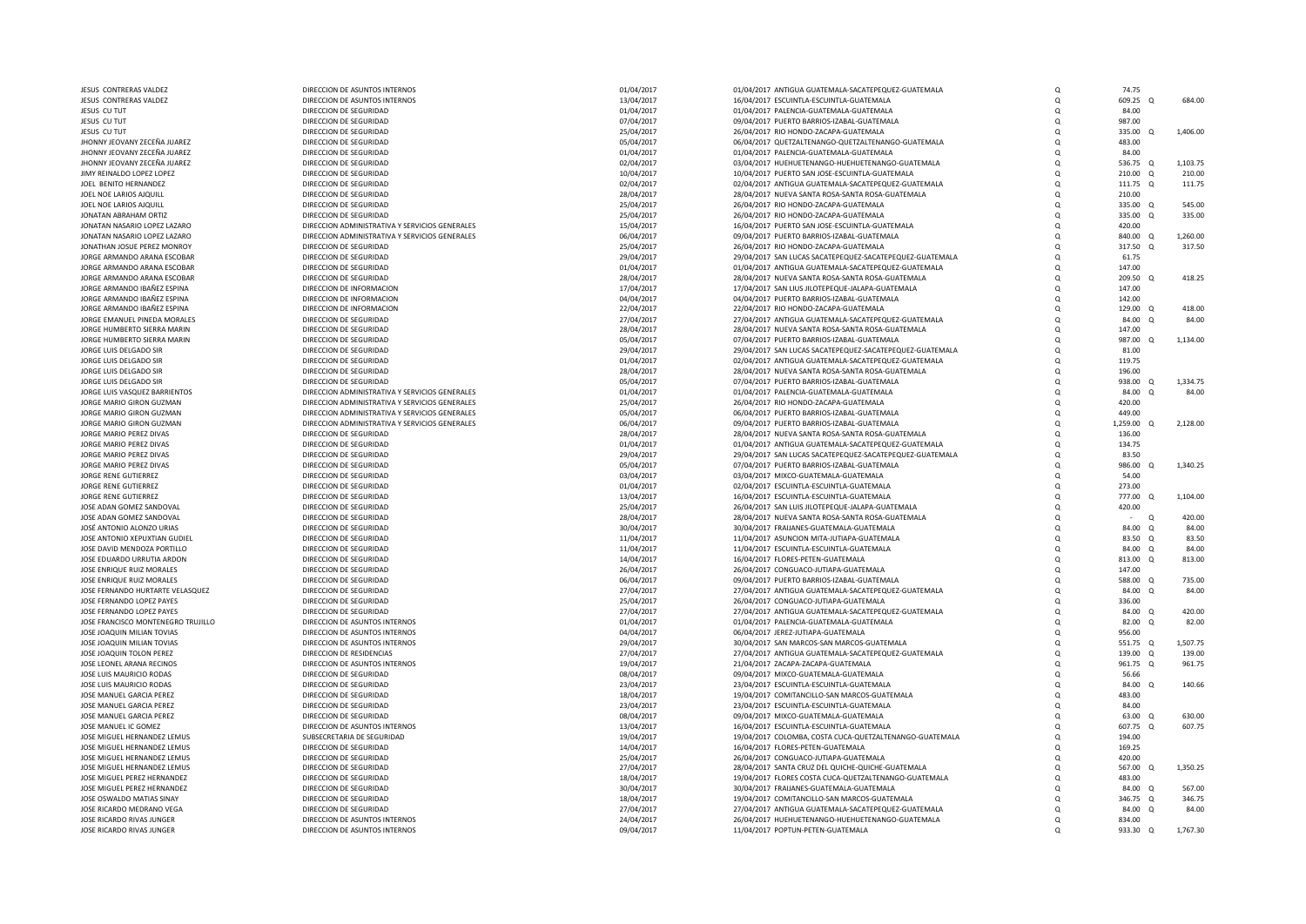| JESUS CONTRERAS VALDEZ             | DIRECCION DE ASUNTOS INTERNOS                  | 01/04/2017 | 01/04/2017 ANTIGUA GUATEMALA-SACATEPEQUEZ-GUATEMALA      | $\Omega$ | 74.75                |          |
|------------------------------------|------------------------------------------------|------------|----------------------------------------------------------|----------|----------------------|----------|
| JESUS CONTRERAS VALDEZ             | DIRECCION DE ASUNTOS INTERNOS                  | 13/04/2017 | 16/04/2017 ESCUINTLA-ESCUINTLA-GUATEMALA                 | $\Omega$ | 609.25               | 684.00   |
| JESUS CU TUT                       | DIRECCION DE SEGURIDAD                         | 01/04/2017 | 01/04/2017 PALENCIA-GUATEMALA-GUATEMALA                  | $\Omega$ | 84.00                |          |
| JESUS CU TUT                       | DIRECCION DE SEGURIDAD                         | 07/04/2017 | 09/04/2017 PUERTO BARRIOS-IZABAL-GUATEMALA               | $\Omega$ | 987.00               |          |
| JESUS CU TUT                       | DIRECCION DE SEGURIDAD                         | 25/04/2017 | 26/04/2017 RIO HONDO-ZACAPA-GUATEMALA                    | $\Omega$ | 335.00 Q             | 1,406.00 |
| JHONNY JEOVANY ZECEÑA JUAREZ       | DIRECCION DE SEGURIDAD                         | 05/04/2017 | 06/04/2017 QUETZALTENANGO-QUETZALTENANGO-GUATEMALA       | $\Omega$ | 483.00               |          |
| JHONNY JEOVANY ZECEÑA JUAREZ       | DIRECCION DE SEGURIDAD                         | 01/04/2017 | 01/04/2017 PALENCIA-GUATEMALA-GUATEMALA                  | $\Omega$ | 84.00                |          |
| JHONNY JEOVANY ZECEÑA JUAREZ       | DIRECCION DE SEGURIDAD                         | 02/04/2017 | 03/04/2017 HUEHUETENANGO-HUEHUETENANGO-GUATEMALA         | Q        | 536.75 Q             | 1,103.75 |
| JIMY REINALDO LOPEZ LOPEZ          | DIRECCION DE SEGURIDAD                         | 10/04/2017 | 10/04/2017 PUERTO SAN JOSE-ESCUINTLA-GUATEMALA           | $\Omega$ | 210.00 Q             | 210.00   |
| JOEL BENITO HERNANDEZ              | DIRECCION DE SEGURIDAD                         | 02/04/2017 | 02/04/2017 ANTIGUA GUATEMALA-SACATEPEQUEZ-GUATEMALA      | Q        | 111.75 Q             | 111.75   |
| JOEL NOE LARIOS AJQUILL            | DIRECCION DE SEGURIDAD                         | 28/04/2017 | 28/04/2017 NUEVA SANTA ROSA-SANTA ROSA-GUATEMALA         | $\Omega$ | 210.00               |          |
| JOEL NOE LARIOS AJQUILL            | DIRECCION DE SEGURIDAD                         | 25/04/2017 | 26/04/2017 RIO HONDO-ZACAPA-GUATEMALA                    | $\Omega$ | 335.00 Q             | 545.00   |
| JONATAN ABRAHAM ORTIZ              | DIRECCION DE SEGURIDAD                         | 25/04/2017 | 26/04/2017 RIO HONDO-ZACAPA-GUATEMALA                    | $\Omega$ | 335.00 Q             | 335.00   |
| JONATAN NASARIO LOPEZ LAZARO       | DIRECCION ADMINISTRATIVA Y SERVICIOS GENERALES | 15/04/2017 | 16/04/2017 PUERTO SAN JOSE-ESCUINTLA-GUATEMALA           | $\Omega$ | 420.00               |          |
| JONATAN NASARIO LOPEZ LAZARO       | DIRECCION ADMINISTRATIVA Y SERVICIOS GENERALES | 06/04/2017 | 09/04/2017 PUERTO BARRIOS-IZABAL-GUATEMALA               | $\Omega$ | 840.00 Q             | 1,260.00 |
| JONATHAN JOSUE PEREZ MONROY        | DIRECCION DE SEGURIDAD                         | 25/04/2017 | 26/04/2017 RIO HONDO-ZACAPA-GUATEMALA                    | $\Omega$ | 317.50 Q             | 317.50   |
| JORGE ARMANDO ARANA ESCOBAR        | DIRECCION DE SEGURIDAD                         | 29/04/2017 | 29/04/2017 SAN LUCAS SACATEPEQUEZ-SACATEPEQUEZ-GUATEMALA | Q        | 61.75                |          |
| JORGE ARMANDO ARANA ESCOBAR        | DIRECCION DE SEGURIDAD                         | 01/04/2017 | 01/04/2017 ANTIGUA GUATEMALA-SACATEPEQUEZ-GUATEMALA      | $\Omega$ | 147.00               |          |
| JORGE ARMANDO ARANA ESCOBAR        | DIRECCION DE SEGURIDAD                         | 28/04/2017 | 28/04/2017 NUEVA SANTA ROSA-SANTA ROSA-GUATEMALA         | $\Omega$ | 209.50 Q             | 418.25   |
| JORGE ARMANDO IBAÑEZ ESPINA        | DIRECCION DE INFORMACION                       | 17/04/2017 | 17/04/2017 SAN LIUS JILOTEPEQUE-JALAPA-GUATEMALA         | $\Omega$ | 147.00               |          |
| JORGE ARMANDO IBAÑEZ ESPINA        | DIRECCION DE INFORMACION                       | 04/04/2017 | 04/04/2017 PUERTO BARRIOS-IZABAL-GUATEMALA               | $\Omega$ | 142.00               |          |
| JORGE ARMANDO IBAÑEZ ESPINA        | DIRECCION DE INFORMACION                       |            | 22/04/2017 RIO HONDO-ZACAPA-GUATEMALA                    | $\Omega$ | 129.00 Q             | 418.00   |
|                                    |                                                | 22/04/2017 |                                                          |          |                      |          |
| JORGE EMANUEL PINEDA MORALES       | DIRECCION DE SEGURIDAD                         | 27/04/2017 | 27/04/2017 ANTIGUA GUATEMALA-SACATEPEQUEZ-GUATEMALA      | $\Omega$ | 84.00 Q              | 84.00    |
| JORGE HUMBERTO SIERRA MARIN        | DIRECCION DE SEGURIDAD                         | 28/04/2017 | 28/04/2017 NUEVA SANTA ROSA-SANTA ROSA-GUATEMALA         | $\Omega$ | 147.00               |          |
| JORGE HUMBERTO SIERRA MARIN        | DIRECCION DE SEGURIDAD                         | 05/04/2017 | 07/04/2017 PUERTO BARRIOS-IZABAL-GUATEMALA               | Q        | 987.00 Q             | 1,134.00 |
| JORGE LUIS DELGADO SIR             | DIRECCION DE SEGURIDAD                         | 29/04/2017 | 29/04/2017 SAN LUCAS SACATEPEQUEZ-SACATEPEQUEZ-GUATEMALA | $\Omega$ | 81.00                |          |
| JORGE LUIS DELGADO SIR             | DIRECCION DE SEGURIDAD                         | 01/04/2017 | 02/04/2017 ANTIGUA GUATEMALA-SACATEPEQUEZ-GUATEMALA      | $\Omega$ | 119.75               |          |
| JORGE LUIS DELGADO SIR             | DIRECCION DE SEGURIDAD                         | 28/04/2017 | 28/04/2017 NUEVA SANTA ROSA-SANTA ROSA-GUATEMALA         | $\Omega$ | 196.00               |          |
| <b>IORGE LUIS DELGADO SIR</b>      | DIRECCION DE SEGURIDAD                         | 05/04/2017 | 07/04/2017 PUERTO BARRIOS-IZABAL-GUATEMALA               | $\Omega$ | 938.00 Q             | 1.334.75 |
| JORGE LUIS VASQUEZ BARRIENTOS      | DIRECCION ADMINISTRATIVA Y SERVICIOS GENERALES | 01/04/2017 | 01/04/2017 PALENCIA-GUATEMALA-GUATEMALA                  | $\Omega$ | 84.00<br>$\Omega$    | 84.00    |
| JORGE MARIO GIRON GUZMAN           | DIRECCION ADMINISTRATIVA Y SERVICIOS GENERALES | 25/04/2017 | 26/04/2017 RIO HONDO-ZACAPA-GUATEMALA                    | $\Omega$ | 420.00               |          |
| JORGE MARIO GIRON GUZMAN           | DIRECCION ADMINISTRATIVA Y SERVICIOS GENERALES | 05/04/2017 | 06/04/2017 PUERTO BARRIOS-IZABAL-GUATEMALA               | $\Omega$ | 449.00               |          |
| JORGE MARIO GIRON GUZMAN           | DIRECCION ADMINISTRATIVA Y SERVICIOS GENERALES | 06/04/2017 | 09/04/2017 PUERTO BARRIOS-IZABAL-GUATEMALA               | $\Omega$ | 1,259.00<br>$\Omega$ | 2,128.00 |
| JORGE MARIO PEREZ DIVAS            | DIRECCION DE SEGURIDAD                         | 28/04/2017 | 28/04/2017 NUEVA SANTA ROSA-SANTA ROSA-GUATEMALA         | Q        | 136.00               |          |
| JORGE MARIO PEREZ DIVAS            | DIRECCION DE SEGURIDAD                         | 01/04/2017 | 01/04/2017 ANTIGUA GUATEMALA-SACATEPEQUEZ-GUATEMALA      | $\Omega$ | 134.75               |          |
| JORGE MARIO PEREZ DIVAS            | DIRECCION DE SEGURIDAD                         | 29/04/2017 | 29/04/2017 SAN LUCAS SACATEPEQUEZ-SACATEPEQUEZ-GUATEMALA | $\Omega$ | 83.50                |          |
| JORGE MARIO PEREZ DIVAS            | DIRECCION DE SEGURIDAD                         | 05/04/2017 | 07/04/2017 PUERTO BARRIOS-IZABAL-GUATEMALA               | $\Omega$ | 986.00               | 1,340.25 |
| JORGE RENE GUTIERREZ               | DIRECCION DE SEGURIDAD                         | 03/04/2017 | 03/04/2017 MIXCO-GUATEMALA-GUATEMALA                     | $\Omega$ | 54.00                |          |
| JORGE RENE GUTIERREZ               | DIRECCION DE SEGURIDAD                         | 01/04/2017 | 02/04/2017 ESCUINTLA-ESCUINTLA-GUATEMALA                 | $\Omega$ | 273.00               |          |
| JORGE RENE GUTIERREZ               | DIRECCION DE SEGURIDAD                         | 13/04/2017 | 16/04/2017 ESCUINTLA-ESCUINTLA-GUATEMALA                 | $\Omega$ | 777.00 Q             | 1,104.00 |
| JOSE ADAN GOMEZ SANDOVAL           | DIRECCION DE SEGURIDAD                         | 25/04/2017 | 26/04/2017 SAN LUIS JILOTEPEQUE-JALAPA-GUATEMALA         | $\Omega$ | 420.00               |          |
| JOSE ADAN GOMEZ SANDOVAL           | DIRECCION DE SEGURIDAD                         | 28/04/2017 | 28/04/2017 NUEVA SANTA ROSA-SANTA ROSA-GUATEMALA         | Q        | $\alpha$             | 420.00   |
| JOSÉ ANTONIO ALONZO URIAS          | DIRECCION DE SEGURIDAD                         | 30/04/2017 | 30/04/2017 FRAIJANES-GUATEMALA-GUATEMALA                 | $\Omega$ | 84.00 Q              | 84.00    |
| JOSE ANTONIO XEPUXTIAN GUDIEL      | DIRECCION DE SEGURIDAD                         | 11/04/2017 | 11/04/2017 ASUNCION MITA-JUTIAPA-GUATEMALA               | $\Omega$ | 83.50 Q              | 83.50    |
| JOSE DAVID MENDOZA PORTILLO        | DIRECCION DE SEGURIDAD                         | 11/04/2017 | 11/04/2017 ESCUINTLA-ESCUINTLA-GUATEMALA                 | $\Omega$ | 84.00 Q              | 84.00    |
| JOSE EDUARDO URRUTIA ARDON         | DIRECCION DE SEGURIDAD                         | 14/04/2017 | 16/04/2017 FLORES-PETEN-GUATEMALA                        | $\Omega$ | 813.00 Q             | 813.00   |
| JOSE ENRIQUE RUIZ MORALES          | DIRECCION DE SEGURIDAD                         | 26/04/2017 | 26/04/2017 CONGUACO-JUTIAPA-GUATEMALA                    | $\Omega$ | 147.00               |          |
| JOSE ENRIQUE RUIZ MORALES          | DIRECCION DE SEGURIDAD                         | 06/04/2017 | 09/04/2017 PUERTO BARRIOS-IZABAL-GUATEMALA               | $\Omega$ | 588.00 Q             | 735.00   |
|                                    |                                                |            |                                                          |          |                      |          |
| JOSE FERNANDO HURTARTE VELASQUEZ   | DIRECCION DE SEGURIDAD                         | 27/04/2017 | 27/04/2017 ANTIGUA GUATEMALA-SACATEPEQUEZ-GUATEMALA      | $\Omega$ | 84.00 Q              | 84.00    |
| JOSE FERNANDO LOPEZ PAYES          | DIRECCION DE SEGURIDAD                         | 25/04/2017 | 26/04/2017 CONGUACO-JUTIAPA-GUATEMALA                    | $\Omega$ | 336.00               |          |
| JOSE FERNANDO LOPEZ PAYES          | DIRECCION DE SEGURIDAD                         | 27/04/2017 | 27/04/2017 ANTIGUA GUATEMALA-SACATEPEQUEZ-GUATEMALA      | Q        | 84.00 Q              | 420.00   |
| JOSE FRANCISCO MONTENEGRO TRUJILLO | DIRECCION DE ASUNTOS INTERNOS                  | 01/04/2017 | 01/04/2017 PALENCIA-GUATEMALA-GUATEMALA                  | $\Omega$ | 82.00 Q              | 82.00    |
| JOSE JOAQUIN MILIAN TOVIAS         | DIRECCION DE ASUNTOS INTERNOS                  | 04/04/2017 | 06/04/2017 JEREZ-JUTIAPA-GUATEMALA                       | $\Omega$ | 956.00               |          |
| JOSE JOAQUIN MILIAN TOVIAS         | DIRECCION DE ASUNTOS INTERNOS                  | 29/04/2017 | 30/04/2017 SAN MARCOS-SAN MARCOS-GUATEMALA               | $\Omega$ | 551.75 Q             | 1,507.75 |
| JOSE JOAQUIN TOLON PEREZ           | DIRECCION DE RESIDENCIAS                       | 27/04/2017 | 27/04/2017 ANTIGUA GUATEMALA-SACATEPEQUEZ-GUATEMALA      | $\Omega$ | 139.00 Q             | 139.00   |
| JOSE LEONEL ARANA RECINOS          | DIRECCION DE ASUNTOS INTERNOS                  | 19/04/2017 | 21/04/2017 ZACAPA-ZACAPA-GUATEMALA                       | $\Omega$ | 961.75 Q             | 961.75   |
| JOSE LUIS MAURICIO RODAS           | DIRECCION DE SEGURIDAD                         | 08/04/2017 | 09/04/2017 MIXCO-GUATEMALA-GUATEMALA                     | $\Omega$ | 56.66                |          |
| JOSE LUIS MAURICIO RODAS           | DIRECCION DE SEGURIDAD                         | 23/04/2017 | 23/04/2017 ESCUINTLA-ESCUINTLA-GUATEMALA                 | $\Omega$ | 84.00 Q              | 140.66   |
| JOSE MANUEL GARCIA PEREZ           | DIRECCION DE SEGURIDAD                         | 18/04/2017 | 19/04/2017 COMITANCILLO-SAN MARCOS-GUATEMALA             | $\Omega$ | 483.00               |          |
| JOSE MANUEL GARCIA PEREZ           | DIRECCION DE SEGURIDAD                         | 23/04/2017 | 23/04/2017 ESCUINTLA-ESCUINTLA-GUATEMALA                 | $\Omega$ | 84.00                |          |
| JOSE MANUEL GARCIA PEREZ           | DIRECCION DE SEGURIDAD                         | 08/04/2017 | 09/04/2017 MIXCO-GUATEMALA-GUATEMALA                     | $\Omega$ | 63.00 Q              | 630.00   |
| JOSE MANUEL IC GOMEZ               | DIRECCION DE ASUNTOS INTERNOS                  | 13/04/2017 | 16/04/2017 ESCUINTLA-ESCUINTLA-GUATEMALA                 | $\Omega$ | 607.75 Q             | 607.75   |
| JOSE MIGUEL HERNANDEZ LEMUS        | SUBSECRETARIA DE SEGURIDAD                     | 19/04/2017 | 19/04/2017 COLOMBA, COSTA CUCA-QUETZALTENANGO-GUATEMALA  | $\Omega$ | 194.00               |          |
| JOSE MIGUEL HERNANDEZ LEMUS        | DIRECCION DE SEGURIDAD                         | 14/04/2017 | 16/04/2017 FLORES-PETEN-GUATEMALA                        | $\Omega$ | 169.25               |          |
| JOSE MIGUEL HERNANDEZ LEMUS        | DIRECCION DE SEGURIDAD                         | 25/04/2017 | 26/04/2017 CONGUACO-JUTIAPA-GUATEMALA                    | $\Omega$ | 420.00               |          |
| JOSE MIGUEL HERNANDEZ LEMUS        | DIRECCION DE SEGURIDAD                         | 27/04/2017 | 28/04/2017 SANTA CRUZ DEL QUICHE-QUICHE-GUATEMALA        | $\Omega$ | 567.00<br>$\Omega$   | 1,350.25 |
| JOSE MIGUEL PEREZ HERNANDEZ        | DIRECCION DE SEGURIDAD                         | 18/04/2017 | 19/04/2017 FLORES COSTA CUCA-QUETZALTENANGO-GUATEMALA    | $\Omega$ | 483.00               |          |
| JOSE MIGUEL PEREZ HERNANDEZ        | DIRECCION DE SEGURIDAD                         | 30/04/2017 | 30/04/2017 FRAIJANES-GUATEMALA-GUATEMALA                 | Q        | 84.00 Q              | 567.00   |
| JOSE OSWALDO MATIAS SINAY          | DIRECCION DE SEGURIDAD                         | 18/04/2017 | 19/04/2017 COMITANCILLO-SAN MARCOS-GUATEMALA             | $\Omega$ | 346.75 Q             | 346.75   |
| JOSE RICARDO MEDRANO VEGA          | DIRECCION DE SEGURIDAD                         | 27/04/2017 | 27/04/2017 ANTIGUA GUATEMALA-SACATEPEQUEZ-GUATEMALA      | $\Omega$ | 84.00 Q              | 84.00    |
| JOSE RICARDO RIVAS JUNGER          | DIRECCION DE ASUNTOS INTERNOS                  | 24/04/2017 | 26/04/2017 HUEHUETENANGO-HUEHUETENANGO-GUATEMALA         | $\Omega$ | 834.00               |          |
| JOSE RICARDO RIVAS JUNGER          | DIRECCION DE ASUNTOS INTERNOS                  | 09/04/2017 | 11/04/2017 POPTUN-PETEN-GUATEMALA                        | $\Omega$ | 933.30 Q             | 1,767.30 |
|                                    |                                                |            |                                                          |          |                      |          |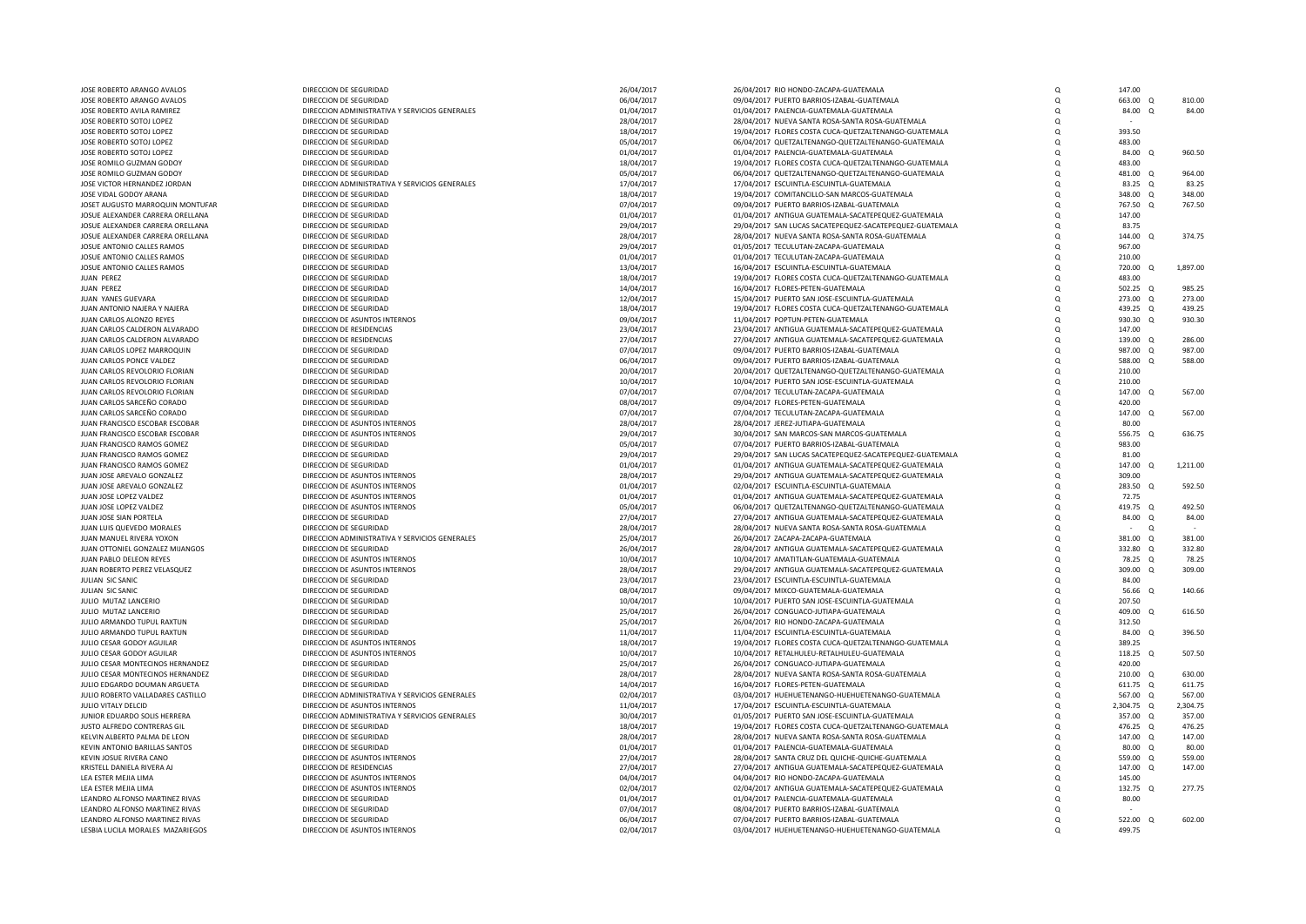| JOSE ROBERTO ARANGO AVALOS        | DIRECCION DE SEGURIDAD                         | 26/04/2017 | 26/04/2017 RIO HONDO-ZACAPA-GUATEMALA                    | $\Omega$ | 147.00     |          |          |
|-----------------------------------|------------------------------------------------|------------|----------------------------------------------------------|----------|------------|----------|----------|
| JOSE ROBERTO ARANGO AVALOS        | DIRECCION DE SEGURIDAD                         | 06/04/2017 | 09/04/2017 PUERTO BARRIOS-IZABAL-GUATEMALA               | $\Omega$ | 663.00     | $\Omega$ | 810.00   |
| JOSE ROBERTO AVILA RAMIREZ        | DIRECCION ADMINISTRATIVA Y SERVICIOS GENERALES | 01/04/2017 | 01/04/2017 PALENCIA-GUATEMALA-GUATEMALA                  | $\Omega$ | 84.00      | $\Omega$ | 84.00    |
| JOSE ROBERTO SOTOJ LOPEZ          | DIRECCION DE SEGURIDAD                         | 28/04/2017 | 28/04/2017 NUEVA SANTA ROSA-SANTA ROSA-GUATEMALA         | $\Omega$ |            |          |          |
|                                   |                                                |            |                                                          |          |            |          |          |
| JOSE ROBERTO SOTOJ LOPEZ          | DIRECCION DE SEGURIDAD                         | 18/04/2017 | 19/04/2017 FLORES COSTA CUCA-QUETZALTENANGO-GUATEMALA    | $\Omega$ | 393.50     |          |          |
| JOSE ROBERTO SOTOJ LOPEZ          | DIRECCION DE SEGURIDAD                         | 05/04/2017 | 06/04/2017 QUETZALTENANGO-QUETZALTENANGO-GUATEMALA       | $\Omega$ | 483.00     |          |          |
| JOSE ROBERTO SOTOJ LOPEZ          | DIRECCION DE SEGURIDAD                         | 01/04/2017 | 01/04/2017 PALENCIA-GUATEMALA-GUATEMALA                  | $\Omega$ | 84.00      |          | 960.50   |
| JOSE ROMILO GUZMAN GODOY          | DIRECCION DE SEGURIDAD                         | 18/04/2017 | 19/04/2017 FLORES COSTA CUCA-QUETZALTENANGO-GUATEMALA    | $\Omega$ | 483.00     |          |          |
| JOSE ROMILO GUZMAN GODOY          | DIRECCION DE SEGURIDAD                         | 05/04/2017 | 06/04/2017 QUETZALTENANGO-QUETZALTENANGO-GUATEMALA       | $\Omega$ | 481.00     | $\Omega$ | 964.00   |
|                                   |                                                |            |                                                          |          |            |          |          |
| JOSE VICTOR HERNANDEZ JORDAN      | DIRECCION ADMINISTRATIVA Y SERVICIOS GENERALES | 17/04/2017 | 17/04/2017 ESCUINTLA-ESCUINTLA-GUATEMALA                 | $\Omega$ | 83.25      | $\Omega$ | 83.25    |
| JOSE VIDAL GODOY ARANA            | DIRECCION DE SEGURIDAD                         | 18/04/2017 | 19/04/2017 COMITANCILLO-SAN MARCOS-GUATEMALA             | $\Omega$ | 348.00     | $\Omega$ | 348.00   |
| JOSET AUGUSTO MARROQUIN MONTUFAR  | DIRECCION DE SEGURIDAD                         | 07/04/2017 | 09/04/2017 PUERTO BARRIOS-IZABAL-GUATEMALA               | $\Omega$ | 767.50     | $\Omega$ | 767.50   |
| JOSUE ALEXANDER CARRERA ORELLANA  | DIRECCION DE SEGURIDAD                         | 01/04/2017 | 01/04/2017 ANTIGUA GUATEMALA-SACATEPEQUEZ-GUATEMALA      | $\Omega$ | 147.00     |          |          |
|                                   |                                                |            |                                                          |          |            |          |          |
| JOSUE ALEXANDER CARRERA ORELLANA  | DIRECCION DE SEGURIDAD                         | 29/04/2017 | 29/04/2017 SAN LUCAS SACATEPEQUEZ-SACATEPEQUEZ-GUATEMALA | $\Omega$ | 83.75      |          |          |
| JOSUE ALEXANDER CARRERA ORELLANA  | DIRECCION DE SEGURIDAD                         | 28/04/2017 | 28/04/2017 NUEVA SANTA ROSA-SANTA ROSA-GUATEMALA         | $\Omega$ | 144.00 Q   |          | 374.75   |
| JOSUE ANTONIO CALLES RAMOS        | DIRECCION DE SEGURIDAD                         | 29/04/2017 | 01/05/2017 TECULUTAN-ZACAPA-GUATEMALA                    | $\Omega$ | 967.00     |          |          |
| JOSUE ANTONIO CALLES RAMOS        | DIRECCION DE SEGURIDAD                         | 01/04/2017 | 01/04/2017 TECULUTAN-ZACAPA-GUATEMALA                    | $\Omega$ | 210.00     |          |          |
|                                   | DIRECCION DE SEGURIDAD                         | 13/04/2017 | 16/04/2017 ESCUINTLA-ESCUINTLA-GUATEMALA                 |          | 720.00 Q   |          | 1.897.00 |
| JOSUE ANTONIO CALLES RAMOS        |                                                |            |                                                          | $\Omega$ |            |          |          |
| JUAN PEREZ                        | DIRECCION DE SEGURIDAD                         | 18/04/2017 | 19/04/2017 FLORES COSTA CUCA-QUETZALTENANGO-GUATEMALA    | $\Omega$ | 483.00     |          |          |
| JUAN PEREZ                        | DIRECCION DE SEGURIDAD                         | 14/04/2017 | 16/04/2017 FLORES-PETEN-GUATEMALA                        | $\Omega$ | 502.25 Q   |          | 985.25   |
| JUAN YANES GUEVARA                | DIRECCION DE SEGURIDAD                         | 12/04/2017 | 15/04/2017 PUERTO SAN JOSE-ESCUINTLA-GUATEMALA           | $\Omega$ | 273.00     | Q        | 273.00   |
|                                   |                                                |            |                                                          |          |            |          |          |
| JUAN ANTONIO NAJERA Y NAJERA      | DIRECCION DE SEGURIDAD                         | 18/04/2017 | 19/04/2017 FLORES COSTA CUCA-QUETZALTENANGO-GUATEMALA    | $\Omega$ | 439.25 Q   |          | 439.25   |
| JUAN CARLOS ALONZO REYES          | DIRECCION DE ASUNTOS INTERNOS                  | 09/04/2017 | 11/04/2017 POPTUN-PETEN-GUATEMALA                        | $\Omega$ | 930.30     | $\Omega$ | 930.30   |
| JUAN CARLOS CALDERON ALVARADO     | DIRECCION DE RESIDENCIAS                       | 23/04/2017 | 23/04/2017 ANTIGUA GUATEMALA-SACATEPEQUEZ-GUATEMALA      | $\Omega$ | 147.00     |          |          |
| JUAN CARLOS CALDERON ALVARADO     | DIRECCION DE RESIDENCIAS                       | 27/04/2017 | 27/04/2017 ANTIGUA GUATEMALA-SACATEPEQUEZ-GUATEMALA      | $\Omega$ | 139.00 Q   |          | 286.00   |
|                                   | DIRECCION DE SEGURIDAD                         |            |                                                          |          |            |          | 987.00   |
| JUAN CARLOS LOPEZ MARROQUIN       |                                                | 07/04/2017 | 09/04/2017 PUERTO BARRIOS-IZABAL-GUATEMALA               | $\Omega$ | 987.00     | $\Omega$ |          |
| JUAN CARLOS PONCE VALDEZ          | DIRECCION DE SEGURIDAD                         | 06/04/2017 | 09/04/2017 PUERTO BARRIOS-IZABAL-GUATEMALA               | $\Omega$ | 588.00     | $\Omega$ | 588.00   |
| JUAN CARLOS REVOLORIO FLORIAN     | DIRECCION DE SEGURIDAD                         | 20/04/2017 | 20/04/2017 QUETZALTENANGO-QUETZALTENANGO-GUATEMALA       | $\Omega$ | 210.00     |          |          |
| JUAN CARLOS REVOLORIO FLORIAN     | DIRECCION DE SEGURIDAD                         | 10/04/2017 | 10/04/2017 PUERTO SAN JOSE-ESCUINTLA-GUATEMALA           | $\Omega$ | 210.00     |          |          |
|                                   |                                                |            |                                                          |          |            |          |          |
| JUAN CARLOS REVOLORIO FLORIAN     | DIRECCION DE SEGURIDAD                         | 07/04/2017 | 07/04/2017 TECULUTAN-ZACAPA-GUATEMALA                    | $\Omega$ | 147.00     | $\Omega$ | 567.00   |
| JUAN CARLOS SARCEÑO CORADO        | DIRECCION DE SEGURIDAD                         | 08/04/2017 | 09/04/2017 FLORES-PETEN-GUATEMALA                        | $\Omega$ | 420.00     |          |          |
| JUAN CARLOS SARCEÑO CORADO        | DIRECCION DE SEGURIDAD                         | 07/04/2017 | 07/04/2017 TECULUTAN-ZACAPA-GUATEMALA                    | $\Omega$ | 147.00     | $\Omega$ | 567.00   |
| JUAN FRANCISCO ESCOBAR ESCOBAR    | DIRECCION DE ASUNTOS INTERNOS                  | 28/04/2017 | 28/04/2017 JEREZ-JUTIAPA-GUATEMALA                       | $\Omega$ | 80.00      |          |          |
|                                   | DIRECCION DE ASUNTOS INTERNOS                  |            |                                                          | $\Omega$ |            | $\Omega$ |          |
| JUAN FRANCISCO ESCOBAR ESCOBAR    |                                                | 29/04/2017 | 30/04/2017 SAN MARCOS-SAN MARCOS-GUATEMALA               |          | 556.75     |          | 636.75   |
| JUAN FRANCISCO RAMOS GOMEZ        | DIRECCION DE SEGURIDAD                         | 05/04/2017 | 07/04/2017 PUERTO BARRIOS-IZABAL-GUATEMALA               | $\Omega$ | 983.00     |          |          |
| JUAN FRANCISCO RAMOS GOMEZ        | DIRECCION DE SEGURIDAD                         | 29/04/2017 | 29/04/2017 SAN LUCAS SACATEPEQUEZ-SACATEPEQUEZ-GUATEMALA | $\Omega$ | 81.00      |          |          |
| JUAN FRANCISCO RAMOS GOMEZ        | DIRECCION DE SEGURIDAD                         | 01/04/2017 | 01/04/2017 ANTIGUA GUATEMALA-SACATEPEQUEZ-GUATEMALA      | $\Omega$ | 147.00     | $\Omega$ | 1,211.00 |
| JUAN JOSE AREVALO GONZALEZ        | DIRECCION DE ASUNTOS INTERNOS                  | 28/04/2017 | 29/04/2017 ANTIGUA GUATEMALA-SACATEPEQUEZ-GUATEMALA      | $\Omega$ | 309.00     |          |          |
|                                   |                                                |            |                                                          |          |            |          |          |
| JUAN JOSE AREVALO GONZALEZ        | DIRECCION DE ASUNTOS INTERNOS                  | 01/04/2017 | 02/04/2017 ESCUINTLA-ESCUINTLA-GUATEMALA                 | $\Omega$ | 283.50     | $\Omega$ | 592.50   |
| JUAN JOSE LOPEZ VALDEZ            | DIRECCION DE ASUNTOS INTERNOS                  | 01/04/2017 | 01/04/2017 ANTIGUA GUATEMALA-SACATEPEQUEZ-GUATEMALA      | $\Omega$ | 72.75      |          |          |
| JUAN JOSE LOPEZ VALDEZ            | DIRECCION DE ASUNTOS INTERNOS                  | 05/04/2017 | 06/04/2017 QUETZALTENANGO-QUETZALTENANGO-GUATEMALA       | $\Omega$ | 419.75 Q   |          | 492.50   |
| JUAN JOSE SIAN PORTELA            | DIRECCION DE SEGURIDAD                         | 27/04/2017 | 27/04/2017 ANTIGUA GUATEMALA-SACATEPEQUEZ-GUATEMALA      | $\Omega$ | 84.00 Q    |          | 84.00    |
|                                   |                                                |            |                                                          |          |            |          |          |
| JUAN LUIS QUEVEDO MORALES         | DIRECCION DE SEGURIDAD                         | 28/04/2017 | 28/04/2017 NUEVA SANTA ROSA-SANTA ROSA-GUATEMALA         | $\Omega$ |            | $\Omega$ |          |
| JUAN MANUEL RIVERA YOXON          | DIRECCION ADMINISTRATIVA Y SERVICIOS GENERALES | 25/04/2017 | 26/04/2017 ZACAPA-ZACAPA-GUATEMALA                       | $\Omega$ | 381.00 Q   |          | 381.00   |
| JUAN OTTONIEL GONZALEZ MIJANGOS   | DIRECCION DE SEGURIDAD                         | 26/04/2017 | 28/04/2017 ANTIGUA GUATEMALA-SACATEPEQUEZ-GUATEMALA      | $\Omega$ | 332.80 Q   |          | 332.80   |
| JUAN PABLO DELEON REYES           | DIRECCION DE ASUNTOS INTERNOS                  | 10/04/2017 | 10/04/2017 AMATITLAN-GUATEMALA-GUATEMALA                 | $\Omega$ | 78.25 Q    |          | 78.25    |
| JUAN ROBERTO PEREZ VELASQUEZ      | DIRECCION DE ASUNTOS INTERNOS                  | 28/04/2017 | 29/04/2017 ANTIGUA GUATEMALA-SACATEPEQUEZ-GUATEMALA      |          | 309.00     |          | 309.00   |
|                                   |                                                |            |                                                          | $\Omega$ |            | $\Omega$ |          |
| JULIAN SIC SANIC                  | DIRECCION DE SEGURIDAD                         | 23/04/2017 | 23/04/2017 ESCUINTLA-ESCUINTLA-GUATEMALA                 | $\Omega$ | 84.00      |          |          |
| JULIAN SIC SANIC                  | DIRECCION DE SEGURIDAD                         | 08/04/2017 | 09/04/2017 MIXCO-GUATEMALA-GUATEMALA                     | $\Omega$ | 56.66      | $\Omega$ | 140.66   |
| JULIO MUTAZ LANCERIO              | DIRECCION DE SEGURIDAD                         | 10/04/2017 | 10/04/2017 PUERTO SAN JOSE-ESCUINTLA-GUATEMALA           | $\Omega$ | 207.50     |          |          |
|                                   | DIRECCION DE SEGURIDAD                         |            |                                                          | $\Omega$ | 409.00     | $\Omega$ | 616.50   |
| JULIO MUTAZ LANCERIO              |                                                | 25/04/2017 | 26/04/2017 CONGUACO-JUTIAPA-GUATEMALA                    |          |            |          |          |
| JULIO ARMANDO TUPUL RAXTUN        | DIRECCION DE SEGURIDAD                         | 25/04/2017 | 26/04/2017 RIO HONDO-ZACAPA-GUATEMALA                    | $\Omega$ | 312.50     |          |          |
| JULIO ARMANDO TUPUL RAXTUN        | DIRECCION DE SEGURIDAD                         | 11/04/2017 | 11/04/2017 ESCUINTLA-ESCUINTLA-GUATEMALA                 | $\Omega$ | 84.00 Q    |          | 396.50   |
| JULIO CESAR GODOY AGUILAR         | DIRECCION DE ASUNTOS INTERNOS                  | 18/04/2017 | 19/04/2017 FLORES COSTA CUCA-QUETZALTENANGO-GUATEMALA    | $\Omega$ | 389.25     |          |          |
|                                   | DIRECCION DE ASUNTOS INTERNOS                  |            | 10/04/2017 RETALHULEU-RETALHULEU-GUATEMALA               | $\Omega$ | 118.25 Q   |          | 507.50   |
| JULIO CESAR GODOY AGUILAR         |                                                | 10/04/2017 |                                                          |          |            |          |          |
| JULIO CESAR MONTECINOS HERNANDEZ  | DIRECCION DE SEGURIDAD                         | 25/04/2017 | 26/04/2017 CONGUACO-JUTIAPA-GUATEMALA                    | $\Omega$ | 420.00     |          |          |
| JULIO CESAR MONTECINOS HERNANDEZ  | DIRECCION DE SEGURIDAD                         | 28/04/2017 | 28/04/2017 NUEVA SANTA ROSA-SANTA ROSA-GUATEMALA         | $\Omega$ | 210.00 Q   |          | 630.00   |
| JULIO EDGARDO DOUMAN ARGUETA      | DIRECCION DE SEGURIDAD                         | 14/04/2017 | 16/04/2017 FLORES-PETEN-GUATEMALA                        | $\Omega$ | 611.75 Q   |          | 611.75   |
| JULIO ROBERTO VALLADARES CASTILLO | DIRECCION ADMINISTRATIVA Y SERVICIOS GENERALES | 02/04/2017 | 03/04/2017 HUEHUETENANGO-HUEHUETENANGO-GUATEMALA         | $\Omega$ | 567.00 Q   |          | 567.00   |
| JULIO VITALY DELCID               | DIRECCION DE ASUNTOS INTERNOS                  |            | 17/04/2017 ESCUINTLA-ESCUINTLA-GUATEMALA                 |          | 2.304.75 Q |          | 2.304.75 |
|                                   |                                                | 11/04/2017 |                                                          | $\Omega$ |            |          |          |
| JUNIOR EDUARDO SOLIS HERRERA      | DIRECCION ADMINISTRATIVA Y SERVICIOS GENERALES | 30/04/2017 | 01/05/2017 PUERTO SAN JOSE-ESCUINTLA-GUATEMALA           | $\Omega$ | 357.00 Q   |          | 357.00   |
| JUSTO ALFREDO CONTRERAS GIL       | DIRECCION DE SEGURIDAD                         | 18/04/2017 | 19/04/2017 FLORES COSTA CUCA-QUETZALTENANGO-GUATEMALA    | $\Omega$ | 476.25     | $\Omega$ | 476.25   |
| KELVIN ALBERTO PALMA DE LEON      | DIRECCION DE SEGURIDAD                         | 28/04/2017 | 28/04/2017 NUEVA SANTA ROSA-SANTA ROSA-GUATEMALA         | $\Omega$ | 147.00     | $\Omega$ | 147.00   |
|                                   |                                                |            |                                                          | $\Omega$ |            | $\Omega$ | 80.00    |
| KEVIN ANTONIO BARILLAS SANTOS     | DIRECCION DE SEGURIDAD                         | 01/04/2017 | 01/04/2017 PALENCIA-GUATEMALA-GUATEMALA                  |          | 80.00      |          |          |
| KEVIN JOSUE RIVERA CANO           | DIRECCION DE ASUNTOS INTERNOS                  | 27/04/2017 | 28/04/2017 SANTA CRUZ DEL QUICHE-QUICHE-GUATEMALA        | $\Omega$ | 559.00     | $\Omega$ | 559.00   |
| KRISTELL DANIELA RIVERA AJ        | DIRECCION DE RESIDENCIAS                       | 27/04/2017 | 27/04/2017 ANTIGUA GUATEMALA-SACATEPEQUEZ-GUATEMALA      | $\Omega$ | 147.00     | $\Omega$ | 147.00   |
| LEA ESTER MEJIA LIMA              | DIRECCION DE ASUNTOS INTERNOS                  | 04/04/2017 | 04/04/2017 RIO HONDO-ZACAPA-GUATEMALA                    | $\Omega$ | 145.00     |          |          |
| LEA ESTER MEJIA LIMA              | DIRECCION DE ASUNTOS INTERNOS                  | 02/04/2017 | 02/04/2017 ANTIGUA GUATEMALA-SACATEPEQUEZ-GUATEMALA      | $\Omega$ | 132.75     | $\Omega$ | 277.75   |
|                                   |                                                |            |                                                          |          |            |          |          |
| LEANDRO ALFONSO MARTINEZ RIVAS    | DIRECCION DE SEGURIDAD                         | 01/04/2017 | 01/04/2017 PALENCIA-GUATEMALA-GUATEMALA                  | $\Omega$ | 80.00      |          |          |
| LEANDRO ALFONSO MARTINEZ RIVAS    | DIRECCION DE SEGURIDAD                         | 07/04/2017 | 08/04/2017 PUERTO BARRIOS-IZABAL-GUATEMALA               | $\Omega$ |            |          |          |
| LEANDRO ALFONSO MARTINEZ RIVAS    | DIRECCION DE SEGURIDAD                         | 06/04/2017 | 07/04/2017 PUERTO BARRIOS-IZABAL-GUATEMALA               | $\Omega$ | 522.00 Q   |          | 602.00   |
| LESBIA LUCILA MORALES MAZARIEGOS  | DIRECCION DE ASUNTOS INTERNOS                  | 02/04/2017 | 03/04/2017 HUEHUETENANGO-HUEHUETENANGO-GUATEMALA         | $\Omega$ | 499.75     |          |          |
|                                   |                                                |            |                                                          |          |            |          |          |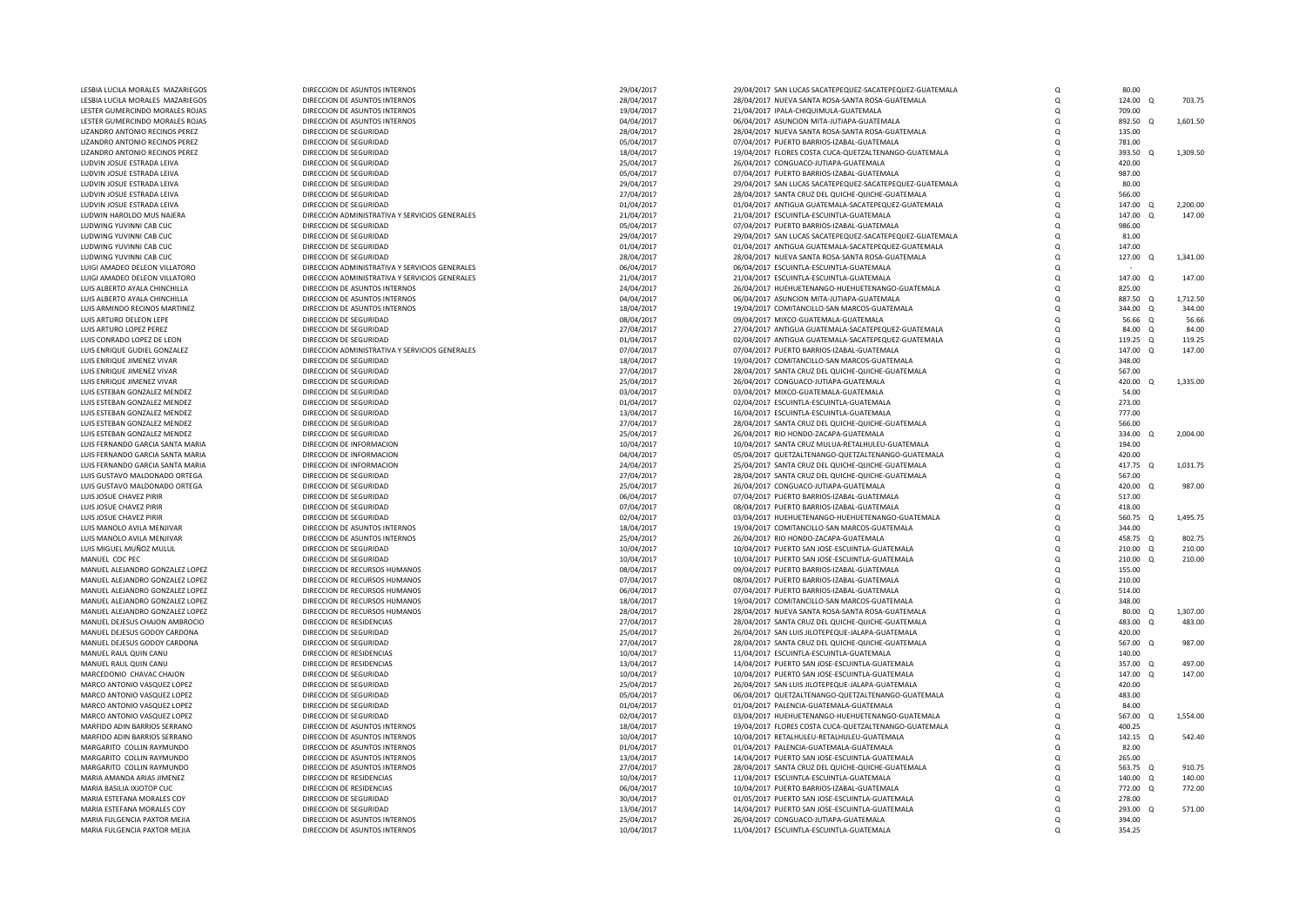| LESBIA LUCILA MORALES MAZARIEGOS                           | DIRECCION DE ASUNTOS INTERNOS                                  | 29/04/2017               | 29/04/2017 SAN LUCAS SACATEPEQUEZ-SACATEPEQUEZ-GUATEMALA                                        | Q                    | 80.00              |          |          |
|------------------------------------------------------------|----------------------------------------------------------------|--------------------------|-------------------------------------------------------------------------------------------------|----------------------|--------------------|----------|----------|
| LESBIA LUCILA MORALES MAZARIEGOS                           | DIRECCION DE ASUNTOS INTERNOS                                  | 28/04/2017               | 28/04/2017 NUEVA SANTA ROSA-SANTA ROSA-GUATEMALA                                                | Q                    | 124.00             | $\Omega$ | 703.75   |
| LESTER GUMERCINDO MORALES ROJAS                            | DIRECCION DE ASUNTOS INTERNOS                                  | 19/04/2017               | 21/04/2017 IPALA-CHIQUIMULA-GUATEMALA                                                           | $\Omega$             | 709.00             |          |          |
| LESTER GUMERCINDO MORALES ROJAS                            | DIRECCION DE ASUNTOS INTERNOS                                  | 04/04/2017               | 06/04/2017 ASUNCION MITA-JUTIAPA-GUATEMALA                                                      | Q                    | 892.50             | $\Omega$ | 1,601.50 |
| LIZANDRO ANTONIO RECINOS PEREZ                             | DIRECCION DE SEGURIDAD                                         | 28/04/2017               | 28/04/2017 NUEVA SANTA ROSA-SANTA ROSA-GUATEMALA                                                | $\Omega$             | 135.00             |          |          |
| LIZANDRO ANTONIO RECINOS PEREZ                             | DIRECCION DE SEGURIDAD                                         | 05/04/2017               | 07/04/2017 PUERTO BARRIOS-IZABAL-GUATEMALA                                                      | $\Omega$             | 781.00             |          |          |
| LIZANDRO ANTONIO RECINOS PEREZ                             | DIRECCION DE SEGURIDAD                                         | 18/04/2017               | 19/04/2017 FLORES COSTA CUCA-QUETZALTENANGO-GUATEMALA                                           | $\Omega$             | 393.50 Q           |          | 1,309.50 |
| LUDVIN JOSUE ESTRADA LEIVA                                 | DIRECCION DE SEGURIDAD                                         | 25/04/2017               | 26/04/2017 CONGUACO-IUTIAPA-GUATEMALA                                                           | $\Omega$             | 420.00             |          |          |
| LUDVIN JOSUE ESTRADA LEIVA                                 | DIRECCION DE SEGURIDAD                                         | 05/04/2017               | 07/04/2017 PUERTO BARRIOS-IZABAL-GUATEMALA                                                      | Q                    | 987.00             |          |          |
| LUDVIN JOSUE ESTRADA LEIVA                                 | DIRECCION DE SEGURIDAD                                         | 29/04/2017               | 29/04/2017 SAN LUCAS SACATEPEQUEZ-SACATEPEQUEZ-GUATEMALA                                        | $\Omega$             | 80.00              |          |          |
| LUDVIN JOSUE ESTRADA LEIVA<br>LUDVIN JOSUE ESTRADA LEIVA   | DIRECCION DE SEGURIDAD<br>DIRECCION DE SEGURIDAD               | 27/04/2017               | 28/04/2017 SANTA CRUZ DEL QUICHE-QUICHE-GUATEMALA                                               | $\Omega$<br>$\Omega$ | 566.00<br>147.00 Q |          | 2,200.00 |
| LUDWIN HAROLDO MUS NAJERA                                  | DIRECCION ADMINISTRATIVA Y SERVICIOS GENERALES                 | 01/04/2017<br>21/04/2017 | 01/04/2017 ANTIGUA GUATEMALA-SACATEPEQUEZ-GUATEMALA<br>21/04/2017 ESCUINTLA-ESCUINTLA-GUATEMALA | $\Omega$             | 147.00             |          | 147.00   |
| LUDWING YUVINNI CAB CUC                                    | DIRECCION DE SEGURIDAD                                         | 05/04/2017               | 07/04/2017 PUERTO BARRIOS-IZABAL-GUATEMALA                                                      | $\Omega$             | 986.00             |          |          |
| LUDWING YUVINNI CAB CUC                                    | DIRECCION DE SEGURIDAD                                         | 29/04/2017               | 29/04/2017 SAN LUCAS SACATEPEQUEZ-SACATEPEQUEZ-GUATEMALA                                        | $\Omega$             | 81.00              |          |          |
| LUDWING YUVINNI CAB CUC                                    | DIRECCION DE SEGURIDAD                                         | 01/04/2017               | 01/04/2017 ANTIGUA GUATEMALA-SACATEPEQUEZ-GUATEMALA                                             | $\Omega$             | 147.00             |          |          |
| LUDWING YUVINNI CAB CUC                                    | DIRECCION DE SEGURIDAD                                         | 28/04/2017               | 28/04/2017 NUEVA SANTA ROSA-SANTA ROSA-GUATEMALA                                                | $\Omega$             | 127.00             | $\Omega$ | 1,341.00 |
| LUIGI AMADEO DELEON VILLATORO                              | DIRECCION ADMINISTRATIVA Y SERVICIOS GENERALES                 | 06/04/2017               | 06/04/2017 ESCUINTLA-ESCUINTLA-GUATEMALA                                                        | $\Omega$             |                    |          |          |
| LUIGI AMADEO DELEON VILLATORO                              | DIRECCION ADMINISTRATIVA Y SERVICIOS GENERALES                 | 21/04/2017               | 21/04/2017 ESCUINTLA-ESCUINTLA-GUATEMALA                                                        | Q                    | 147.00 Q           |          | 147.00   |
| LUIS ALBERTO AYALA CHINCHILLA                              | DIRECCION DE ASUNTOS INTERNOS                                  | 24/04/2017               | 26/04/2017 HUEHUETENANGO-HUEHUETENANGO-GUATEMALA                                                | $\Omega$             | 825.00             |          |          |
| LUIS ALBERTO AYALA CHINCHILLA                              | DIRECCION DE ASUNTOS INTERNOS                                  | 04/04/2017               | 06/04/2017 ASUNCION MITA-JUTIAPA-GUATEMALA                                                      | Q                    | 887.50 Q           |          | 1.712.50 |
| LUIS ARMINDO RECINOS MARTINEZ                              | DIRECCION DE ASUNTOS INTERNOS                                  | 18/04/2017               | 19/04/2017 COMITANCILLO-SAN MARCOS-GUATEMALA                                                    | $\Omega$             | 344.00 Q           |          | 344.00   |
| LUIS ARTURO DELEON LEPE                                    | DIRECCION DE SEGURIDAD                                         | 08/04/2017               | 09/04/2017 MIXCO-GUATEMALA-GUATEMALA                                                            | $\Omega$             | 56.66 0            |          | 56.66    |
| LUIS ARTURO LOPEZ PEREZ                                    | DIRECCION DE SEGURIDAD                                         | 27/04/2017               | 27/04/2017 ANTIGUA GUATEMALA-SACATEPEQUEZ-GUATEMALA                                             | Q                    | 84.00 Q            |          | 84.00    |
| LUIS CONRADO LOPEZ DE LEON                                 | DIRECCION DE SEGURIDAD                                         | 01/04/2017               | 02/04/2017 ANTIGUA GUATEMALA-SACATEPEQUEZ-GUATEMALA                                             | $\Omega$             | 119.25 Q           |          | 119.25   |
| LUIS ENRIQUE GUDIEL GONZALEZ                               | DIRECCION ADMINISTRATIVA Y SERVICIOS GENERALES                 | 07/04/2017               | 07/04/2017 PUERTO BARRIOS-IZABAL-GUATEMALA                                                      | Q                    | 147.00             | $\Omega$ | 147.00   |
| LUIS ENRIQUE JIMENEZ VIVAR                                 | DIRECCION DE SEGURIDAD                                         | 18/04/2017               | 19/04/2017 COMITANCILLO-SAN MARCOS-GUATEMALA                                                    | $\Omega$             | 348.00             |          |          |
| LUIS ENRIQUE JIMENEZ VIVAR                                 | DIRECCION DE SEGURIDAD                                         | 27/04/2017               | 28/04/2017 SANTA CRUZ DEL QUICHE-QUICHE-GUATEMALA                                               | $\Omega$             | 567.00             |          |          |
| LUIS ENRIQUE JIMENEZ VIVAR                                 | DIRECCION DE SEGURIDAD                                         | 25/04/2017               | 26/04/2017 CONGUACO-JUTIAPA-GUATEMALA                                                           | $\Omega$             | 420.00             | $\Omega$ | 1,335.00 |
| LUIS ESTEBAN GONZALEZ MENDEZ                               | DIRECCION DE SEGURIDAD                                         | 03/04/2017               | 03/04/2017 MIXCO-GUATEMALA-GUATEMALA                                                            | $\Omega$             | 54.00              |          |          |
| LUIS ESTEBAN GONZALEZ MENDEZ                               | DIRECCION DE SEGURIDAD                                         | 01/04/2017               | 02/04/2017 ESCUINTLA-ESCUINTLA-GUATEMALA                                                        | $\Omega$             | 273.00             |          |          |
| LUIS ESTEBAN GONZALEZ MENDEZ                               | DIRECCION DE SEGURIDAD                                         | 13/04/2017               | 16/04/2017 ESCUINTLA-ESCUINTLA-GUATEMALA                                                        | $\Omega$             | 777.00             |          |          |
| LUIS ESTEBAN GONZALEZ MENDEZ                               | DIRECCION DE SEGURIDAD                                         | 27/04/2017               | 28/04/2017 SANTA CRUZ DEL QUICHE-QUICHE-GUATEMALA                                               | $\Omega$             | 566.00             |          |          |
| LUIS ESTEBAN GONZALEZ MENDEZ                               | DIRECCION DE SEGURIDAD                                         | 25/04/2017               | 26/04/2017 RIO HONDO-ZACAPA-GUATEMALA                                                           | Q                    | 334.00             | $\Omega$ | 2.004.00 |
| LUIS FERNANDO GARCIA SANTA MARIA                           | DIRECCION DE INFORMACION                                       | 10/04/2017               | 10/04/2017 SANTA CRUZ MULUA-RETALHULEU-GUATEMALA                                                | $\Omega$             | 194.00             |          |          |
| LUIS FERNANDO GARCIA SANTA MARIA                           | DIRECCION DE INFORMACION                                       | 04/04/2017               | 05/04/2017 QUETZALTENANGO-QUETZALTENANGO-GUATEMALA                                              | Q                    | 420.00             |          |          |
| LUIS FERNANDO GARCIA SANTA MARIA                           | DIRECCION DE INFORMACION                                       | 24/04/2017               | 25/04/2017 SANTA CRUZ DEL QUICHE-QUICHE-GUATEMALA                                               | $\Omega$             | 417.75 Q           |          | 1,031.75 |
| LUIS GUSTAVO MALDONADO ORTEGA                              | DIRECCION DE SEGURIDAD                                         | 27/04/2017               | 28/04/2017 SANTA CRUZ DEL QUICHE-QUICHE-GUATEMALA                                               | $\Omega$             | 567.00             |          |          |
| LUIS GUSTAVO MALDONADO ORTEGA                              | DIRECCION DE SEGURIDAD                                         | 25/04/2017               | 26/04/2017 CONGUACO-JUTIAPA-GUATEMALA                                                           | Q                    | 420.00 Q           |          | 987.00   |
| LUIS JOSUE CHAVEZ PIRIR                                    | DIRECCION DE SEGURIDAD                                         | 06/04/2017               | 07/04/2017 PUERTO BARRIOS-IZABAL-GUATEMALA                                                      | $\Omega$             | 517.00             |          |          |
| LUIS JOSUE CHAVEZ PIRIR                                    | DIRECCION DE SEGURIDAD                                         | 07/04/2017               | 08/04/2017 PUERTO BARRIOS-IZABAL-GUATEMALA                                                      | Q                    | 418.00             |          |          |
| LUIS JOSUE CHAVEZ PIRIR                                    | DIRECCION DE SEGURIDAD                                         | 02/04/2017               | 03/04/2017 HUEHUETENANGO-HUEHUETENANGO-GUATEMALA                                                | $\Omega$<br>$\Omega$ | 560.75 Q<br>344.00 |          | 1,495.75 |
| LUIS MANOLO AVILA MENJIVAR<br>LUIS MANOLO AVILA MENJIVAR   | DIRECCION DE ASUNTOS INTERNOS<br>DIRECCION DE ASUNTOS INTERNOS | 18/04/2017<br>25/04/2017 | 19/04/2017 COMITANCILLO-SAN MARCOS-GUATEMALA<br>26/04/2017 RIO HONDO-ZACAPA-GUATEMALA           | $\Omega$             | 458.75 Q           |          | 802.75   |
| LUIS MIGUEL MUÑOZ MULUL                                    | DIRECCION DE SEGURIDAD                                         | 10/04/2017               | 10/04/2017 PUFRTO SAN JOSE-ESCUINTLA-GUATEMALA                                                  | $\Omega$             | $210.00$ Q         |          | 210.00   |
| MANUEL COC PEC                                             | DIRECCION DE SEGURIDAD                                         | 10/04/2017               | 10/04/2017 PUERTO SAN JOSE-ESCUINTLA-GUATEMALA                                                  | $\Omega$             | $210.00$ Q         |          | 210.00   |
| MANUEL ALEJANDRO GONZALEZ LOPEZ                            | DIRECCION DE RECURSOS HUMANOS                                  | 08/04/2017               | 09/04/2017 PUERTO BARRIOS-IZABAL-GUATEMALA                                                      | $\Omega$             | 155.00             |          |          |
| MANUEL ALEJANDRO GONZALEZ LOPEZ                            | DIRECCION DE RECURSOS HUMANOS                                  | 07/04/2017               | 08/04/2017 PUERTO BARRIOS-IZABAL-GUATEMALA                                                      | $\Omega$             | 210.00             |          |          |
| MANUEL ALEJANDRO GONZALEZ LOPEZ                            | DIRECCION DE RECURSOS HUMANOS                                  | 06/04/2017               | 07/04/2017 PUERTO BARRIOS-IZABAL-GUATEMALA                                                      | Q                    | 514.00             |          |          |
| MANUEL ALEJANDRO GONZALEZ LOPEZ                            | DIRECCION DE RECURSOS HUMANOS                                  | 18/04/2017               | 19/04/2017 COMITANCILLO-SAN MARCOS-GUATEMALA                                                    | $\Omega$             | 348.00             |          |          |
| MANUEL ALEJANDRO GONZALEZ LOPEZ                            | DIRECCION DE RECURSOS HUMANOS                                  | 28/04/2017               | 28/04/2017 NUEVA SANTA ROSA-SANTA ROSA-GUATEMALA                                                | Q                    | 80.00 Q            |          | 1.307.00 |
| MANUEL DEJESUS CHAJON AMBROCIO                             | DIRECCION DE RESIDENCIAS                                       | 27/04/2017               | 28/04/2017 SANTA CRUZ DEL QUICHE-QUICHE-GUATEMALA                                               | $\Omega$             | 483.00 Q           |          | 483.00   |
| MANUEL DEJESUS GODOY CARDONA                               | DIRECCION DE SEGURIDAD                                         | 25/04/2017               | 26/04/2017 SAN LUIS JILOTEPEQUE-JALAPA-GUATEMALA                                                | $\Omega$             | 420.00             |          |          |
| MANUEL DEJESUS GODOY CARDONA                               | DIRECCION DE SEGURIDAD                                         | 27/04/2017               | 28/04/2017 SANTA CRUZ DEL QUICHE-QUICHE-GUATEMALA                                               | Q                    | 567.00 Q           |          | 987.00   |
| MANUEL RAUL QUIN CANL                                      | DIRECCION DE RESIDENCIAS                                       | 10/04/2017               | 11/04/2017 ESCUINTLA-ESCUINTLA-GUATEMALA                                                        | $\Omega$             | 140.00             |          |          |
| MANUEL RAUL QUIN CANU                                      | DIRECCION DE RESIDENCIAS                                       | 13/04/2017               | 14/04/2017 PUERTO SAN JOSE-ESCUINTLA-GUATEMALA                                                  | Q                    | 357.00             | $\Omega$ | 497.00   |
| MARCEDONIO CHAVAC CHAJON                                   | DIRECCION DE SEGURIDAD                                         | 10/04/2017               | 10/04/2017 PUERTO SAN JOSE-ESCUINTLA-GUATEMALA                                                  | $\Omega$             | 147.00             | $\Omega$ | 147.00   |
| MARCO ANTONIO VASQUEZ LOPEZ                                | DIRECCION DE SEGURIDAD                                         | 25/04/2017               | 26/04/2017 SAN LUIS JILOTEPEQUE-JALAPA-GUATEMALA                                                | Q                    | 420.00             |          |          |
| MARCO ANTONIO VASQUEZ LOPEZ                                | DIRECCION DE SEGURIDAD                                         | 05/04/2017               | 06/04/2017 QUETZALTENANGO-QUETZALTENANGO-GUATEMALA                                              | $\Omega$             | 483.00             |          |          |
| MARCO ANTONIO VASQUEZ LOPEZ                                | DIRECCION DE SEGURIDAD                                         | 01/04/2017               | 01/04/2017 PALENCIA-GUATEMALA-GUATEMALA                                                         | $\Omega$             | 84.00              |          |          |
| MARCO ANTONIO VASQUEZ LOPEZ                                | DIRECCION DE SEGURIDAD                                         | 02/04/2017               | 03/04/2017 HUEHUETENANGO-HUEHUETENANGO-GUATEMALA                                                | $\Omega$             | 567.00             | $\Omega$ | 1,554.00 |
| MARFIDO ADIN BARRIOS SERRANO                               | DIRECCION DE ASUNTOS INTERNOS                                  | 18/04/2017               | 19/04/2017 FLORES COSTA CUCA-QUETZALTENANGO-GUATEMALA                                           | $\Omega$             | 400.25             |          |          |
| MARFIDO ADIN BARRIOS SERRANO                               | DIRECCION DE ASUNTOS INTERNOS                                  | 10/04/2017               | 10/04/2017 RETALHULEU-RETALHULEU-GUATEMALA                                                      | $\Omega$             | 142.15 Q           |          | 542.40   |
| MARGARITO COLLIN RAYMUNDO                                  | DIRECCION DE ASUNTOS INTERNOS                                  | 01/04/2017               | 01/04/2017 PALENCIA-GUATEMALA-GUATEMALA                                                         | $\Omega$             | 82.00              |          |          |
| MARGARITO COLLIN RAYMUNDO                                  | DIRECCION DE ASUNTOS INTERNOS                                  | 13/04/2017               | 14/04/2017 PUERTO SAN JOSE-ESCUINTLA-GUATEMALA                                                  | $\Omega$             | 265.00             |          |          |
| MARGARITO COLLIN RAYMUNDO                                  | DIRECCION DE ASUNTOS INTERNOS                                  | 27/04/2017               | 28/04/2017 SANTA CRUZ DEL QUICHE-QUICHE-GUATEMALA                                               | $\Omega$             | 563.75 Q           |          | 910.75   |
| MARIA AMANDA ARIAS JIMENEZ                                 | DIRECCION DE RESIDENCIAS                                       | 10/04/2017               | 11/04/2017 ESCUINTLA-ESCUINTLA-GUATEMALA                                                        | $\Omega$             | 140.00 Q           |          | 140.00   |
| MARIA BASILIA IXIOTOP CUC                                  | DIRECCION DE RESIDENCIAS                                       | 06/04/2017               | 10/04/2017 PUERTO BARRIOS-IZABAL-GUATEMALA                                                      | Q                    | 772.00 Q           |          | 772.00   |
| MARIA ESTEFANA MORALES COY                                 | DIRECCION DE SEGURIDAD                                         | 30/04/2017               | 01/05/2017 PUERTO SAN JOSE-ESCUINTLA-GUATEMALA                                                  | Q                    | 278.00             |          |          |
| MARIA ESTEFANA MORALES COY<br>MARIA FULGENCIA PAXTOR MEJIA | DIRECCION DE SEGURIDAD<br>DIRECCION DE ASUNTOS INTERNOS        | 13/04/2017<br>25/04/2017 | 14/04/2017 PUERTO SAN JOSE-ESCUINTLA-GUATEMALA<br>26/04/2017 CONGUACO-JUTIAPA-GUATEMALA         | $\Omega$<br>$\Omega$ | 293.00 Q<br>394.00 |          | 571.00   |
| MARIA FULGENCIA PAXTOR MEJIA                               | DIRECCION DE ASUNTOS INTERNOS                                  | 10/04/2017               | 11/04/2017 ESCUINTLA-ESCUINTLA-GUATEMALA                                                        |                      | 354.25             |          |          |
|                                                            |                                                                |                          |                                                                                                 |                      |                    |          |          |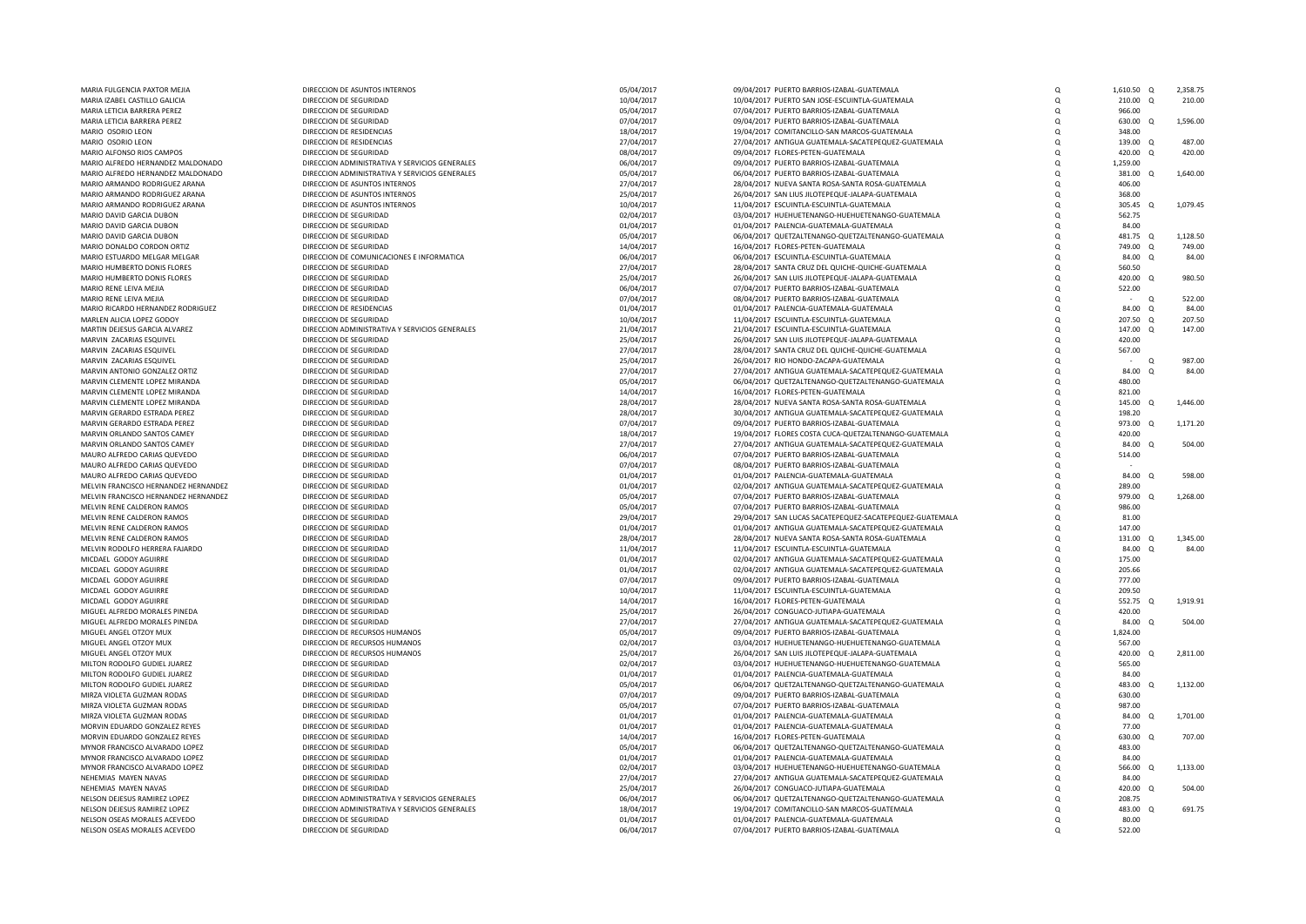| MARIA FULGENCIA PAXTOR MEJIA                                 | DIRECCION DE ASUNTOS INTERNOS                    | 05/04/2017               | 09/04/2017 PUERTO BARRIOS-IZABAL-GUATEMALA                                            | $\Omega$             | 1,610.50 Q      |          | 2,358.75 |
|--------------------------------------------------------------|--------------------------------------------------|--------------------------|---------------------------------------------------------------------------------------|----------------------|-----------------|----------|----------|
| MARIA IZABEL CASTILLO GALICIA                                | DIRECCION DE SEGURIDAD                           | 10/04/2017               | 10/04/2017 PUERTO SAN JOSE-ESCUINTLA-GUATEMALA                                        | $\Omega$             | 210.00 Q        |          | 210.00   |
| MARIA LETICIA BARRERA PEREZ                                  | DIRECCION DE SEGURIDAD                           | 05/04/2017               | 07/04/2017 PUERTO BARRIOS-IZABAL-GUATEMALA                                            | Q                    | 966.00          |          |          |
| MARIA LETICIA BARRERA PEREZ                                  | DIRECCION DE SEGURIDAD                           | 07/04/2017               | 09/04/2017 PUERTO BARRIOS-IZABAL-GUATEMALA                                            | $\Omega$             | 630.00 Q        |          | 1,596.00 |
| MARIO OSORIO LEON                                            | DIRECCION DE RESIDENCIAS                         | 18/04/2017               | 19/04/2017 COMITANCILLO-SAN MARCOS-GUATEMALA                                          | $\Omega$             | 348.00          |          |          |
|                                                              | DIRECCION DE RESIDENCIAS                         |                          |                                                                                       |                      |                 |          | 487.00   |
| MARIO OSORIO LEON                                            |                                                  | 27/04/2017               | 27/04/2017 ANTIGUA GUATEMALA-SACATEPEQUEZ-GUATEMALA                                   | Q                    | 139.00          | $\Omega$ |          |
| MARIO ALFONSO RIOS CAMPOS                                    | DIRECCION DE SEGURIDAD                           | 08/04/2017               | 09/04/2017 FLORES-PETEN-GUATEMALA                                                     | $\Omega$             | 420.00          | $\Omega$ | 420.00   |
| MARIO ALFREDO HERNANDEZ MALDONADO                            | DIRECCION ADMINISTRATIVA Y SERVICIOS GENERALES   | 06/04/2017               | 09/04/2017 PUERTO BARRIOS-IZABAL-GUATEMALA                                            |                      | 1,259.00        |          |          |
| MARIO ALFREDO HERNANDEZ MALDONADO                            | DIRECCION ADMINISTRATIVA Y SERVICIOS GENERALES   | 05/04/2017               | 06/04/2017 PUERTO BARRIOS-IZABAL-GUATEMALA                                            | $\Omega$             | 381.00          | $\Omega$ | 1,640.00 |
| MARIO ARMANDO RODRIGUEZ ARANA                                | DIRECCION DE ASUNTOS INTERNOS                    | 27/04/2017               | 28/04/2017 NUEVA SANTA ROSA-SANTA ROSA-GUATEMALA                                      | $\Omega$             | 406.00          |          |          |
| MARIO ARMANDO RODRIGUEZ ARANA                                | DIRECCION DE ASUNTOS INTERNOS                    | 25/04/2017               | 26/04/2017 SAN LIUS JILOTEPEQUE-JALAPA-GUATEMALA                                      | $\Omega$             | 368.00          |          |          |
| MARIO ARMANDO RODRIGUEZ ARANA                                | DIRECCION DE ASUNTOS INTERNOS                    | 10/04/2017               | 11/04/2017 ESCUINTLA-ESCUINTLA-GUATEMALA                                              | $\Omega$             | 305.45          | $\Omega$ | 1,079.45 |
|                                                              |                                                  |                          |                                                                                       |                      |                 |          |          |
| MARIO DAVID GARCIA DUBON                                     | DIRECCION DE SEGURIDAD                           | 02/04/2017               | 03/04/2017 HUEHUETENANGO-HUEHUETENANGO-GUATEMALA                                      | $\Omega$             | 562.75          |          |          |
| MARIO DAVID GARCIA DUBON                                     | DIRECCION DE SEGURIDAD                           | 01/04/2017               | 01/04/2017 PALENCIA-GUATEMALA-GUATEMALA                                               | $\Omega$             | 84.00           |          |          |
| MARIO DAVID GARCIA DUBON                                     | DIRECCION DE SEGURIDAD                           | 05/04/2017               | 06/04/2017 QUETZALTENANGO-QUETZALTENANGO-GUATEMALA                                    | $\Omega$             | 481.75 Q        |          | 1,128.50 |
| MARIO DONALDO CORDON ORTIZ                                   | DIRECCION DE SEGURIDAD                           | 14/04/2017               | 16/04/2017 FLORES-PETEN-GUATEMALA                                                     |                      | 749.00 Q        |          | 749.00   |
| MARIO ESTUARDO MELGAR MELGAR                                 | DIRECCION DE COMUNICACIONES E INFORMATICA        | 06/04/2017               | 06/04/2017 ESCUINTLA-ESCUINTLA-GUATEMALA                                              | $\Omega$             | 84.00 Q         |          | 84.00    |
| MARIO HUMBERTO DONIS FLORES                                  | DIRECCION DE SEGURIDAD                           | 27/04/2017               | 28/04/2017 SANTA CRUZ DEL QUICHE-QUICHE-GUATEMALA                                     | $\Omega$             | 560.50          |          |          |
| MARIO HUMBERTO DONIS FLORES                                  | DIRECCION DE SEGURIDAD                           | 25/04/2017               | 26/04/2017 SAN LUIS JILOTEPEQUE-JALAPA-GUATEMALA                                      | $\Omega$             | 420.00 Q        |          | 980.50   |
|                                                              |                                                  |                          |                                                                                       |                      |                 |          |          |
| MARIO RENE LEIVA MEJIA                                       | DIRECCION DE SEGURIDAD                           | 06/04/2017               | 07/04/2017 PUERTO BARRIOS-IZABAL-GUATEMALA                                            | $\Omega$             | 522.00          |          |          |
| MARIO RENE LEIVA MEJIA                                       | DIRECCION DE SEGURIDAD                           | 07/04/2017               | 08/04/2017 PUERTO BARRIOS-IZABAL-GUATEMALA                                            | $\Omega$             | $\sim$ 10 $\pm$ | $\alpha$ | 522.00   |
| MARIO RICARDO HERNANDEZ RODRIGUEZ                            | DIRECCION DE RESIDENCIAS                         | 01/04/2017               | 01/04/2017 PALENCIA-GUATEMALA-GUATEMALA                                               | Q                    | 84.00           | Q        | 84.00    |
| MARLEN ALICIA LOPEZ GODOY                                    | DIRECCION DE SEGURIDAD                           | 10/04/2017               | 11/04/2017 ESCUINTLA-ESCUINTLA-GUATEMALA                                              | $\Omega$             | 207.50          | $\Omega$ | 207.50   |
| MARTIN DEJESUS GARCIA ALVAREZ                                | DIRECCION ADMINISTRATIVA Y SERVICIOS GENERALES   | 21/04/2017               | 21/04/2017 ESCUINTLA-ESCUINTLA-GUATEMALA                                              | $\Omega$             | 147.00 Q        |          | 147.00   |
| MARVIN ZACARIAS ESQUIVEL                                     | DIRECCION DE SEGURIDAD                           | 25/04/2017               | 26/04/2017 SAN LUIS JILOTEPEQUE-JALAPA-GUATEMALA                                      | $\Omega$             | 420.00          |          |          |
| MARVIN ZACARIAS ESOUIVEI                                     |                                                  |                          |                                                                                       |                      |                 |          |          |
|                                                              | DIRECCION DE SEGURIDAD                           | 27/04/2017               | 28/04/2017 SANTA CRUZ DEL QUICHE-QUICHE-GUATEMALA                                     | $\Omega$             | 567.00          |          |          |
| MARVIN ZACARIAS ESQUIVEL                                     | DIRECCION DE SEGURIDAD                           | 25/04/2017               | 26/04/2017 RIO HONDO-ZACAPA-GUATEMALA                                                 | $\Omega$             |                 | $\Omega$ | 987.00   |
| MARVIN ANTONIO GONZALEZ ORTIZ                                | DIRECCION DE SEGURIDAD                           | 27/04/2017               | 27/04/2017 ANTIGUA GUATEMALA-SACATEPEQUEZ-GUATEMALA                                   | $\Omega$             | 84.00           | $\Omega$ | 84.00    |
| MARVIN CLEMENTE LOPEZ MIRANDA                                | DIRECCION DE SEGURIDAD                           | 05/04/2017               | 06/04/2017 QUETZALTENANGO-QUETZALTENANGO-GUATEMALA                                    | $\Omega$             | 480.00          |          |          |
| MARVIN CLEMENTE LOPEZ MIRANDA                                | DIRECCION DE SEGURIDAD                           | 14/04/2017               | 16/04/2017 FLORES-PETEN-GUATEMALA                                                     | $\Omega$             | 821.00          |          |          |
| MARVIN CLEMENTE LOPEZ MIRANDA                                | DIRECCION DE SEGURIDAD                           | 28/04/2017               | 28/04/2017 NUEVA SANTA ROSA-SANTA ROSA-GUATEMALA                                      | $\Omega$             | 145.00          | $\Omega$ | 1,446.00 |
| MARVIN GERARDO ESTRADA PEREZ                                 | DIRECCION DE SEGURIDAD                           | 28/04/2017               | 30/04/2017 ANTIGUA GUATEMALA-SACATEPEQUEZ-GUATEMALA                                   | $\Omega$             | 198.20          |          |          |
|                                                              |                                                  |                          |                                                                                       |                      |                 |          |          |
| MARVIN GERARDO ESTRADA PEREZ                                 | DIRECCION DE SEGURIDAD                           | 07/04/2017               | 09/04/2017 PUERTO BARRIOS-IZABAL-GUATEMALA                                            | $\Omega$             | 973.00 Q        |          | 1,171.20 |
| MARVIN ORLANDO SANTOS CAMEY                                  | DIRECCION DE SEGURIDAD                           | 18/04/2017               | 19/04/2017 FLORES COSTA CUCA-QUETZALTENANGO-GUATEMALA                                 | $\Omega$             | 420.00          |          |          |
| MARVIN ORLANDO SANTOS CAMEY                                  | DIRECCION DE SEGURIDAD                           | 27/04/2017               | 27/04/2017 ANTIGUA GUATEMALA-SACATEPEQUEZ-GUATEMALA                                   | $\Omega$             | 84.00           | $\Omega$ | 504.00   |
| MAURO ALFREDO CARIAS QUEVEDO                                 | DIRECCION DE SEGURIDAD                           | 06/04/2017               | 07/04/2017 PUERTO BARRIOS-IZABAL-GUATEMALA                                            | Q                    | 514.00          |          |          |
| MAURO ALFREDO CARIAS QUEVEDO                                 | DIRECCION DE SEGURIDAD                           | 07/04/2017               | 08/04/2017 PUERTO BARRIOS-IZABAL-GUATEMALA                                            | $\Omega$             |                 |          |          |
| MAURO ALFREDO CARIAS QUEVEDO                                 | DIRECCION DE SEGURIDAD                           | 01/04/2017               | 01/04/2017 PALENCIA-GUATEMALA-GUATEMALA                                               | $\Omega$             | 84.00 Q         |          | 598.00   |
|                                                              |                                                  |                          |                                                                                       |                      |                 |          |          |
| MELVIN FRANCISCO HERNANDEZ HERNANDEZ                         | DIRECCION DE SEGURIDAD                           | 01/04/2017               | 02/04/2017 ANTIGUA GUATEMALA-SACATEPEQUEZ-GUATEMALA                                   | $\Omega$             | 289.00          |          |          |
| MELVIN FRANCISCO HERNANDEZ HERNANDEZ                         | DIRECCION DE SEGURIDAD                           | 05/04/2017               | 07/04/2017 PUERTO BARRIOS-IZABAL-GUATEMALA                                            | $\Omega$             | 979.00 Q        |          | 1.268.00 |
| MELVIN RENE CALDERON RAMOS                                   | DIRECCION DE SEGURIDAD                           | 05/04/2017               | 07/04/2017 PUERTO BARRIOS-IZABAL-GUATEMALA                                            | $\Omega$             | 986.00          |          |          |
| MELVIN RENE CALDERON RAMOS                                   | DIRECCION DE SEGURIDAD                           | 29/04/2017               | 29/04/2017 SAN LUCAS SACATEPEQUEZ-SACATEPEQUEZ-GUATEMALA                              | $\Omega$             | 81.00           |          |          |
| MELVIN RENE CALDERON RAMOS                                   | DIRECCION DE SEGURIDAD                           | 01/04/2017               | 01/04/2017 ANTIGUA GUATEMALA-SACATEPEQUEZ-GUATEMALA                                   |                      | 147.00          |          |          |
| MELVIN RENE CALDERON RAMOS                                   | DIRECCION DE SEGURIDAD                           | 28/04/2017               | 28/04/2017 NUEVA SANTA ROSA-SANTA ROSA-GUATEMALA                                      | $\Omega$             | 131.00 Q        |          | 1.345.00 |
| MELVIN RODOLFO HERRERA FAJARDO                               | DIRECCION DE SEGURIDAD                           | 11/04/2017               | 11/04/2017 ESCUINTLA-ESCUINTLA-GUATEMALA                                              | $\Omega$             | 84.00           | $\Omega$ | 84.00    |
| MICDAEL GODOY AGUIRRE                                        | DIRECCION DE SEGURIDAD                           | 01/04/2017               | 02/04/2017 ANTIGUA GUATEMALA-SACATEPEQUEZ-GUATEMALA                                   |                      | 175.00          |          |          |
|                                                              |                                                  |                          |                                                                                       | $\Omega$             |                 |          |          |
| MICDAEL GODOY AGUIRRE                                        | DIRECCION DE SEGURIDAD                           | 01/04/2017               | 02/04/2017 ANTIGUA GUATEMALA-SACATEPEQUEZ-GUATEMALA                                   | $\Omega$             | 205.66          |          |          |
| MICDAEL GODOY AGUIRRE                                        | DIRECCION DE SEGURIDAD                           | 07/04/2017               | 09/04/2017 PUERTO BARRIOS-IZABAL-GUATEMALA                                            | $\Omega$             | 777.00          |          |          |
| MICDAEL GODOY AGUIRRE                                        | DIRECCION DE SEGURIDAD                           | 10/04/2017               | 11/04/2017 ESCUINTLA-ESCUINTLA-GUATEMALA                                              | $\Omega$             | 209.50          |          |          |
| MICDAEL GODOY AGUIRRE                                        | DIRECCION DE SEGURIDAD                           | 14/04/2017               | 16/04/2017 FLORES-PETEN-GUATEMALA                                                     | $\Omega$             | 552.75 Q        |          | 1,919.91 |
| MIGUEL ALFREDO MORALES PINEDA                                | DIRECCION DE SEGURIDAD                           | 25/04/2017               | 26/04/2017 CONGUACO-JUTIAPA-GUATEMALA                                                 |                      | 420.00          |          |          |
| MIGUEL ALEREDO MORALES PINEDA                                | DIRECCION DE SEGURIDAD                           | 27/04/2017               | 27/04/2017 ANTIGUA GUATEMALA-SACATEPEQUEZ-GUATEMALA                                   | $\Omega$             | 84.00 Q         |          | 504.00   |
|                                                              |                                                  |                          |                                                                                       |                      |                 |          |          |
| MIGUEL ANGEL OTZOY MUX                                       | DIRECCION DE RECURSOS HUMANOS                    | 05/04/2017               | 09/04/2017 PUERTO BARRIOS-IZABAL-GUATEMALA                                            | $\Omega$             | 1,824.00        |          |          |
| MIGUEL ANGEL OTZOY MUX                                       | DIRECCION DE RECURSOS HUMANOS                    | 02/04/2017               | 03/04/2017 HUEHUETENANGO-HUEHUETENANGO-GUATEMALA                                      | $\Omega$             | 567.00          |          |          |
| MIGUEL ANGEL OTZOY MUX                                       | DIRECCION DE RECURSOS HUMANOS                    | 25/04/2017               | 26/04/2017 SAN LUIS JILOTEPEQUE-JALAPA-GUATEMALA                                      | $\Omega$             | 420.00          | $\cap$   | 2,811.00 |
| MILTON RODOLFO GUDIEL JUAREZ                                 | DIRECCION DE SEGURIDAD                           | 02/04/2017               | 03/04/2017 HUEHUETENANGO-HUEHUETENANGO-GUATEMALA                                      | $\Omega$             | 565.00          |          |          |
| MILTON RODOLFO GUDIEL JUAREZ                                 | DIRECCION DE SEGURIDAD                           | 01/04/2017               | 01/04/2017 PALENCIA-GUATEMALA-GUATEMALA                                               | $\Omega$             | 84.00           |          |          |
| MILTON RODOLFO GUDIEL JUAREZ                                 | DIRECCION DE SEGURIDAD                           | 05/04/2017               | 06/04/2017 QUETZALTENANGO-QUETZALTENANGO-GUATEMALA                                    | $\Omega$             | 483.00          | $\Omega$ | 1,132.00 |
| MIRZA VIOLETA GUZMAN RODAS                                   | DIRECCION DE SEGURIDAD                           | 07/04/2017               | 09/04/2017 PUERTO BARRIOS-IZABAL-GUATEMALA                                            | $\Omega$             | 630.00          |          |          |
|                                                              |                                                  |                          |                                                                                       |                      |                 |          |          |
| MIRZA VIOLETA GUZMAN RODAS                                   | DIRECCION DE SEGURIDAD                           | 05/04/2017               | 07/04/2017 PUERTO BARRIOS-IZABAL-GUATEMALA                                            | $\Omega$             | 987.00          |          |          |
| MIRZA VIOLETA GUZMAN RODAS                                   | DIRECCION DE SEGURIDAD                           | 01/04/2017               | 01/04/2017 PALENCIA-GUATEMALA-GUATEMALA                                               | $\Omega$             | 84.00 Q         |          | 1,701.00 |
| MORVIN FDUARDO GONZALEZ REYES                                | DIRECCION DE SEGURIDAD                           | 01/04/2017               | 01/04/2017 PALENCIA-GUATEMALA-GUATEMALA                                               | $\Omega$             | 77.00           |          |          |
| MORVIN EDUARDO GONZALEZ REYES                                | DIRECCION DE SEGURIDAD                           | 14/04/2017               | 16/04/2017 FLORES-PETEN-GUATEMALA                                                     | Q                    | 630.00          | $\Omega$ | 707.00   |
| MYNOR FRANCISCO ALVARADO LOPEZ                               | DIRECCION DE SEGURIDAD                           | 05/04/2017               | 06/04/2017 QUETZALTENANGO-QUETZALTENANGO-GUATEMALA                                    | $\Omega$             | 483.00          |          |          |
| MYNOR FRANCISCO ALVARADO LOPEZ                               | DIRECCION DE SEGURIDAD                           | 01/04/2017               | 01/04/2017 PALENCIA-GUATEMALA-GUATEMALA                                               |                      | 84.00           |          |          |
|                                                              |                                                  |                          |                                                                                       |                      |                 |          |          |
| MYNOR FRANCISCO ALVARADO LOPEZ                               | DIRECCION DE SEGURIDAD                           | 02/04/2017               | 03/04/2017 HUEHUETENANGO-HUEHUETENANGO-GUATEMALA                                      | $\Omega$             | 566.00          | $\Omega$ | 1,133.00 |
| NEHEMIAS MAYEN NAVAS                                         | DIRECCION DE SEGURIDAD                           | 27/04/2017               | 27/04/2017 ANTIGUA GUATEMALA-SACATEPEQUEZ-GUATEMALA                                   | $\Omega$             | 84.00           |          |          |
| NEHEMIAS MAYEN NAVAS                                         | DIRECCION DE SEGURIDAD                           | 25/04/2017               | 26/04/2017 CONGUACO-JUTIAPA-GUATEMALA                                                 | $\Omega$             | 420.00 Q        |          | 504.00   |
|                                                              |                                                  |                          |                                                                                       |                      | 208.75          |          |          |
|                                                              | DIRECCION ADMINISTRATIVA Y SERVICIOS GENERALES   | 06/04/2017               | 06/04/2017 QUETZALTENANGO-QUETZALTENANGO-GUATEMALA                                    | $\Omega$             |                 |          |          |
|                                                              |                                                  |                          |                                                                                       | $\Omega$             | 483.00          | $\Omega$ | 691.75   |
| NELSON DEJESUS RAMIREZ LOPEZ<br>NELSON DEJESUS RAMIREZ LOPEZ | DIRECCION ADMINISTRATIVA Y SERVICIOS GENERALES   | 18/04/2017               | 19/04/2017 COMITANCILLO-SAN MARCOS-GUATEMALA                                          |                      |                 |          |          |
| NELSON OSEAS MORALES ACEVEDO<br>NELSON OSEAS MORALES ACEVEDO | DIRECCION DE SEGURIDAD<br>DIRECCION DE SEGURIDAD | 01/04/2017<br>06/04/2017 | 01/04/2017 PALENCIA-GUATEMALA-GUATEMALA<br>07/04/2017 PUERTO BARRIOS-IZABAL-GUATEMALA | $\Omega$<br>$\Omega$ | 80.00<br>522.00 |          |          |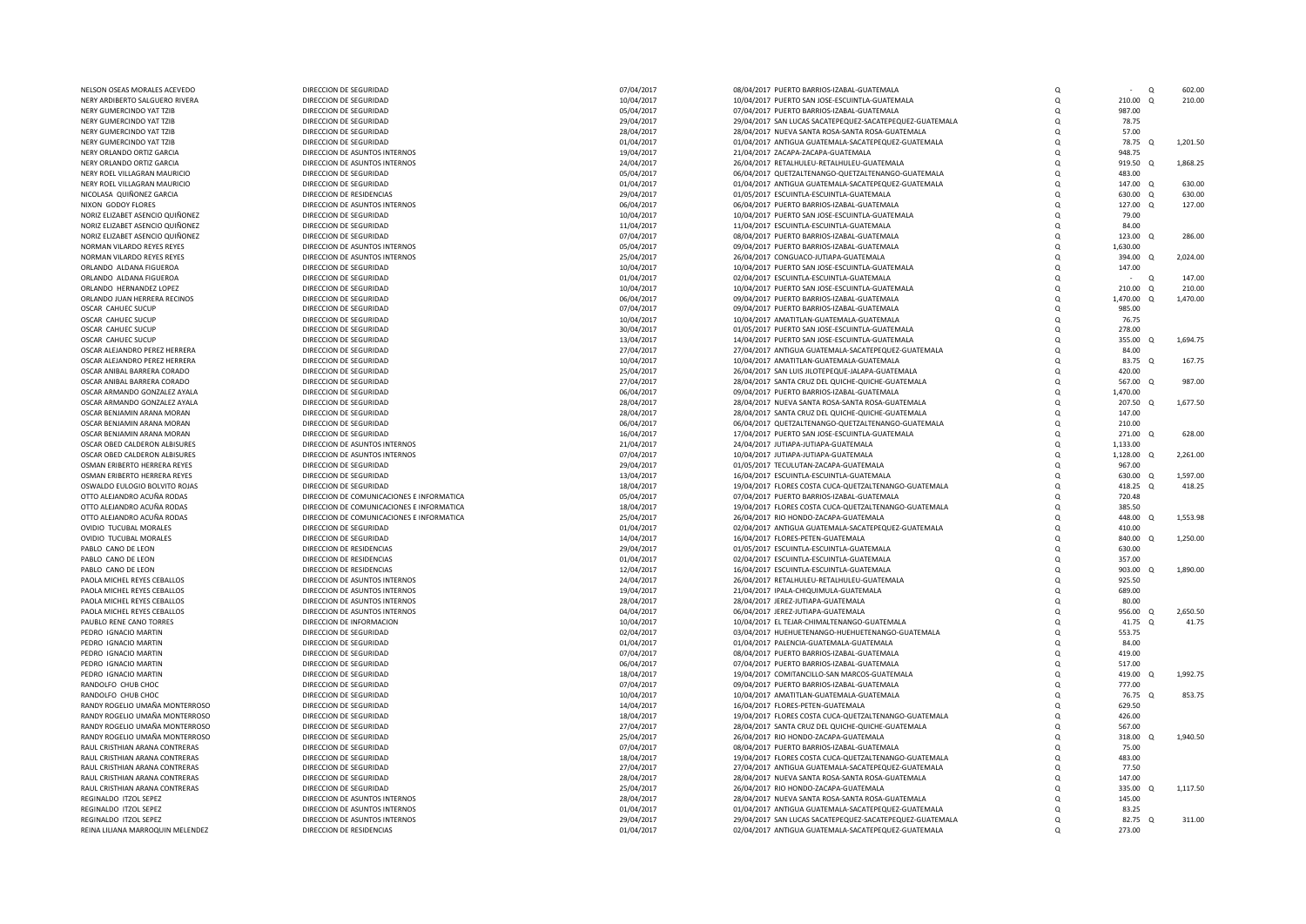| NELSON OSEAS MORALES ACEVEDO     | DIRECCION DE SEGURIDAD                    | 07/04/2017 | 08/04/2017 PUERTO BARRIOS-IZABAL-GUATEMALA               | $\Omega$   |                    | Q | 602.00   |
|----------------------------------|-------------------------------------------|------------|----------------------------------------------------------|------------|--------------------|---|----------|
| NERY ARDIBERTO SALGUERO RIVERA   | DIRECCION DE SEGURIDAD                    | 10/04/2017 | 10/04/2017 PUERTO SAN JOSE-ESCUINTLA-GUATEMALA           | $\Omega$   | 210.00 Q           |   | 210.00   |
|                                  |                                           |            |                                                          |            |                    |   |          |
| NERY GUMERCINDO YAT TZIB         | DIRECCION DE SEGURIDAD                    | 05/04/2017 | 07/04/2017 PUERTO BARRIOS-IZABAL-GUATEMALA               | $\Omega$   | 987.00             |   |          |
| NERY GUMERCINDO YAT TZIB         | DIRECCION DE SEGURIDAD                    | 29/04/2017 | 29/04/2017 SAN LUCAS SACATEPEQUEZ-SACATEPEQUEZ-GUATEMALA | $\Omega$   | 78.75              |   |          |
| NERY GUMERCINDO YAT TZIB         | DIRECCION DE SEGURIDAD                    | 28/04/2017 | 28/04/2017 NUEVA SANTA ROSA-SANTA ROSA-GUATEMALA         | $\Omega$   | 57.00              |   |          |
| NERY GUMERCINDO YAT TZIB         | DIRECCION DE SEGURIDAD                    | 01/04/2017 | 01/04/2017 ANTIGUA GUATEMALA-SACATEPEQUEZ-GUATEMALA      |            | 78.75<br>$\Omega$  |   | 1,201.50 |
|                                  |                                           |            |                                                          |            |                    |   |          |
| NERY ORLANDO ORTIZ GARCIA        | DIRECCION DE ASUNTOS INTERNOS             | 19/04/2017 | 21/04/2017 ZACAPA-ZACAPA-GUATEMALA                       | $\Omega$   | 948.75             |   |          |
| NERY ORLANDO ORTIZ GARCIA        | DIRECCION DE ASUNTOS INTERNOS             | 24/04/2017 | 26/04/2017 RETALHULEU-RETALHULEU-GUATEMALA               | $\Omega$   | 919.50 Q           |   | 1,868.25 |
| NERY ROEL VILLAGRAN MAURICIO     | DIRECCION DE SEGURIDAD                    | 05/04/2017 | 06/04/2017 QUETZALTENANGO-QUETZALTENANGO-GUATEMALA       | $\Omega$   | 483.00             |   |          |
|                                  | DIRECCION DE SEGURIDAD                    |            |                                                          |            |                    |   | 630.00   |
| NERY ROEL VILLAGRAN MAURICIO     |                                           | 01/04/2017 | 01/04/2017 ANTIGUA GUATEMALA-SACATEPEQUEZ-GUATEMALA      | $\Omega$   | 147.00<br>$\Omega$ |   |          |
| NICOLASA QUIÑONEZ GARCIA         | DIRECCION DE RESIDENCIAS                  | 29/04/2017 | 01/05/2017 ESCUINTLA-ESCUINTLA-GUATEMALA                 | $\Omega$   | 630.00<br>$\Omega$ |   | 630.00   |
| NIXON GODOY FLORES               | DIRECCION DE ASUNTOS INTERNOS             | 06/04/2017 | 06/04/2017 PUERTO BARRIOS-IZABAL-GUATEMALA               |            | 127.00<br>$\Omega$ |   | 127.00   |
| NORIZ ELIZABET ASENCIO QUIÑONEZ  | DIRECCION DE SEGURIDAD                    | 10/04/2017 | 10/04/2017 PUERTO SAN JOSE-ESCUINTLA-GUATEMALA           | $\Omega$   | 79.00              |   |          |
|                                  |                                           |            |                                                          |            |                    |   |          |
| NORIZ ELIZABET ASENCIO QUIÑONEZ  | DIRECCION DE SEGURIDAD                    | 11/04/2017 | 11/04/2017 ESCUINTLA-ESCUINTLA-GUATEMALA                 | $\Omega$   | 84.00              |   |          |
| NORIZ ELIZABET ASENCIO QUIÑONEZ  | DIRECCION DE SEGURIDAD                    | 07/04/2017 | 08/04/2017 PUERTO BARRIOS-IZABAL-GUATEMALA               | $^{\circ}$ | 123.00 Q           |   | 286.00   |
| NORMAN VILARDO REYES REYES       | DIRECCION DE ASUNTOS INTERNOS             | 05/04/2017 | 09/04/2017 PUERTO BARRIOS-IZABAL-GUATEMALA               | $\Omega$   | 1,630.00           |   |          |
| NORMAN VILARDO REYES REYES       | DIRECCION DE ASUNTOS INTERNOS             | 25/04/2017 | 26/04/2017 CONGUACO-JUTIAPA-GUATEMALA                    | $\Omega$   | 394.00 Q           |   | 2.024.00 |
|                                  |                                           |            |                                                          |            |                    |   |          |
| ORLANDO ALDANA FIGUEROA          | DIRECCION DE SEGURIDAD                    | 10/04/2017 | 10/04/2017 PUERTO SAN JOSE-ESCUINTLA-GUATEMALA           | $\Omega$   | 147.00             |   |          |
| ORLANDO ALDANA FIGUEROA          | DIRECCION DE SEGURIDAD                    | 01/04/2017 | 02/04/2017 ESCUINTLA-ESCUINTLA-GUATEMALA                 | $\Omega$   |                    | Q | 147.00   |
| ORLANDO HERNANDEZ LOPEZ          | DIRECCION DE SEGURIDAD                    | 10/04/2017 | 10/04/2017 PUERTO SAN JOSE-ESCUINTLA-GUATEMALA           | $\Omega$   | 210.00 Q           |   | 210.00   |
|                                  |                                           |            |                                                          |            |                    |   |          |
| ORLANDO JUAN HERRERA RECINOS     | DIRECCION DE SEGURIDAD                    | 06/04/2017 | 09/04/2017 PUERTO BARRIOS-IZABAL-GUATEMALA               | $\Omega$   | 1,470.00 Q         |   | 1,470.00 |
| OSCAR CAHUEC SUCUP               | DIRECCION DE SEGURIDAD                    | 07/04/2017 | 09/04/2017 PUERTO BARRIOS-IZABAL-GUATEMALA               | $\Omega$   | 985.00             |   |          |
| OSCAR CAHUEC SUCUP               | DIRECCION DE SEGURIDAD                    | 10/04/2017 | 10/04/2017 AMATITLAN-GUATEMALA-GUATEMALA                 | $\Omega$   | 76.75              |   |          |
| OSCAR CAHUEC SUCUP               | DIRECCION DE SEGURIDAD                    |            |                                                          |            | 278.00             |   |          |
|                                  |                                           | 30/04/2017 | 01/05/2017 PUERTO SAN JOSE-ESCUINTLA-GUATEMALA           | $\Omega$   |                    |   |          |
| OSCAR CAHUEC SUCUP               | DIRECCION DE SEGURIDAD                    | 13/04/2017 | 14/04/2017 PUERTO SAN JOSE-ESCUINTLA-GUATEMALA           | $\Omega$   | 355.00<br>$\Omega$ |   | 1,694.75 |
| OSCAR ALEJANDRO PEREZ HERRERA    | DIRECCION DE SEGURIDAD                    | 27/04/2017 | 27/04/2017 ANTIGUA GUATEMALA-SACATEPEQUEZ-GUATEMALA      |            | 84.00              |   |          |
| OSCAR ALEJANDRO PEREZ HERRERA    | DIRECCION DE SEGURIDAD                    | 10/04/2017 | 10/04/2017 AMATITLAN-GUATEMALA-GUATEMALA                 |            | 83.75 Q            |   | 167.75   |
|                                  |                                           |            |                                                          |            |                    |   |          |
| OSCAR ANIBAL BARRERA CORADO      | DIRECCION DE SEGURIDAD                    | 25/04/2017 | 26/04/2017 SAN LUIS JILOTEPEQUE-JALAPA-GUATEMALA         | $\Omega$   | 420.00             |   |          |
| OSCAR ANIBAL BARRERA CORADO      | DIRECCION DE SEGURIDAD                    | 27/04/2017 | 28/04/2017 SANTA CRUZ DEL QUICHE-QUICHE-GUATEMALA        | $\Omega$   | 567.00 Q           |   | 987.00   |
| OSCAR ARMANDO GONZALEZ AYALA     | DIRECCION DE SEGURIDAD                    | 06/04/2017 | 09/04/2017 PUERTO BARRIOS-IZABAL-GUATEMALA               | $\Omega$   | 1,470.00           |   |          |
| OSCAR ARMANDO GONZALEZ AYALA     | DIRECCION DE SEGURIDAD                    | 28/04/2017 |                                                          | $\Omega$   | 207.50 Q           |   | 1,677.50 |
|                                  |                                           |            | 28/04/2017 NUEVA SANTA ROSA-SANTA ROSA-GUATEMALA         |            |                    |   |          |
| OSCAR BENJAMIN ARANA MORAN       | DIRECCION DE SEGURIDAD                    | 28/04/2017 | 28/04/2017 SANTA CRUZ DEL QUICHE-QUICHE-GUATEMALA        | $\Omega$   | 147.00             |   |          |
| OSCAR BENJAMIN ARANA MORAN       | DIRECCION DE SEGURIDAD                    | 06/04/2017 | 06/04/2017 QUETZALTENANGO-QUETZALTENANGO-GUATEMALA       | $\Omega$   | 210.00             |   |          |
| OSCAR BENJAMIN ARANA MORAN       | DIRECCION DE SEGURIDAD                    | 16/04/2017 | 17/04/2017 PUERTO SAN JOSE-ESCUINTLA-GUATEMALA           |            | 271.00<br>$\Omega$ |   | 628.00   |
|                                  |                                           |            |                                                          |            |                    |   |          |
| OSCAR OBED CALDERON ALBISURES    | DIRECCION DE ASUNTOS INTERNOS             | 21/04/2017 | 24/04/2017 JUTIAPA-JUTIAPA-GUATEMALA                     | $\Omega$   | 1,133.00           |   |          |
| OSCAR OBED CALDERON ALBISURES    | DIRECCION DE ASUNTOS INTERNOS             | 07/04/2017 | 10/04/2017 JUTIAPA-JUTIAPA-GUATEMALA                     | $\Omega$   | 1,128.00 Q         |   | 2,261.00 |
| OSMAN FRIBERTO HERRERA REYES     | DIRECCION DE SEGURIDAD                    | 29/04/2017 | 01/05/2017 TECULUTAN-ZACAPA-GUATEMALA                    | $^{\circ}$ | 967.00             |   |          |
| OSMAN ERIBERTO HERRERA REYES     |                                           | 13/04/2017 | 16/04/2017 ESCUINTLA-ESCUINTLA-GUATEMALA                 | $\Omega$   | 630.00<br>Q        |   | 1,597.00 |
|                                  | DIRECCION DE SEGURIDAD                    |            |                                                          |            |                    |   |          |
| OSWALDO EULOGIO BOLVITO ROJAS    | DIRECCION DE SEGURIDAD                    | 18/04/2017 | 19/04/2017 FLORES COSTA CUCA-QUETZALTENANGO-GUATEMALA    | $\Omega$   | 418.25<br>$\Omega$ |   | 418.25   |
| OTTO ALEJANDRO ACUÑA RODAS       | DIRECCION DE COMUNICACIONES E INFORMATICA | 05/04/2017 | 07/04/2017 PUERTO BARRIOS-IZABAL-GUATEMALA               |            | 720.48             |   |          |
| OTTO ALEJANDRO ACUÑA RODAS       | DIRECCION DE COMUNICACIONES E INFORMATICA | 18/04/2017 | 19/04/2017 FLORES COSTA CUCA-QUETZALTENANGO-GUATEMALA    | $\Omega$   | 385.50             |   |          |
|                                  |                                           |            |                                                          |            |                    |   |          |
| OTTO ALEJANDRO ACUÑA RODAS       | DIRECCION DE COMUNICACIONES E INFORMATICA | 25/04/2017 | 26/04/2017 RIO HONDO-ZACAPA-GUATEMALA                    | $\Omega$   | 448.00<br>$\Omega$ |   | 1,553.98 |
| OVIDIO TUCUBAL MORALES           | DIRECCION DE SEGURIDAD                    | 01/04/2017 | 02/04/2017 ANTIGUA GUATEMALA-SACATEPEQUEZ-GUATEMALA      | $\Omega$   | 410.00             |   |          |
| OVIDIO TUCUBAL MORALES           | DIRECCION DE SEGURIDAD                    | 14/04/2017 | 16/04/2017 FLORES-PETEN-GUATEMALA                        | $\Omega$   | 840.00<br>$\Omega$ |   | 1,250.00 |
| PABLO CANO DE LEON               | DIRECCION DE RESIDENCIAS                  | 29/04/2017 | 01/05/2017 ESCUINTLA-ESCUINTLA-GUATEMALA                 | $\Omega$   | 630.00             |   |          |
|                                  |                                           |            |                                                          |            |                    |   |          |
| PABLO CANO DE LEON               | DIRECCION DE RESIDENCIAS                  | 01/04/2017 | 02/04/2017 ESCUINTLA-ESCUINTLA-GUATEMALA                 | $\Omega$   | 357.00             |   |          |
| PABLO CANO DE LEON               | DIRECCION DE RESIDENCIAS                  | 12/04/2017 | 16/04/2017 ESCUINTLA-ESCUINTLA-GUATEMALA                 | $\Omega$   | 903.00<br>$\circ$  |   | 1,890.00 |
| PAOLA MICHEL REYES CEBALLOS      | DIRECCION DE ASUNTOS INTERNOS             | 24/04/2017 | 26/04/2017 RETALHULEU-RETALHULEU-GUATEMALA               |            | 925.50             |   |          |
|                                  |                                           |            |                                                          |            |                    |   |          |
| PAOLA MICHEL REYES CEBALLOS      | DIRECCION DE ASUNTOS INTERNOS             | 19/04/2017 | 21/04/2017 IPALA-CHIQUIMULA-GUATEMALA                    | $\Omega$   | 689.00             |   |          |
| PAOLA MICHEL REYES CEBALLOS      | DIRECCION DE ASUNTOS INTERNOS             | 28/04/2017 | 28/04/2017 JEREZ-JUTIAPA-GUATEMALA                       | $\Omega$   | 80.00              |   |          |
| PAOLA MICHEL REYES CEBALLOS      | DIRECCION DE ASUNTOS INTERNOS             | 04/04/2017 | 06/04/2017 JEREZ-JUTIAPA-GUATEMALA                       | $^{\circ}$ | 956.00 Q           |   | 2.650.50 |
| PAUBLO RENE CANO TORRES          | DIRECCION DE INFORMACION                  | 10/04/2017 | 10/04/2017 EL TEJAR-CHIMALTENANGO-GUATEMALA              | $\Omega$   | 41.75 Q            |   | 41.75    |
|                                  |                                           |            |                                                          |            |                    |   |          |
| PEDRO IGNACIO MARTIN             | DIRECCION DE SEGURIDAD                    | 02/04/2017 | 03/04/2017 HUEHUETENANGO-HUEHUETENANGO-GUATEMALA         | $\Omega$   | 553.75             |   |          |
| PEDRO IGNACIO MARTIN             | DIRECCION DE SEGURIDAD                    | 01/04/2017 | 01/04/2017 PALENCIA-GUATEMALA-GUATEMALA                  |            | 84.00              |   |          |
| PEDRO IGNACIO MARTIN             | DIRECCION DE SEGURIDAD                    | 07/04/2017 | 08/04/2017 PUERTO BARRIOS-IZABAL-GUATEMALA               | $\Omega$   | 419.00             |   |          |
| PEDRO IGNACIO MARTIN             | DIRECCION DE SEGURIDAD                    | 06/04/2017 | 07/04/2017 PUERTO BARRIOS-IZABAL-GUATEMALA               | $\Omega$   | 517.00             |   |          |
|                                  |                                           |            |                                                          |            |                    |   |          |
| PEDRO IGNACIO MARTIN             | DIRECCION DE SEGURIDAD                    | 18/04/2017 | 19/04/2017 COMITANCILLO-SAN MARCOS-GUATEMALA             | $\Omega$   | $419.00 \quad 0$   |   | 1.992.75 |
| RANDOLFO CHUB CHOC               | DIRECCION DE SEGURIDAD                    | 07/04/2017 | 09/04/2017 PUERTO BARRIOS-IZABAL-GUATEMALA               | $\Omega$   | 777.00             |   |          |
| RANDOLFO CHUB CHOC               | DIRECCION DE SEGURIDAD                    | 10/04/2017 | 10/04/2017 AMATITLAN-GUATEMALA-GUATEMALA                 | $\Omega$   | 76.75 Q            |   | 853.75   |
|                                  |                                           |            |                                                          |            |                    |   |          |
| RANDY ROGELIO UMAÑA MONTERROSO   | DIRECCION DE SEGURIDAD                    | 14/04/2017 | 16/04/2017 FLORES-PETEN-GUATEMALA                        |            | 629.50             |   |          |
| RANDY ROGELIO UMAÑA MONTERROSO   | DIRECCION DE SEGURIDAD                    | 18/04/2017 | 19/04/2017 FLORES COSTA CUCA-QUETZALTENANGO-GUATEMALA    | $\Omega$   | 426.00             |   |          |
| RANDY ROGELIO UMAÑA MONTERROSO   | DIRECCION DE SEGURIDAD                    | 27/04/2017 | 28/04/2017 SANTA CRUZ DEL QUICHE-QUICHE-GUATEMALA        |            | 567.00             |   |          |
|                                  | DIRECCION DE SEGURIDAD                    |            |                                                          | $\Omega$   |                    |   | 1.940.50 |
| RANDY ROGELIO UMAÑA MONTERROSO   |                                           | 25/04/2017 | 26/04/2017 RIO HONDO-ZACAPA-GUATEMALA                    |            | 318.00             |   |          |
| RAUL CRISTHIAN ARANA CONTRERAS   | DIRECCION DE SEGURIDAD                    | 07/04/2017 | 08/04/2017 PUERTO BARRIOS-IZABAL-GUATEMALA               | $\Omega$   | 75.00              |   |          |
| RAUL CRISTHIAN ARANA CONTRERAS   | DIRECCION DE SEGURIDAD                    | 18/04/2017 | 19/04/2017 FLORES COSTA CUCA-QUETZALTENANGO-GUATEMALA    | $^{\circ}$ | 483.00             |   |          |
| RAUL CRISTHIAN ARANA CONTRERAS   | DIRECCION DE SEGURIDAD                    | 27/04/2017 | 27/04/2017 ANTIGUA GUATEMALA-SACATEPEQUEZ-GUATEMALA      | $\Omega$   | 77.50              |   |          |
|                                  |                                           |            |                                                          |            |                    |   |          |
| RAUL CRISTHIAN ARANA CONTRERAS   | DIRECCION DE SEGURIDAD                    | 28/04/2017 | 28/04/2017 NUEVA SANTA ROSA-SANTA ROSA-GUATEMALA         | $\Omega$   | 147.00             |   |          |
| RAUL CRISTHIAN ARANA CONTRERAS   | DIRECCION DE SEGURIDAD                    | 25/04/2017 | 26/04/2017 RIO HONDO-ZACAPA-GUATEMALA                    |            | 335.00<br>$\circ$  |   | 1,117.50 |
| REGINALDO ITZOL SEPEZ            | DIRECCION DE ASUNTOS INTERNOS             | 28/04/2017 | 28/04/2017 NUEVA SANTA ROSA-SANTA ROSA-GUATEMALA         |            | 145.00             |   |          |
|                                  |                                           |            |                                                          |            |                    |   |          |
| REGINALDO ITZOL SEPEZ            | DIRECCION DE ASUNTOS INTERNOS             | 01/04/2017 | 01/04/2017 ANTIGUA GUATEMALA-SACATEPEQUEZ-GUATEMALA      |            | 83.25              |   |          |
| REGINALDO ITZOL SEPEZ            | DIRECCION DE ASUNTOS INTERNOS             | 29/04/2017 | 29/04/2017 SAN LUCAS SACATEPEQUEZ-SACATEPEQUEZ-GUATEMALA | $\Omega$   | 82.75 Q            |   | 311.00   |
| REINA LILIANA MARROQUIN MELENDEZ | DIRECCION DE RESIDENCIAS                  | 01/04/2017 | 02/04/2017 ANTIGUA GUATEMALA-SACATEPEQUEZ-GUATEMALA      | $\Omega$   | 273.00             |   |          |
|                                  |                                           |            |                                                          |            |                    |   |          |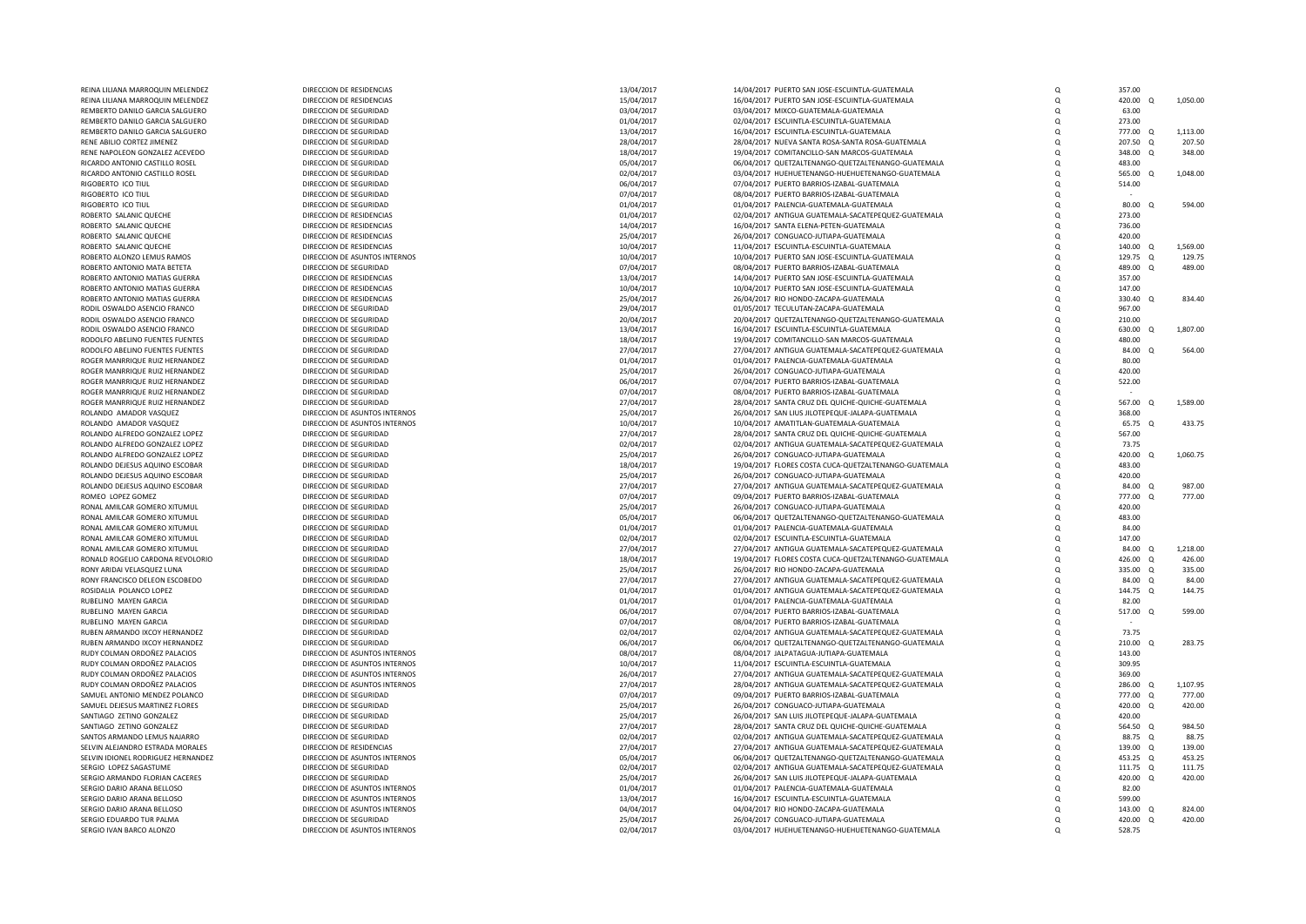| REINA LILIANA MARROQUIN MELENDEZ   | DIRECCION DE RESIDENCIAS      | 13/04/2017 | 14/04/2017 PUERTO SAN JOSE-ESCUINTLA-GUATEMALA        | $\Omega$ | 357.00   |          |          |
|------------------------------------|-------------------------------|------------|-------------------------------------------------------|----------|----------|----------|----------|
| REINA LILIANA MARROQUIN MELENDEZ   | DIRECCION DE RESIDENCIAS      | 15/04/2017 | 16/04/2017 PUERTO SAN JOSE-ESCUINTLA-GUATEMALA        | O        | 420.00 Q |          | 1,050.00 |
| REMBERTO DANILO GARCIA SALGUERO    | DIRECCION DE SEGURIDAD        | 03/04/2017 | 03/04/2017 MIXCO-GUATEMALA-GUATEMALA                  | $\Omega$ | 63.00    |          |          |
| REMBERTO DANILO GARCIA SALGUERO    | DIRECCION DE SEGURIDAD        | 01/04/2017 | 02/04/2017 ESCUINTLA-ESCUINTLA-GUATEMALA              | O        | 273.00   |          |          |
| REMBERTO DANILO GARCIA SALGUERO    | DIRECCION DE SEGURIDAD        | 13/04/2017 | 16/04/2017 ESCUINTLA-ESCUINTLA-GUATEMALA              | O        | 777.00 Q |          | 1,113.00 |
|                                    |                               |            |                                                       |          |          |          | 207.50   |
| RENE ABILIO CORTEZ JIMENEZ         | DIRECCION DE SEGURIDAD        | 28/04/2017 | 28/04/2017 NUEVA SANTA ROSA-SANTA ROSA-GUATEMALA      | Q        | 207.50   | $\alpha$ |          |
| RENE NAPOLEON GONZALEZ ACEVEDO     | DIRECCION DE SEGURIDAD        | 18/04/2017 | 19/04/2017 COMITANCILLO-SAN MARCOS-GUATEMALA          | $\Omega$ | 348.00   | $\Omega$ | 348.00   |
| RICARDO ANTONIO CASTILLO ROSEL     | DIRECCION DE SEGURIDAD        | 05/04/2017 | 06/04/2017 QUETZALTENANGO-QUETZALTENANGO-GUATEMALA    | O        | 483.00   |          |          |
| RICARDO ANTONIO CASTILLO ROSEL     | DIRECCION DE SEGURIDAD        | 02/04/2017 | 03/04/2017 HUEHUETENANGO-HUEHUETENANGO-GUATEMALA      | $\Omega$ | 565.00 Q |          | 1,048.00 |
| RIGOBERTO ICO TIUL                 | DIRECCION DE SEGURIDAD        | 06/04/2017 | 07/04/2017 PUERTO BARRIOS-IZABAL-GUATEMALA            | $\Omega$ | 514.00   |          |          |
| RIGOBERTO ICO TIUI                 | DIRECCION DE SEGURIDAD        | 07/04/2017 | 08/04/2017 PUERTO BARRIOS-IZABAL-GUATEMALA            | $\Omega$ |          |          |          |
|                                    |                               |            |                                                       |          |          |          |          |
| RIGOBERTO ICO TIUL                 | DIRECCION DE SEGURIDAD        | 01/04/2017 | 01/04/2017 PALENCIA-GUATEMALA-GUATEMALA               | $\Omega$ | 80.00 Q  |          | 594.00   |
| ROBERTO SALANIC QUECHE             | DIRECCION DE RESIDENCIAS      | 01/04/2017 | 02/04/2017 ANTIGUA GUATEMALA-SACATEPEQUEZ-GUATEMALA   | $\Omega$ | 273.00   |          |          |
| ROBERTO SALANIC QUECHE             | DIRECCION DE RESIDENCIAS      | 14/04/2017 | 16/04/2017 SANTA ELENA-PETEN-GUATEMALA                | O        | 736.00   |          |          |
| ROBERTO SALANIC QUECHE             | DIRECCION DE RESIDENCIAS      | 25/04/2017 | 26/04/2017 CONGUACO-JUTIAPA-GUATEMALA                 | $\Omega$ | 420.00   |          |          |
| ROBERTO SALANIC QUECHE             | DIRECCION DE RESIDENCIAS      | 10/04/2017 | 11/04/2017 ESCUINTLA-ESCUINTLA-GUATEMALA              | O        | 140.00 Q |          | 1,569.00 |
| ROBERTO ALONZO LEMUS RAMOS         | DIRECCION DE ASUNTOS INTERNOS | 10/04/2017 | 10/04/2017 PUERTO SAN JOSE-ESCUINTLA-GUATEMALA        | $\Omega$ | 129.75 Q |          | 129.75   |
|                                    |                               |            |                                                       |          |          |          |          |
| ROBERTO ANTONIO MATA BETETA        | DIRECCION DE SEGURIDAD        | 07/04/2017 | 08/04/2017 PUERTO BARRIOS-IZABAL-GUATEMALA            | $\Omega$ | 489.00 Q |          | 489.00   |
| ROBERTO ANTONIO MATIAS GUERRA      | DIRECCION DE RESIDENCIAS      | 13/04/2017 | 14/04/2017 PUERTO SAN JOSE-ESCUINTLA-GUATEMALA        | $\Omega$ | 357.00   |          |          |
| ROBERTO ANTONIO MATIAS GUERRA      | DIRECCION DE RESIDENCIAS      | 10/04/2017 | 10/04/2017 PUERTO SAN JOSE-ESCUINTLA-GUATEMALA        | O        | 147.00   |          |          |
| ROBERTO ANTONIO MATIAS GUERRA      | DIRECCION DE RESIDENCIAS      | 25/04/2017 | 26/04/2017 RIO HONDO-ZACAPA-GUATEMALA                 | $\Omega$ | 330.40 Q |          | 834.40   |
| RODIL OSWALDO ASENCIO FRANCO       | DIRECCION DE SEGURIDAD        | 29/04/2017 | 01/05/2017 TECULUTAN-ZACAPA-GUATEMALA                 | Q        | 967.00   |          |          |
|                                    |                               |            |                                                       |          |          |          |          |
| RODIL OSWALDO ASENCIO FRANCO       | DIRECCION DE SEGURIDAD        | 20/04/2017 | 20/04/2017 QUETZALTENANGO-QUETZALTENANGO-GUATEMALA    | $\Omega$ | 210.00   |          |          |
| RODIL OSWALDO ASENCIO FRANCO       | DIRECCION DE SEGURIDAD        | 13/04/2017 | 16/04/2017 ESCUINTLA-ESCUINTLA-GUATEMALA              | $\Omega$ | 630.00 Q |          | 1,807.00 |
| RODOLFO ABELINO FUENTES FUENTES    | DIRECCION DE SEGURIDAD        | 18/04/2017 | 19/04/2017 COMITANCILLO-SAN MARCOS-GUATEMALA          | O        | 480.00   |          |          |
| RODOLEO ABELINO FUENTES FUENTES    | DIRECCION DE SEGURIDAD        | 27/04/2017 | 27/04/2017 ANTIGUA GUATEMALA-SACATEPEQUEZ-GUATEMALA   | $\Omega$ | 84.00 Q  |          | 564.00   |
| ROGER MANRRIQUE RUIZ HERNANDEZ     | DIRECCION DE SEGURIDAD        | 01/04/2017 | 01/04/2017 PALENCIA-GUATEMALA-GUATEMALA               | $\Omega$ | 80.00    |          |          |
| ROGER MANRRIQUE RUIZ HERNANDEZ     | DIRECCION DE SEGURIDAD        | 25/04/2017 | 26/04/2017 CONGUACO-JUTIAPA-GUATEMALA                 | O        | 420.00   |          |          |
|                                    |                               |            |                                                       |          |          |          |          |
| ROGER MANRRIQUE RUIZ HERNANDEZ     | DIRECCION DE SEGURIDAD        | 06/04/2017 | 07/04/2017 PUERTO BARRIOS-IZABAL-GUATEMALA            | $\Omega$ | 522.00   |          |          |
| ROGER MANRRIQUE RUIZ HERNANDEZ     | DIRECCION DE SEGURIDAD        | 07/04/2017 | 08/04/2017 PUERTO BARRIOS-IZABAL-GUATEMALA            | $\Omega$ |          |          |          |
| ROGER MANRRIQUE RUIZ HERNANDEZ     | DIRECCION DE SEGURIDAD        | 27/04/2017 | 28/04/2017 SANTA CRUZ DEL QUICHE-QUICHE-GUATEMALA     | O        | 567.00 Q |          | 1,589.00 |
| ROLANDO AMADOR VASQUEZ             | DIRECCION DE ASUNTOS INTERNOS | 25/04/2017 | 26/04/2017 SAN LIUS JILOTEPEQUE-JALAPA-GUATEMALA      | O        | 368.00   |          |          |
| ROLANDO AMADOR VASQUEZ             | DIRECCION DE ASUNTOS INTERNOS | 10/04/2017 | 10/04/2017 AMATITLAN-GUATEMALA-GUATEMALA              | $\Omega$ | 65.75 Q  |          | 433.75   |
| ROLANDO ALFREDO GONZALEZ LOPEZ     | DIRECCION DE SEGURIDAD        |            |                                                       | $\Omega$ | 567.00   |          |          |
|                                    |                               | 27/04/2017 | 28/04/2017 SANTA CRUZ DEL QUICHE-QUICHE-GUATEMALA     |          |          |          |          |
| ROLANDO ALFREDO GONZALEZ LOPEZ     | DIRECCION DE SEGURIDAD        | 02/04/2017 | 02/04/2017 ANTIGUA GUATEMALA-SACATEPEQUEZ-GUATEMALA   | O        | 73.75    |          |          |
| ROLANDO ALFREDO GONZALEZ LOPEZ     | DIRECCION DE SEGURIDAD        | 25/04/2017 | 26/04/2017 CONGUACO-JUTIAPA-GUATEMALA                 | Q        | 420.00   | $\Omega$ | 1,060.75 |
| ROLANDO DEJESUS AQUINO ESCOBAR     | DIRECCION DE SEGURIDAD        | 18/04/2017 | 19/04/2017 FLORES COSTA CUCA-QUETZALTENANGO-GUATEMALA | $\Omega$ | 483.00   |          |          |
| ROLANDO DEJESUS AQUINO ESCOBAR     | DIRECCION DE SEGURIDAD        | 25/04/2017 | 26/04/2017 CONGUACO-JUTIAPA-GUATEMALA                 | $\Omega$ | 420.00   |          |          |
| ROLANDO DEJESUS AQUINO ESCOBAR     | DIRECCION DE SEGURIDAD        | 27/04/2017 | 27/04/2017 ANTIGUA GUATEMALA-SACATEPEQUEZ-GUATEMALA   | O        | 84.00 Q  |          | 987.00   |
| ROMEO LOPEZ GOMEZ                  | DIRECCION DE SEGURIDAD        | 07/04/2017 | 09/04/2017 PUERTO BARRIOS-IZABAL-GUATEMALA            | $\Omega$ | 777.00 Q |          | 777.00   |
|                                    |                               |            |                                                       |          |          |          |          |
| RONAL AMILCAR GOMERO XITUMUL       | DIRECCION DE SEGURIDAD        | 25/04/2017 | 26/04/2017 CONGUACO-JUTIAPA-GUATEMALA                 | $\Omega$ | 420.00   |          |          |
| RONAL AMILCAR GOMERO XITUMUL       | DIRECCION DE SEGURIDAD        | 05/04/2017 | 06/04/2017 QUETZALTENANGO-QUETZALTENANGO-GUATEMALA    | $\Omega$ | 483.00   |          |          |
| RONAL AMILCAR GOMERO XITUMUL       | DIRECCION DE SEGURIDAD        | 01/04/2017 | 01/04/2017 PALENCIA-GUATEMALA-GUATEMALA               | $\Omega$ | 84.00    |          |          |
| RONAL AMILCAR GOMERO XITUMUL       | DIRECCION DE SEGURIDAD        | 02/04/2017 | 02/04/2017 ESCUINTLA-ESCUINTLA-GUATEMALA              | O        | 147.00   |          |          |
| RONAL AMILCAR GOMERO XITUMUL       | DIRECCION DE SEGURIDAD        | 27/04/2017 | 27/04/2017 ANTIGUA GUATEMALA-SACATEPEQUEZ-GUATEMALA   | $\Omega$ | 84.00 Q  |          | 1,218.00 |
|                                    |                               |            |                                                       |          |          |          |          |
| RONALD ROGELIO CARDONA REVOLORIO   | DIRECCION DE SEGURIDAD        | 18/04/2017 | 19/04/2017 FLORES COSTA CUCA-QUETZALTENANGO-GUATEMALA | O        | 426.00 Q |          | 426.00   |
| RONY ARIDAI VELASQUEZ LUNA         | DIRECCION DE SEGURIDAD        | 25/04/2017 | 26/04/2017 RIO HONDO-ZACAPA-GUATEMALA                 | O        | 335.00 Q |          | 335.00   |
| RONY FRANCISCO DELEON ESCOBEDO     | DIRECCION DE SEGURIDAD        | 27/04/2017 | 27/04/2017 ANTIGUA GUATEMALA-SACATEPEQUEZ-GUATEMALA   | O        | 84.00 Q  |          | 84.00    |
| ROSIDALIA POLANCO LOPEZ            | DIRECCION DE SEGURIDAD        | 01/04/2017 | 01/04/2017 ANTIGUA GUATEMALA-SACATEPEQUEZ-GUATEMALA   | O        | 144.75 Q |          | 144.75   |
| RUBELINO MAYEN GARCIA              | DIRECCION DE SEGURIDAD        | 01/04/2017 | 01/04/2017 PALENCIA-GUATEMALA-GUATEMALA               | O        | 82.00    |          |          |
| RUBELINO MAYEN GARCIA              | DIRECCION DE SEGURIDAD        | 06/04/2017 | 07/04/2017 PUERTO BARRIOS-IZABAL-GUATEMALA            | $\Omega$ | 517.00 Q |          | 599.00   |
|                                    |                               |            |                                                       |          |          |          |          |
| RUBELINO MAYEN GARCIA              | DIRECCION DE SEGURIDAD        | 07/04/2017 | 08/04/2017 PUERTO BARRIOS-IZABAL-GUATEMALA            | $\Omega$ |          |          |          |
| RUBEN ARMANDO IXCOY HERNANDEZ      | DIRECCION DE SEGURIDAD        | 02/04/2017 | 02/04/2017 ANTIGUA GUATEMALA-SACATEPEQUEZ-GUATEMALA   | O        | 73.75    |          |          |
| RUBEN ARMANDO IXCOY HERNANDEZ      | DIRECCION DE SEGURIDAD        | 06/04/2017 | 06/04/2017 QUETZALTENANGO-QUETZALTENANGO-GUATEMALA    | $\Omega$ | 210.00 Q |          | 283.75   |
| RUDY COLMAN ORDOÑEZ PALACIOS       | DIRECCION DE ASUNTOS INTERNOS | 08/04/2017 | 08/04/2017 JALPATAGUA-JUTIAPA-GUATEMALA               | O        | 143.00   |          |          |
| RUDY COLMAN ORDOÑEZ PALACIOS       | DIRECCION DE ASUNTOS INTERNOS | 10/04/2017 | 11/04/2017 ESCUINTLA-ESCUINTLA-GUATEMALA              | $\Omega$ | 309.95   |          |          |
|                                    |                               |            |                                                       |          |          |          |          |
| RUDY COLMAN ORDOÑEZ PALACIOS       | DIRECCION DE ASUNTOS INTERNOS | 26/04/2017 | 27/04/2017 ANTIGUA GUATEMALA-SACATEPEQUEZ-GUATEMALA   | O        | 369.00   |          |          |
| RUDY COLMAN ORDOÑEZ PALACIOS       | DIRECCION DE ASUNTOS INTERNOS | 27/04/2017 | 28/04/2017 ANTIGUA GUATEMALA-SACATEPEQUEZ-GUATEMALA   | $\Omega$ | 286.00 Q |          | 1,107.95 |
| SAMUEL ANTONIO MENDEZ POLANCO      | DIRECCION DE SEGURIDAD        | 07/04/2017 | 09/04/2017 PUERTO BARRIOS-IZABAL-GUATEMALA            | $\Omega$ | 777.00 Q |          | 777.00   |
| SAMUEL DEJESUS MARTINEZ FLORES     | DIRECCION DE SEGURIDAD        | 25/04/2017 | 26/04/2017 CONGUACO-JUTIAPA-GUATEMALA                 | $\Omega$ | 420.00 Q |          | 420.00   |
| SANTIAGO ZETINO GONZALEZ           | DIRECCION DE SEGURIDAD        | 25/04/2017 | 26/04/2017 SAN LUIS JILOTEPEQUE-JALAPA-GUATEMALA      | O        | 420.00   |          |          |
| SANTIAGO ZETINO GONZALEZ           | DIRECCION DE SEGURIDAD        | 27/04/2017 | 28/04/2017 SANTA CRUZ DEL QUICHE-QUICHE-GUATEMALA     | O        | 564.50 0 |          | 984.50   |
|                                    |                               |            |                                                       |          |          |          |          |
| SANTOS ARMANDO LEMUS NAJARRO       | DIRECCION DE SEGURIDAD        | 02/04/2017 | 02/04/2017 ANTIGUA GUATEMALA-SACATEPEQUEZ-GUATEMALA   | Q        | 88.75    | Q        | 88.75    |
| SELVIN ALEJANDRO ESTRADA MORALES   | DIRECCION DE RESIDENCIAS      | 27/04/2017 | 27/04/2017 ANTIGUA GUATEMALA-SACATEPEQUEZ-GUATEMALA   | $\Omega$ | 139.00   | $\circ$  | 139.00   |
| SELVIN IDIONEL RODRIGUEZ HERNANDEZ | DIRECCION DE ASUNTOS INTERNOS | 05/04/2017 | 06/04/2017 QUETZALTENANGO-QUETZALTENANGO-GUATEMALA    | O        | 453.25 Q |          | 453.25   |
| SERGIO LOPEZ SAGASTUME             | DIRECCION DE SEGURIDAD        | 02/04/2017 | 02/04/2017 ANTIGUA GUATEMALA-SACATEPEQUEZ-GUATEMALA   | $\Omega$ | 111.75 Q |          | 111.75   |
| SERGIO ARMANDO FLORIAN CACERES     | DIRECCION DE SEGURIDAD        | 25/04/2017 | 26/04/2017 SAN LUIS JILOTEPEQUE-JALAPA-GUATEMALA      | O        | 420.00 Q |          | 420.00   |
| SERGIO DARIO ARANA BELLOSO         | DIRECCION DE ASUNTOS INTERNOS | 01/04/2017 | 01/04/2017 PALENCIA-GUATEMALA-GUATEMALA               |          | 82.00    |          |          |
|                                    |                               |            |                                                       | O        |          |          |          |
| SERGIO DARIO ARANA BELLOSO         | DIRECCION DE ASUNTOS INTERNOS | 13/04/2017 | 16/04/2017 ESCUINTLA-ESCUINTLA-GUATEMALA              | O        | 599.00   |          |          |
| SERGIO DARIO ARANA BELLOSO         | DIRECCION DE ASUNTOS INTERNOS | 04/04/2017 | 04/04/2017 RIO HONDO-ZACAPA-GUATEMALA                 | O        | 143.00 Q |          | 824.00   |
| SERGIO EDUARDO TUR PALMA           | DIRECCION DE SEGURIDAD        | 25/04/2017 | 26/04/2017 CONGUACO-JUTIAPA-GUATEMALA                 | $\Omega$ | 420.00 Q |          | 420.00   |
| SERGIO IVAN BARCO ALONZO           | DIRECCION DE ASUNTOS INTERNOS | 02/04/2017 | 03/04/2017 HUEHUETENANGO-HUEHUETENANGO-GUATEMALA      | $\Omega$ | 528.75   |          |          |
|                                    |                               |            |                                                       |          |          |          |          |